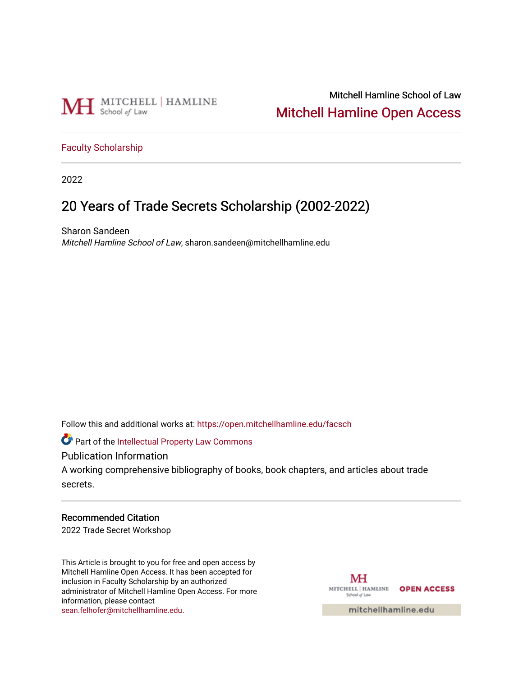

## Mitchell Hamline School of Law [Mitchell Hamline Open Access](https://open.mitchellhamline.edu/)

#### [Faculty Scholarship](https://open.mitchellhamline.edu/facsch)

2022

# 20 Years of Trade Secrets Scholarship (2002-2022)

Sharon Sandeen Mitchell Hamline School of Law, sharon.sandeen@mitchellhamline.edu

Follow this and additional works at: [https://open.mitchellhamline.edu/facsch](https://open.mitchellhamline.edu/facsch?utm_source=open.mitchellhamline.edu%2Ffacsch%2F527&utm_medium=PDF&utm_campaign=PDFCoverPages) 

**Part of the Intellectual Property Law Commons** 

Publication Information

A working comprehensive bibliography of books, book chapters, and articles about trade secrets.

#### Recommended Citation

2022 Trade Secret Workshop

This Article is brought to you for free and open access by Mitchell Hamline Open Access. It has been accepted for inclusion in Faculty Scholarship by an authorized administrator of Mitchell Hamline Open Access. For more information, please contact [sean.felhofer@mitchellhamline.edu](mailto:sean.felhofer@mitchellhamline.edu).

MH MITCHELL | HAMLINE OPEN ACCESS School of Law

mitchellhamline.edu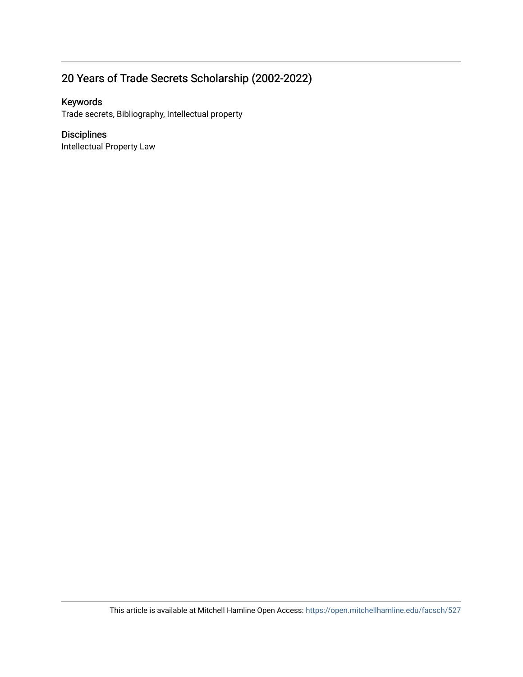## 20 Years of Trade Secrets Scholarship (2002-2022)

#### Keywords

Trade secrets, Bibliography, Intellectual property

#### Disciplines

Intellectual Property Law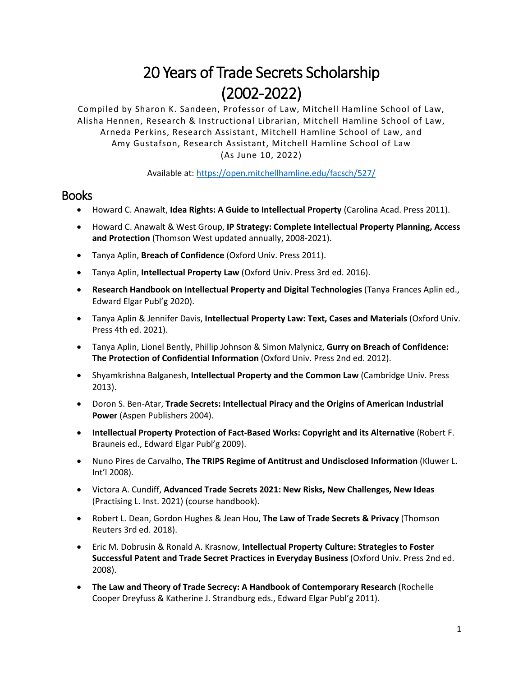# 20 Years of Trade Secrets Scholarship (2002-2022)

Compiled by Sharon K. Sandeen, Professor of Law, Mitchell Hamline School of Law, Alisha Hennen, Research & Instructional Librarian, Mitchell Hamline School of Law, Arneda Perkins, Research Assistant, Mitchell Hamline School of Law, and Amy Gustafson, Research Assistant, Mitchell Hamline School of Law (As June 10, 2022)

Available at: <https://open.mitchellhamline.edu/facsch/527/>

### **Books**

- Howard C. Anawalt, **Idea Rights: A Guide to Intellectual Property** (Carolina Acad. Press 2011).
- Howard C. Anawalt & West Group, **IP Strategy: Complete Intellectual Property Planning, Access and Protection** (Thomson West updated annually, 2008-2021).
- Tanya Aplin, **Breach of Confidence** (Oxford Univ. Press 2011).
- Tanya Aplin, **Intellectual Property Law** (Oxford Univ. Press 3rd ed. 2016).
- **Research Handbook on Intellectual Property and Digital Technologies** (Tanya Frances Aplin ed., Edward Elgar Publ'g 2020).
- Tanya Aplin & Jennifer Davis, **Intellectual Property Law: Text, Cases and Materials** (Oxford Univ. Press 4th ed. 2021).
- Tanya Aplin, Lionel Bently, Phillip Johnson & Simon Malynicz, **Gurry on Breach of Confidence: The Protection of Confidential Information** (Oxford Univ. Press 2nd ed. 2012).
- Shyamkrishna Balganesh, **Intellectual Property and the Common Law** (Cambridge Univ. Press 2013).
- Doron S. Ben-Atar, **Trade Secrets: Intellectual Piracy and the Origins of American Industrial Power** (Aspen Publishers 2004).
- **Intellectual Property Protection of Fact-Based Works: Copyright and its Alternative** (Robert F. Brauneis ed., Edward Elgar Publ'g 2009).
- Nuno Pires de Carvalho, **The TRIPS Regime of Antitrust and Undisclosed Information** (Kluwer L. Int'l 2008).
- Victora A. Cundiff, **Advanced Trade Secrets 2021: New Risks, New Challenges, New Ideas**  (Practising L. Inst. 2021) (course handbook).
- Robert L. Dean, Gordon Hughes & Jean Hou, **The Law of Trade Secrets & Privacy** (Thomson Reuters 3rd ed. 2018).
- Eric M. Dobrusin & Ronald A. Krasnow, **Intellectual Property Culture: Strategies to Foster Successful Patent and Trade Secret Practices in Everyday Business** (Oxford Univ. Press 2nd ed. 2008).
- **The Law and Theory of Trade Secrecy: A Handbook of Contemporary Research** (Rochelle Cooper Dreyfuss & Katherine J. Strandburg eds., Edward Elgar Publ'g 2011).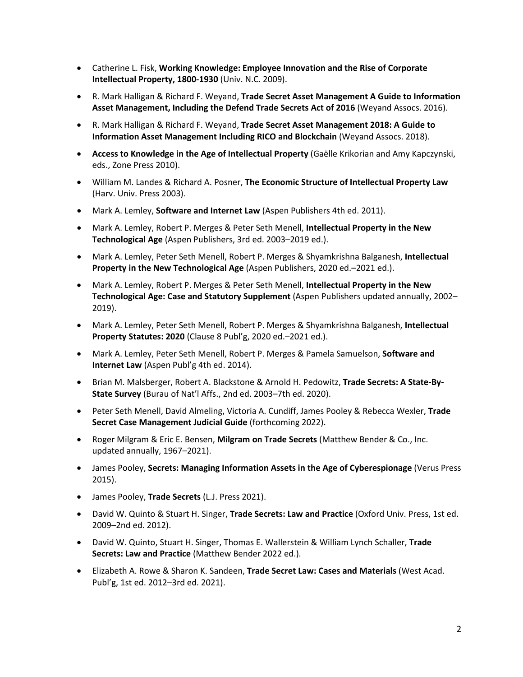- Catherine L. Fisk, **Working Knowledge: Employee Innovation and the Rise of Corporate Intellectual Property, 1800-1930** (Univ. N.C. 2009).
- R. Mark Halligan & Richard F. Weyand, **Trade Secret Asset Management A Guide to Information Asset Management, Including the Defend Trade Secrets Act of 2016** (Weyand Assocs. 2016).
- R. Mark Halligan & Richard F. Weyand, **Trade Secret Asset Management 2018: A Guide to Information Asset Management Including RICO and Blockchain** (Weyand Assocs. 2018).
- **Access to Knowledge in the Age of Intellectual Property** (Gaëlle Krikorian and Amy Kapczynski, eds., Zone Press 2010).
- William M. Landes & Richard A. Posner, **The Economic Structure of Intellectual Property Law** (Harv. Univ. Press 2003).
- Mark A. Lemley, **Software and Internet Law** (Aspen Publishers 4th ed. 2011).
- Mark A. Lemley, Robert P. Merges & Peter Seth Menell, **Intellectual Property in the New Technological Age** (Aspen Publishers, 3rd ed. 2003–2019 ed.).
- Mark A. Lemley, Peter Seth Menell, Robert P. Merges & Shyamkrishna Balganesh, **Intellectual Property in the New Technological Age** (Aspen Publishers, 2020 ed.–2021 ed.).
- Mark A. Lemley, Robert P. Merges & Peter Seth Menell, **Intellectual Property in the New Technological Age: Case and Statutory Supplement** (Aspen Publishers updated annually, 2002– 2019).
- Mark A. Lemley, Peter Seth Menell, Robert P. Merges & Shyamkrishna Balganesh, **Intellectual Property Statutes: 2020** (Clause 8 Publ'g, 2020 ed.–2021 ed.).
- Mark A. Lemley, Peter Seth Menell, Robert P. Merges & Pamela Samuelson, **Software and Internet Law** (Aspen Publ'g 4th ed. 2014).
- Brian M. Malsberger, Robert A. Blackstone & Arnold H. Pedowitz, **Trade Secrets: A State-By-State Survey** (Burau of Nat'l Affs., 2nd ed. 2003–7th ed. 2020).
- Peter Seth Menell, David Almeling, Victoria A. Cundiff, James Pooley & Rebecca Wexler, **Trade Secret Case Management Judicial Guide** (forthcoming 2022).
- Roger Milgram & Eric E. Bensen, **Milgram on Trade Secrets** (Matthew Bender & Co., Inc. updated annually, 1967–2021).
- James Pooley, **Secrets: Managing Information Assets in the Age of Cyberespionage** (Verus Press 2015).
- James Pooley, **Trade Secrets** (L.J. Press 2021).
- David W. Quinto & Stuart H. Singer, **Trade Secrets: Law and Practice** (Oxford Univ. Press, 1st ed. 2009–2nd ed. 2012).
- David W. Quinto, Stuart H. Singer, Thomas E. Wallerstein & William Lynch Schaller, **Trade Secrets: Law and Practice** (Matthew Bender 2022 ed.).
- Elizabeth A. Rowe & Sharon K. Sandeen, **Trade Secret Law: Cases and Materials** (West Acad. Publ'g, 1st ed. 2012–3rd ed. 2021).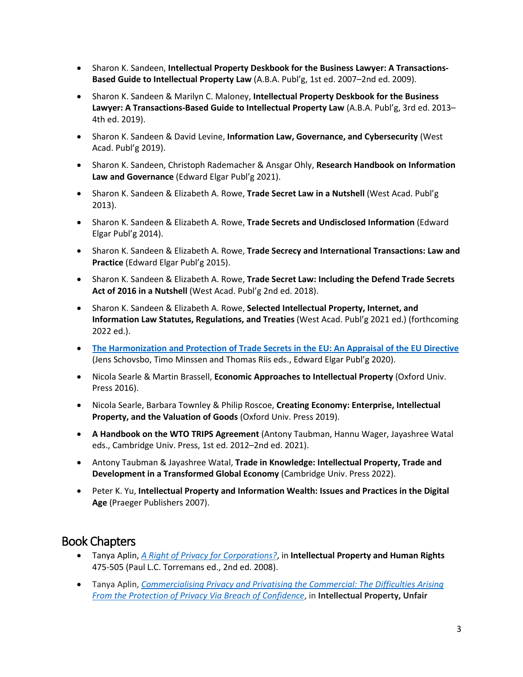- Sharon K. Sandeen, **Intellectual Property Deskbook for the Business Lawyer: A Transactions-Based Guide to Intellectual Property Law** (A.B.A. Publ'g, 1st ed. 2007–2nd ed. 2009).
- Sharon K. Sandeen & Marilyn C. Maloney, **Intellectual Property Deskbook for the Business Lawyer: A Transactions-Based Guide to Intellectual Property Law** (A.B.A. Publ'g, 3rd ed. 2013– 4th ed. 2019).
- Sharon K. Sandeen & David Levine, **Information Law, Governance, and Cybersecurity** (West Acad. Publ'g 2019).
- Sharon K. Sandeen, Christoph Rademacher & Ansgar Ohly, **Research Handbook on Information Law and Governance** (Edward Elgar Publ'g 2021).
- Sharon K. Sandeen & Elizabeth A. Rowe, **Trade Secret Law in a Nutshell** (West Acad. Publ'g 2013).
- Sharon K. Sandeen & Elizabeth A. Rowe, **Trade Secrets and Undisclosed Information** (Edward Elgar Publ'g 2014).
- Sharon K. Sandeen & Elizabeth A. Rowe, **Trade Secrecy and International Transactions: Law and Practice** (Edward Elgar Publ'g 2015).
- Sharon K. Sandeen & Elizabeth A. Rowe, **Trade Secret Law: Including the Defend Trade Secrets Act of 2016 in a Nutshell** (West Acad. Publ'g 2nd ed. 2018).
- Sharon K. Sandeen & Elizabeth A. Rowe, **Selected Intellectual Property, Internet, and Information Law Statutes, Regulations, and Treaties** (West Acad. Publ'g 2021 ed.) (forthcoming 2022 ed.).
- **[The Harmonization and Protection of Trade Secrets in the EU: An Appraisal of the EU Directive](https://www.elgaronline.com/view/edcoll/9781788973335/9781788973335.xml)** (Jens Schovsbo, Timo Minssen and Thomas Riis eds., Edward Elgar Publ'g 2020).
- Nicola Searle & Martin Brassell, **Economic Approaches to Intellectual Property** (Oxford Univ. Press 2016).
- Nicola Searle, Barbara Townley & Philip Roscoe, **Creating Economy: Enterprise, Intellectual Property, and the Valuation of Goods** (Oxford Univ. Press 2019).
- **A Handbook on the WTO TRIPS Agreement** (Antony Taubman, Hannu Wager, Jayashree Watal eds., Cambridge Univ. Press, 1st ed. 2012–2nd ed. 2021).
- Antony Taubman & Jayashree Watal, **Trade in Knowledge: Intellectual Property, Trade and Development in a Transformed Global Economy** (Cambridge Univ. Press 2022).
- Peter K. Yu, **Intellectual Property and Information Wealth: Issues and Practices in the Digital Age** (Praeger Publishers 2007).

## Book Chapters

- Tanya Aplin, *[A Right of Privacy for Corporations?](https://papers.ssrn.com/sol3/papers.cfm?abstract_id=2437008)*, in **Intellectual Property and Human Rights** 475-505 (Paul L.C. Torremans ed., 2nd ed. 2008).
- Tanya Aplin, *[Commercialising Privacy and Privatising the Commercial: The Difficulties Arising](https://papers.ssrn.com/sol3/papers.cfm?abstract_id=2621015)  [From the Protection of Privacy Via Breach of Confidence](https://papers.ssrn.com/sol3/papers.cfm?abstract_id=2621015)*, in **Intellectual Property, Unfair**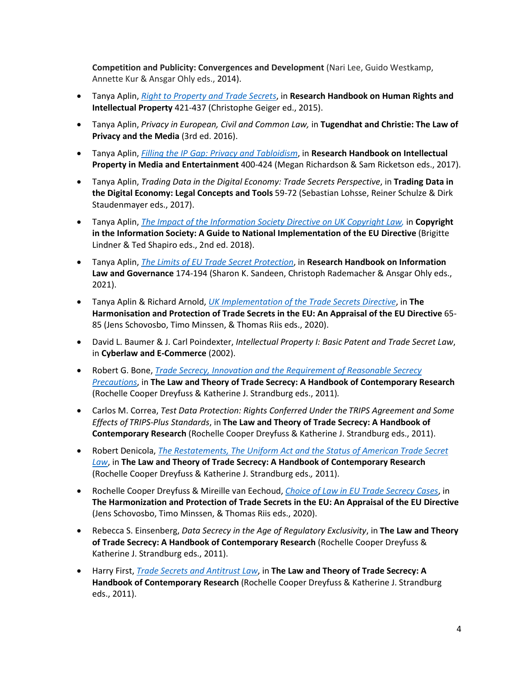**Competition and Publicity: Convergences and Development** (Nari Lee, Guido Westkamp, Annette Kur & Ansgar Ohly eds., 2014).

- Tanya Aplin, *[Right to Property and Trade Secrets](https://papers.ssrn.com/sol3/papers.cfm?abstract_id=2620999)*, in **Research Handbook on Human Rights and Intellectual Property** 421-437 (Christophe Geiger ed., 2015).
- Tanya Aplin, *Privacy in European, Civil and Common Law,* in **Tugendhat and Christie: The Law of Privacy and the Media** (3rd ed. 2016).
- Tanya Aplin, *[Filling the IP Gap: Privacy and Tabloidism](https://papers.ssrn.com/sol3/papers.cfm?abstract_id=2839866)*, in **Research Handbook on Intellectual Property in Media and Entertainment** 400-424 (Megan Richardson & Sam Ricketson eds., 2017).
- Tanya Aplin, *Trading Data in the Digital Economy: Trade Secrets Perspective*, in **Trading Data in the Digital Economy: Legal Concepts and Tools** 59-72 (Sebastian Lohsse, Reiner Schulze & Dirk Staudenmayer eds., 2017).
- Tanya Aplin, *[The Impact of the Information Society Directive on UK Copyright Law,](https://papers.ssrn.com/sol3/papers.cfm?abstract_id=3250388)* in **Copyright in the Information Society: A Guide to National Implementation of the EU Directive** (Brigitte Lindner & Ted Shapiro eds., 2nd ed. 2018).
- Tanya Aplin, *[The Limits of EU Trade Secret Protection](https://papers.ssrn.com/sol3/papers.cfm?abstract_id=3671358)*, in **Research Handbook on Information Law and Governance** 174-194 (Sharon K. Sandeen, Christoph Rademacher & Ansgar Ohly eds., 2021).
- Tanya Aplin & Richard Arnold, *[UK Implementation of the Trade Secrets Directive](https://papers.ssrn.com/sol3/papers.cfm?abstract_id=3393593)*, in **The Harmonisation and Protection of Trade Secrets in the EU: An Appraisal of the EU Directive** 65- 85 (Jens Schovosbo, Timo Minssen, & Thomas Riis eds., 2020).
- David L. Baumer & J. Carl Poindexter, *Intellectual Property I: Basic Patent and Trade Secret Law*, in **Cyberlaw and E-Commerce** (2002).
- Robert G. Bone, *[Trade Secrecy, Innovation and the Requirement of Reasonable Secrecy](https://papers.ssrn.com/sol3/papers.cfm?abstract_id=1467723)  [Precautions](https://papers.ssrn.com/sol3/papers.cfm?abstract_id=1467723)*, in **The Law and Theory of Trade Secrecy: A Handbook of Contemporary Research** (Rochelle Cooper Dreyfuss & Katherine J. Strandburg eds., 2011)*.*
- Carlos M. Correa, *Test Data Protection: Rights Conferred Under the TRIPS Agreement and Some Effects of TRIPS-Plus Standards*, in **The Law and Theory of Trade Secrecy: A Handbook of Contemporary Research** (Rochelle Cooper Dreyfuss & Katherine J. Strandburg eds., 2011).
- Robert Denicola, *[The Restatements, The Uniform Act and the Status of American Trade Secret](https://papers.ssrn.com/sol3/papers.cfm?abstract_id=2579846)  [Law](https://papers.ssrn.com/sol3/papers.cfm?abstract_id=2579846)*, in **The Law and Theory of Trade Secrecy: A Handbook of Contemporary Research** (Rochelle Cooper Dreyfuss & Katherine J. Strandburg eds.*,* 2011).
- Rochelle Cooper Dreyfuss & Mireille van Eechoud, *[Choice of Law in EU Trade Secrecy Cases](https://papers.ssrn.com/sol3/papers.cfm?abstract_id=3708249)*, in **The Harmonization and Protection of Trade Secrets in the EU: An Appraisal of the EU Directive**  (Jens Schovosbo, Timo Minssen, & Thomas Riis eds., 2020).
- Rebecca S. Einsenberg, *Data Secrecy in the Age of Regulatory Exclusivity*, in **The Law and Theory of Trade Secrecy: A Handbook of Contemporary Research** (Rochelle Cooper Dreyfuss & Katherine J. Strandburg eds., 2011).
- Harry First, *[Trade Secrets and Antitrust Law](https://papers.ssrn.com/sol3/papers.cfm?abstract_id=1765244)*, in **The Law and Theory of Trade Secrecy: A Handbook of Contemporary Research** (Rochelle Cooper Dreyfuss & Katherine J. Strandburg eds., 2011).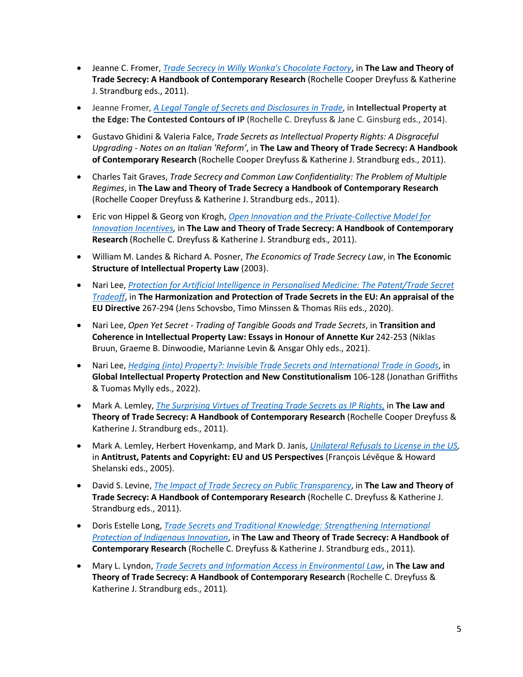- Jeanne C. Fromer, *[Trade Secrecy in Willy Wonka's Chocolate Factory](https://papers.ssrn.com/sol3/papers.cfm?abstract_id=1430463)*, in **The Law and Theory of Trade Secrecy: A Handbook of Contemporary Research** (Rochelle Cooper Dreyfuss & Katherine J. Strandburg eds., 2011).
- Jeanne Fromer*, [A Legal Tangle of Secrets and Disclosures in Trade](https://ssrn.com/abstract=2291726)*, in **Intellectual Property at the Edge: The Contested Contours of IP** (Rochelle C. Dreyfuss & Jane C. Ginsburg eds., 2014).
- Gustavo Ghidini & Valeria Falce, *Trade Secrets as Intellectual Property Rights: A Disgraceful Upgrading - Notes on an Italian 'Reform'*, in **The Law and Theory of Trade Secrecy: A Handbook of Contemporary Research** (Rochelle Cooper Dreyfuss & Katherine J. Strandburg eds., 2011).
- Charles Tait Graves, *Trade Secrecy and Common Law Confidentiality: The Problem of Multiple Regimes*, in **The Law and Theory of Trade Secrecy a Handbook of Contemporary Research** (Rochelle Cooper Dreyfuss & Katherine J. Strandburg eds., 2011).
- Eric von Hippel & Georg von Krogh, *[Open Innovation and the Private-Collective Model for](https://dspace.mit.edu/handle/1721.1/77941)  [Innovation Incentives,](https://dspace.mit.edu/handle/1721.1/77941)* in **The Law and Theory of Trade Secrecy: A Handbook of Contemporary Research** (Rochelle C. Dreyfuss & Katherine J. Strandburg eds.*,* 2011).
- William M. Landes & Richard A. Posner, *The Economics of Trade Secrecy Law*, in **The Economic Structure of Intellectual Property Law** (2003).
- Nari Lee, *[Protection for Artificial Intelligence in Personalised Medicine: The Patent/Trade Secret](https://papers.ssrn.com/sol3/papers.cfm?abstract_id=3553846)  [Tradeoff](https://papers.ssrn.com/sol3/papers.cfm?abstract_id=3553846)*, in **The Harmonization and Protection of Trade Secrets in the EU: An appraisal of the EU Directive** 267-294 (Jens Schovsbo, Timo Minssen & Thomas Riis eds., 2020).
- Nari Lee, *Open Yet Secret - Trading of Tangible Goods and Trade Secrets*, in **Transition and Coherence in Intellectual Property Law: Essays in Honour of Annette Kur** 242-253 (Niklas Bruun, Graeme B. Dinwoodie, Marianne Levin & Ansgar Ohly eds., 2021).
- Nari Lee, *[Hedging \(into\) Property?: Invisible Trade Secrets and International Trade in Goods](https://papers.ssrn.com/sol3/papers.cfm?abstract_id=3797646)*, in **Global Intellectual Property Protection and New Constitutionalism** 106-128 (Jonathan Griffiths & Tuomas Mylly eds., 2022).
- Mark A. Lemley, *[The Surprising Virtues of Treating Trade Secrets as IP Rights](https://papers.ssrn.com/sol3/papers.cfm?abstract_id=1155167)*, in **The Law and Theory of Trade Secrecy: A Handbook of Contemporary Research** (Rochelle Cooper Dreyfuss & Katherine J. Strandburg eds., 2011).
- Mark A. Lemley, Herbert Hovenkamp, and Mark D. Janis, *[Unilateral Refusals to License in the US,](https://papers.ssrn.com/sol3/papers.cfm?abstract_id=703161)*  in **Antitrust, Patents and Copyright: EU and US Perspectives** (François Lévêque & Howard Shelanski eds., 2005).
- David S. Levine, *[The Impact of Trade Secrecy on Public Transparency](https://papers.ssrn.com/sol3/papers.cfm?abstract_id=1373536)*, in **The Law and Theory of Trade Secrecy: A Handbook of Contemporary Research** (Rochelle C. Dreyfuss & Katherine J. Strandburg eds., 2011).
- Doris Estelle Long, *[Trade Secrets and Traditional Knowledge: Strengthening International](https://papers.ssrn.com/sol3/papers.cfm?abstract_id=2214785)  [Protection of Indigenous Innovation](https://papers.ssrn.com/sol3/papers.cfm?abstract_id=2214785)*, in **The Law and Theory of Trade Secrecy: A Handbook of Contemporary Research** (Rochelle C. Dreyfuss & Katherine J. Strandburg eds., 2011)*.*
- Mary L. Lyndon, *[Trade Secrets and Information Access in Environmental Law](https://papers.ssrn.com/sol3/papers.cfm?abstract_id=1947514)*, in **The Law and Theory of Trade Secrecy: A Handbook of Contemporary Research** (Rochelle C. Dreyfuss & Katherine J. Strandburg eds., 2011)*.*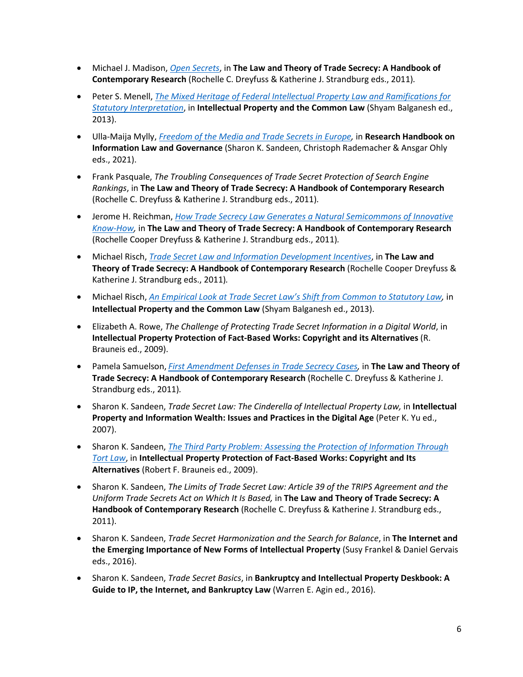- Michael J. Madison, *[Open Secrets](https://papers.ssrn.com/sol3/papers.cfm?abstract_id=1452805)*, in **The Law and Theory of Trade Secrecy: A Handbook of Contemporary Research** (Rochelle C. Dreyfuss & Katherine J. Strandburg eds., 2011)*.*
- Peter S. Menell, *[The Mixed Heritage of Federal Intellectual Property Law and Ramifications for](https://papers.ssrn.com/sol3/papers.cfm?abstract_id=1895784)  [Statutory Interpretation](https://papers.ssrn.com/sol3/papers.cfm?abstract_id=1895784)*, in **Intellectual Property and the Common Law** (Shyam Balganesh ed., 2013).
- Ulla-Maija Mylly, *[Freedom of the Media and Trade Secrets in Europe,](https://papers.ssrn.com/sol3/papers.cfm?abstract_id=3750800)* in **Research Handbook on Information Law and Governance** (Sharon K. Sandeen, Christoph Rademacher & Ansgar Ohly eds., 2021).
- Frank Pasquale, *The Troubling Consequences of Trade Secret Protection of Search Engine Rankings*, in **The Law and Theory of Trade Secrecy: A Handbook of Contemporary Research** (Rochelle C. Dreyfuss & Katherine J. Strandburg eds., 2011)*.*
- Jerome H. Reichman, *[How Trade Secrecy Law Generates a Natural Semicommons of Innovative](https://scholarship.law.duke.edu/faculty_scholarship/3239/)  [Know-How,](https://scholarship.law.duke.edu/faculty_scholarship/3239/)* in **The Law and Theory of Trade Secrecy: A Handbook of Contemporary Research** (Rochelle Cooper Dreyfuss & Katherine J. Strandburg eds., 2011)*.*
- Michael Risch, *[Trade Secret Law and Information Development Incentives](https://papers.ssrn.com/sol3/papers.cfm?abstract_id=1411579)*, in **The Law and Theory of Trade Secrecy: A Handbook of Contemporary Research** (Rochelle Cooper Dreyfuss & Katherine J. Strandburg eds., 2011)*.*
- Michael Risch, *[An Empirical Look at Trade Secret Law's Shift from Common to Statutory Law,](https://papers.ssrn.com/sol3/papers.cfm?abstract_id=1982209)* in **Intellectual Property and the Common Law** (Shyam Balganesh ed., 2013).
- Elizabeth A. Rowe, *The Challenge of Protecting Trade Secret Information in a Digital World*, in **Intellectual Property Protection of Fact-Based Works: Copyright and its Alternatives** (R. Brauneis ed., 2009).
- Pamela Samuelson, *[First Amendment Defenses in Trade Secrecy Cases,](https://papers.ssrn.com/sol3/papers.cfm?abstract_id=1623990)* in **The Law and Theory of Trade Secrecy: A Handbook of Contemporary Research** (Rochelle C. Dreyfuss & Katherine J. Strandburg eds., 2011)*.*
- Sharon K. Sandeen, *Trade Secret Law: The Cinderella of Intellectual Property Law,* in **Intellectual Property and Information Wealth: Issues and Practices in the Digital Age** (Peter K. Yu ed., 2007).
- Sharon K. Sandeen, *[The Third Party Problem: Assessing the Protection of Information Through](https://papers.ssrn.com/sol3/papers.cfm?abstract_id=1680546)  [Tort Law](https://papers.ssrn.com/sol3/papers.cfm?abstract_id=1680546)*, in **Intellectual Property Protection of Fact-Based Works: Copyright and Its Alternatives** (Robert F. Brauneis ed., 2009).
- Sharon K. Sandeen, *The Limits of Trade Secret Law: Article 39 of the TRIPS Agreement and the Uniform Trade Secrets Act on Which It Is Based,* in **The Law and Theory of Trade Secrecy: A Handbook of Contemporary Research** (Rochelle C. Dreyfuss & Katherine J. Strandburg eds., 2011).
- Sharon K. Sandeen, *Trade Secret Harmonization and the Search for Balance*, in **The Internet and the Emerging Importance of New Forms of Intellectual Property** (Susy Frankel & Daniel Gervais eds., 2016).
- Sharon K. Sandeen, *Trade Secret Basics*, in **Bankruptcy and Intellectual Property Deskbook: A Guide to IP, the Internet, and Bankruptcy Law** (Warren E. Agin ed., 2016).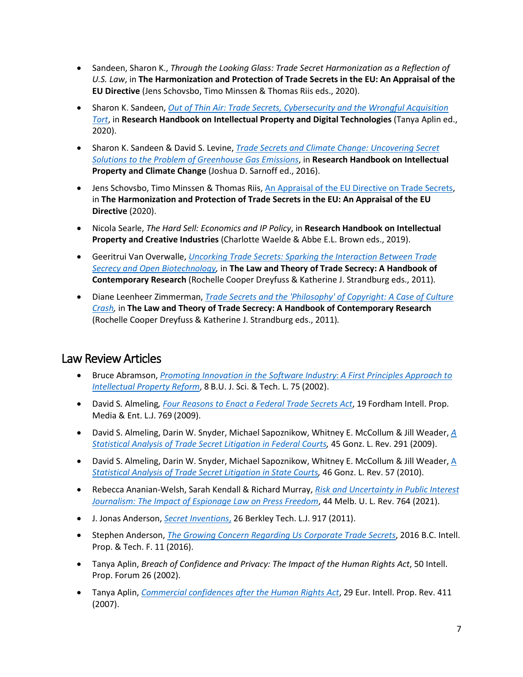- Sandeen, Sharon K., *Through the Looking Glass: Trade Secret Harmonization as a Reflection of U.S. Law*, in **The Harmonization and Protection of Trade Secrets in the EU: An Appraisal of the EU Directive** (Jens Schovsbo, Timo Minssen & Thomas Riis eds., 2020).
- Sharon K. Sandeen, *[Out of Thin Air: Trade Secrets, Cybersecurity and the Wrongful Acquisition](https://papers.ssrn.com/sol3/papers.cfm?abstract_id=3106034)  [Tort](https://papers.ssrn.com/sol3/papers.cfm?abstract_id=3106034)*, in **Research Handbook on Intellectual Property and Digital Technologies** (Tanya Aplin ed., 2020).
- Sharon K. Sandeen & David S. Levine, *[Trade Secrets and Climate Change: Uncovering Secret](https://papers.ssrn.com/sol3/papers.cfm?abstract_id=2490675)  [Solutions to the Problem of Greenhouse Gas Emissions](https://papers.ssrn.com/sol3/papers.cfm?abstract_id=2490675)*, in **Research Handbook on Intellectual Property and Climate Change** (Joshua D. Sarnoff ed., 2016).
- Jens Schovsbo, Timo Minssen & Thomas Riis, [An Appraisal of the EU Directive on Trade Secrets,](https://www.elgaronline.com/view/edcoll/9781788973335/9781788973335.xml) in **The Harmonization and Protection of Trade Secrets in the EU: An Appraisal of the EU Directive** (2020).
- Nicola Searle, *The Hard Sell: Economics and IP Policy*, in **Research Handbook on Intellectual Property and Creative Industries** (Charlotte Waelde & Abbe E.L. Brown eds., 2019).
- Geeritrui Van Overwalle, *[Uncorking Trade Secrets: Sparking the Interaction Between Trade](https://papers.ssrn.com/sol3/papers.cfm?abstract_id=1720082)  [Secrecy and Open Biotechnology,](https://papers.ssrn.com/sol3/papers.cfm?abstract_id=1720082)* in **The Law and Theory of Trade Secrecy: A Handbook of Contemporary Research** (Rochelle Cooper Dreyfuss & Katherine J. Strandburg eds., 2011)*.*
- Diane Leenheer Zimmerman, *[Trade Secrets and the 'Philosophy' of Copyright: A Case of Culture](https://papers.ssrn.com/sol3/papers.cfm?abstract_id=1438706)  [Crash,](https://papers.ssrn.com/sol3/papers.cfm?abstract_id=1438706)* in **The Law and Theory of Trade Secrecy: A Handbook of Contemporary Research** (Rochelle Cooper Dreyfuss & Katherine J. Strandburg eds., 2011)*.*

## Law Review Articles

- Bruce Abramson, *[Promoting Innovation in the Software Industry](http://www.bu.edu/law/journals-archive/scitech/volume81/abramson.pdf)*: *A First Principles Approach to [Intellectual Property Reform](http://www.bu.edu/law/journals-archive/scitech/volume81/abramson.pdf)*, 8 B.U. J. Sci. & Tech. L. 75 (2002).
- David S*.* Almeling*, [Four Reasons to Enact a Federal Trade Secrets Act](https://ir.lawnet.fordham.edu/cgi/viewcontent.cgi?article=1480&context=iplj)*, 19 Fordham Intell. Prop. Media & Ent. L.J. 769 (2009).
- David S. Almeling, Darin W. Snyder, Michael Sapoznikow, Whitney E. McCollum & Jill Weader, *[A](https://www.tradesecretsandemployeemobility.com/files/2014/05/Statistical-Analysis-of-Trade-Secret-Litigation-in.pdf)  [Statistical Analysis of Trade Secret Litigation in Federal Courts,](https://www.tradesecretsandemployeemobility.com/files/2014/05/Statistical-Analysis-of-Trade-Secret-Litigation-in.pdf)* 45 Gonz. L. Rev. 291 (2009).
- David S. [A](https://www.tradesecretslaw.com/wp-content/uploads/sites/232/uploads/file/Statistical%20Analysis%20of%20Trade%20Secret%20Litigation%20in%20State%20Courts.pdf)lmeling, Darin W. Snyder, Michael Sapoznikow, Whitney E. McCollum & Jill Weader,  $\underline{A}$ *[Statistical Analysis of Trade Secret Litigation in State Courts,](https://www.tradesecretslaw.com/wp-content/uploads/sites/232/uploads/file/Statistical%20Analysis%20of%20Trade%20Secret%20Litigation%20in%20State%20Courts.pdf)* 46 Gonz. L. Rev. 57 (2010).
- Rebecca Ananian-Welsh, Sarah Kendall & Richard Murray, *[Risk and Uncertainty in Public Interest](https://papers.ssrn.com/sol3/papers.cfm?abstract_id=4066896)  [Journalism: The Impact of Espionage Law on Press Freedom](https://papers.ssrn.com/sol3/papers.cfm?abstract_id=4066896)*, 44 Melb. U. L. Rev. 764 (2021).
- J. Jonas Anderson, *[Secret Inventions](https://papers.ssrn.com/sol3/papers.cfm?abstract_id=1970001)*, 26 Berkley Tech. L.J. 917 (2011).
- Stephen Anderson, *[The Growing Concern Regarding Us Corporate Trade Secrets](https://bciptf.org/wp-content/uploads/2016/03/EiC-Edit-10-pages-Stephen-Anderson-Spring-2016-SAJ-Growing-Concern-re-Trade-Secrets-Final-Draft-1.pdf)*, 2016 B.C. Intell. Prop. & Tech. F. 11 (2016).
- Tanya Aplin, *Breach of Confidence and Privacy: The Impact of the Human Rights Act*, 50 Intell. Prop. Forum 26 (2002).
- Tanya Aplin, *[Commercial confidences after the Human Rights Act](https://papers.ssrn.com/sol3/papers.cfm?abstract_id=2436989)*, 29 Eur. Intell. Prop. Rev. 411 (2007).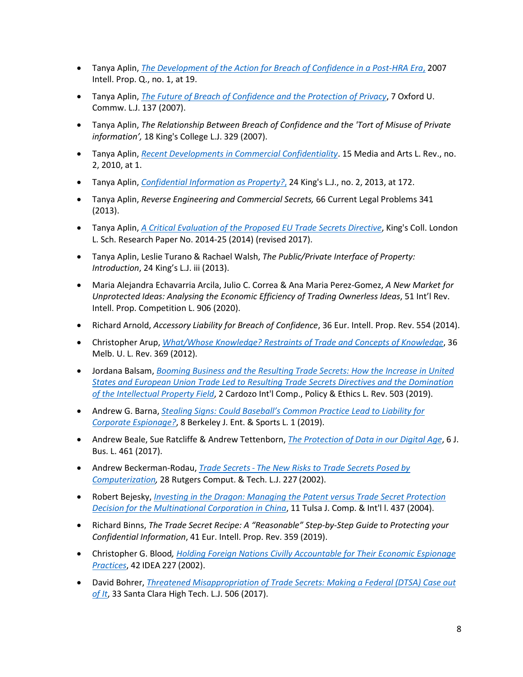- Tanya Aplin, *[The Development of the Action for Breach of Confidence in a Post-HRA Era](https://papers.ssrn.com/sol3/papers.cfm?abstract_id=2437014)*, 2007 Intell. Prop. Q., no. 1, at 19.
- Tanya Aplin, *[The Future of Breach of Confidence and the Protection of Privacy](https://papers.ssrn.com/sol3/papers.cfm?abstract_id=2399106)*, 7 Oxford U. Commw. L.J. 137 (2007).
- Tanya Aplin, *The Relationship Between Breach of Confidence and the 'Tort of Misuse of Private information',* 18 King's College L.J. 329 (2007).
- Tanya Aplin, *[Recent Developments in Commercial Confidentiality](https://papers.ssrn.com/sol3/papers.cfm?abstract_id=2437009)*. 15 Media and Arts L. Rev., no. 2, 2010, at 1.
- Tanya Aplin, *[Confidential Information as Property?](https://papers.ssrn.com/sol3/papers.cfm?abstract_id=2436983)*, 24 King's L.J., no. 2, 2013, at 172.
- Tanya Aplin, *Reverse Engineering and Commercial Secrets,* 66 Current Legal Problems 341 (2013).
- Tanya Aplin, *[A Critical Evaluation of the Proposed EU Trade Secrets Directive](https://papers.ssrn.com/sol3/papers.cfm?abstract_id=2467946)*, King's Coll. London L. Sch. Research Paper No. 2014-25 (2014) (revised 2017).
- Tanya Aplin, Leslie Turano & Rachael Walsh, *The Public/Private Interface of Property: Introduction*, 24 King's L.J. iii (2013).
- Maria Alejandra Echavarria Arcila, Julio C. Correa & Ana Maria Perez-Gomez, *A New Market for Unprotected Ideas: Analysing the Economic Efficiency of Trading Ownerless Ideas*, 51 Int'l Rev. Intell. Prop. Competition L. 906 (2020).
- Richard Arnold, *Accessory Liability for Breach of Confidence*, 36 Eur. Intell. Prop. Rev. 554 (2014).
- Christopher Arup, *[What/Whose Knowledge? Restraints of Trade and Concepts of Knowledge](https://law.unimelb.edu.au/__data/assets/pdf_file/0019/1700173/36_2_2.pdf)*, 36 Melb. U. L. Rev. 369 (2012).
- Jordana Balsam, *[Booming Business and the Resulting Trade Secrets: How the Increase in United](https://www.cardozociclr.com/_files/ugd/bc0e09_95b87fe0d1ca4dcb98eb67eaef34547f.pdf)  [States and European Union Trade Led to Resulting Trade Secrets](https://www.cardozociclr.com/_files/ugd/bc0e09_95b87fe0d1ca4dcb98eb67eaef34547f.pdf) Directives and the Domination [of the Intellectual Property Field](https://www.cardozociclr.com/_files/ugd/bc0e09_95b87fe0d1ca4dcb98eb67eaef34547f.pdf)*, 2 Cardozo Int'l Comp., Policy & Ethics L. Rev. 503 (2019).
- Andrew G. Barna, *[Stealing Signs: Could Baseball's Common Practice Lead to Liability for](https://papers.ssrn.com/sol3/papers.cfm?abstract_id=3264896)  [Corporate Espionage?](https://papers.ssrn.com/sol3/papers.cfm?abstract_id=3264896)*, 8 Berkeley J. Ent. & Sports L. 1 (2019).
- Andrew Beale, Sue Ratcliffe & Andrew Tettenborn, *[The Protection of Data in our Digital Age](https://cronfa.swan.ac.uk/Record/cronfa32489)*, 6 J. Bus. L. 461 (2017).
- Andrew Beckerman-Rodau, *Trade Secrets [The New Risks to Trade Secrets Posed by](https://papers.ssrn.com/sol3/papers.cfm?abstract_id=704661)  [Computerization,](https://papers.ssrn.com/sol3/papers.cfm?abstract_id=704661)* 28 Rutgers Comput. & Tech. L.J. 227 (2002).
- Robert Bejesky, *[Investing in the Dragon: Managing the Patent versus Trade Secret Protection](https://digitalcommons.law.utulsa.edu/cgi/viewcontent.cgi?article=1206&context=tjcil)  [Decision for the Multinational Corporation in China](https://digitalcommons.law.utulsa.edu/cgi/viewcontent.cgi?article=1206&context=tjcil)*, 11 Tulsa J. Comp. & Int'l l. 437 (2004).
- Richard Binns, *The Trade Secret Recipe: A "Reasonable" Step-by-Step Guide to Protecting your Confidential Information*, 41 Eur. Intell. Prop. Rev. 359 (2019).
- Christopher G. Blood*, [Holding Foreign Nations Civilly Accountable for Their Economic Espionage](https://www.ipmall.info/sites/default/files/hosted_resources/IDEA/2.Blood02.pdf)  [Practices](https://www.ipmall.info/sites/default/files/hosted_resources/IDEA/2.Blood02.pdf)*, 42 IDEA 227 (2002).
- David Bohrer, *[Threatened Misappropriation of Trade Secrets: Making a Federal \(DTSA\) Case out](https://www.merchantgould.com/portalresource/Threatened-Misappropriation-of-Trade-Secrets-David-C-Bohrer-SCHTLJ-2017.pdf)  [of It](https://www.merchantgould.com/portalresource/Threatened-Misappropriation-of-Trade-Secrets-David-C-Bohrer-SCHTLJ-2017.pdf)*, 33 Santa Clara High Tech. L.J. 506 (2017).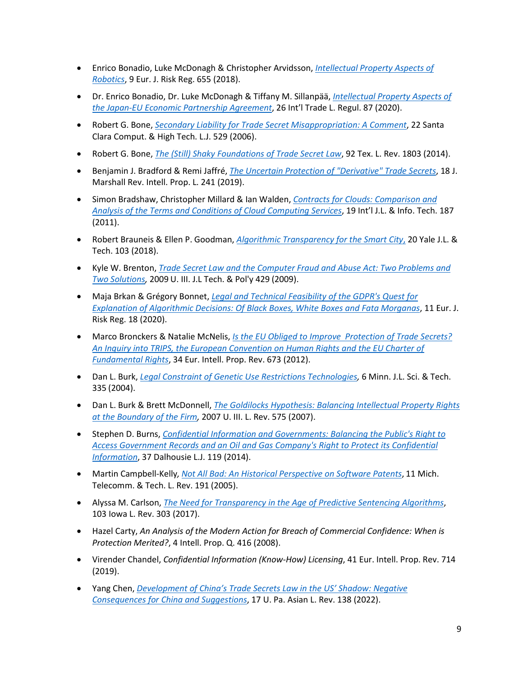- Enrico Bonadio, Luke McDonagh & Christopher Arvidsson, *[Intellectual Property Aspects of](https://papers.ssrn.com/sol3/papers.cfm?abstract_id=3329014)  [Robotics](https://papers.ssrn.com/sol3/papers.cfm?abstract_id=3329014)*, 9 Eur. J. Risk Reg. 655 (2018).
- Dr. Enrico Bonadio, Dr. Luke McDonagh & Tiffany M. Sillanpää, *[Intellectual Property Aspects of](https://papers.ssrn.com/sol3/papers.cfm?abstract_id=3607202)  [the Japan-EU Economic Partnership Agreement](https://papers.ssrn.com/sol3/papers.cfm?abstract_id=3607202)*, 26 Int'l Trade L. Regul. 87 (2020).
- Robert G. Bone, *[Secondary Liability for Trade Secret Misappropriation: A Comment](https://digitalcommons.law.scu.edu/cgi/viewcontent.cgi?article=1410&context=chtlj)*, 22 Santa Clara Comput. & High Tech. L.J. 529 (2006).
- Robert G. Bone, *[The \(Still\) Shaky Foundations of Trade Secret Law](http://texaslawreview.org/wp-content/uploads/2015/08/Bone-92-7.pdf)*, 92 Tex. L. Rev. 1803 (2014).
- Benjamin J. Bradford & Remi Jaffré, *[The Uncertain Protection of "Derivative" Trade Secrets](https://repository.law.uic.edu/cgi/viewcontent.cgi?article=1455&context=ripl)*, 18 J. Marshall Rev. Intell. Prop. L. 241 (2019).
- Simon Bradshaw, Christopher Millard & Ian Walden, *[Contracts for Clouds: Comparison and](https://papers.ssrn.com/sol3/papers.cfm?abstract_id=1662374)  [Analysis of the Terms and Conditions of Cloud Computing Services](https://papers.ssrn.com/sol3/papers.cfm?abstract_id=1662374)*, 19 Int'l J.L. & Info. Tech. 187 (2011).
- Robert Brauneis & Ellen P. Goodman, *[Algorithmic Transparency for the Smart City](https://yjolt.org/sites/default/files/20_yale_j._l._tech._103.pdf)*, 20 Yale J.L. & Tech. 103 (2018).
- Kyle W. Brenton, *[Trade Secret Law and the Computer Fraud and Abuse Act: Two Problems and](https://illinoisjltp.com/journal/wp-content/uploads/2013/10/Brenton.pdf)  [Two Solutions,](https://illinoisjltp.com/journal/wp-content/uploads/2013/10/Brenton.pdf)* 2009 U. III. J.L Tech. & Pol'y 429 (2009).
- Maja Brkan & Grégory Bonnet, *[Legal and Technical Feasibility of the GDPR's Quest for](https://www.cambridge.org/core/services/aop-cambridge-core/content/view/7324CDE80A300179C170C5BA8CA7E851/S1867299X20000100a.pdf/legal-and-technical-feasibility-of-the-gdprs-quest-for-explanation-of-algorithmic-decisions-of-black-boxes-white-boxes-and-fata-morganas.pdf)  [Explanation of Algorithmic Decisions: Of Black Boxes, White Boxes and Fata Morganas](https://www.cambridge.org/core/services/aop-cambridge-core/content/view/7324CDE80A300179C170C5BA8CA7E851/S1867299X20000100a.pdf/legal-and-technical-feasibility-of-the-gdprs-quest-for-explanation-of-algorithmic-decisions-of-black-boxes-white-boxes-and-fata-morganas.pdf)*, 11 Eur. J. Risk Reg. 18 (2020).
- Marco Bronckers & Natalie McNelis, *[Is the EU Obliged to Improve Protection of Trade Secrets?](https://papers.ssrn.com/sol3/papers.cfm?abstract_id=2149101)  [An Inquiry into TRIPS, the European Convention on Human](https://papers.ssrn.com/sol3/papers.cfm?abstract_id=2149101) Rights and the EU Charter of [Fundamental Rights](https://papers.ssrn.com/sol3/papers.cfm?abstract_id=2149101)*, 34 Eur. Intell. Prop. Rev. 673 (2012).
- Dan L. Burk, *[Legal Constraint of Genetic Use Restrictions Technologies,](https://scholarship.law.umn.edu/cgi/viewcontent.cgi?article=1328&context=mjlst)* 6 Minn. J.L. Sci. & Tech. 335 (2004).
- Dan L. Burk & Brett McDonnell, *[The Goldilocks Hypothesis: Balancing Intellectual Property Rights](https://scholarship.law.umn.edu/cgi/viewcontent.cgi?article=1181&context=faculty_articles)  [at the Boundary of the Firm,](https://scholarship.law.umn.edu/cgi/viewcontent.cgi?article=1181&context=faculty_articles)* 2007 U. III. L. Rev. 575 (2007).
- Stephen D. Burns, *Confidential Information [and Governments: Balancing the Public's Right to](https://digitalcommons.schulichlaw.dal.ca/dlj/vol37/iss1/5/)  [Access Government Records and an Oil and Gas Company's Right to Protect its Confidential](https://digitalcommons.schulichlaw.dal.ca/dlj/vol37/iss1/5/)  [Information](https://digitalcommons.schulichlaw.dal.ca/dlj/vol37/iss1/5/)*, 37 Dalhousie L.J. 119 (2014).
- Martin Campbell-Kelly*, [Not All Bad: An Historical Perspective on Software Patents](https://repository.law.umich.edu/cgi/viewcontent.cgi?article=1116&context=mttlr)*, 11 Mich. Telecomm. & Tech. L. Rev. 191 (2005).
- Alyssa M. Carlson, *[The Need for Transparency in the Age of Predictive Sentencing Algorithms](https://ilr.law.uiowa.edu/assets/Uploads/ILR-103-1-Carlson.pdf)*, 103 Iowa L. Rev. 303 (2017).
- Hazel Carty, *An Analysis of the Modern Action for Breach of Commercial Confidence: When is Protection Merited?*, 4 Intell. Prop. Q. 416 (2008).
- Virender Chandel, *Confidential Information (Know-How) Licensing*, 41 Eur. Intell. Prop. Rev. 714 (2019).
- Yang Chen, *[Development of China's Trade Secrets Law in the US' Shadow: Negative](https://scholarship.law.upenn.edu/alr/vol17/iss1/4/)  [Consequences for China and Suggestions](https://scholarship.law.upenn.edu/alr/vol17/iss1/4/)*, 17 U. Pa. Asian L. Rev. 138 (2022).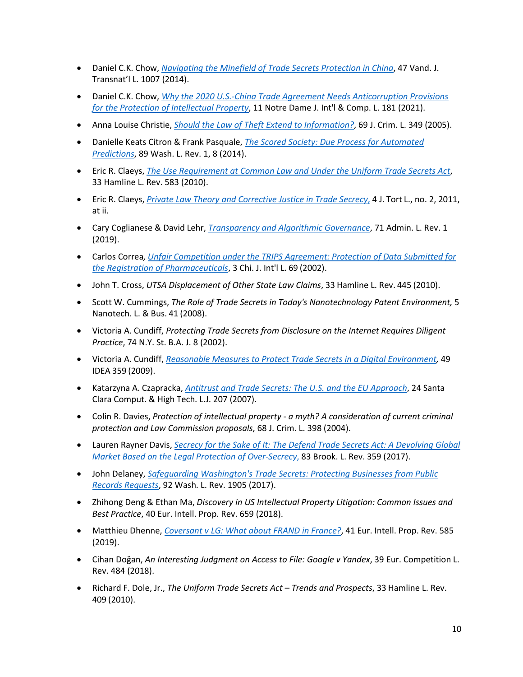- Daniel C.K. Chow, *[Navigating the Minefield of Trade Secrets Protection in China](https://scholarship.law.vanderbilt.edu/cgi/viewcontent.cgi?article=1235&context=vjtl)*, 47 Vand. J. Transnat'l L. 1007 (2014).
- Daniel C.K. Chow, *[Why the 2020 U.S.-China Trade Agreement Needs Anticorruption Provisions](https://scholarship.law.nd.edu/cgi/viewcontent.cgi?article=1141&context=ndjicl)  [for the Protection of Intellectual Property](https://scholarship.law.nd.edu/cgi/viewcontent.cgi?article=1141&context=ndjicl)*, 11 Notre Dame J. Int'l & Comp. L. 181 (2021).
- Anna Louise Christie, *[Should the Law of Theft Extend to Information?](https://www.researchgate.net/publication/249899811_Should_the_Law_of_Theft_Extend_to_Information)*, 69 J. Crim. L. 349 (2005).
- Danielle Keats Citron & Frank Pasquale, *[The Scored Society: Due Process for Automated](https://papers.ssrn.com/sol3/papers.cfm?abstract_id=2376209)  [Predictions](https://papers.ssrn.com/sol3/papers.cfm?abstract_id=2376209)*, 89 Wash. L. Rev. 1, 8 (2014).
- Eric R. Claeys, *[The Use Requirement at Common Law and Under the Uniform Trade Secrets Act](https://heinonline.org/HOL/P?h=hein.journals/hamlrv33&i=589)*, 33 Hamline L. Rev. 583 (2010).
- Eric R. Claeys, *[Private Law Theory and Corrective Justice in Trade Secrecy](https://papers.ssrn.com/sol3/papers.cfm?abstract_id=1799554)*, 4 J. Tort L., no. 2, 2011, at ii.
- Cary Coglianese & David Lehr, *[Transparency and Algorithmic Governance](https://scholarship.law.upenn.edu/cgi/viewcontent.cgi?article=3125&context=faculty_scholarship)*, 71 Admin. L. Rev. 1 (2019).
- Carlos Correa*, [Unfair Competition under the TRIPS Agreement: Protection of Data Submitted for](https://chicagounbound.uchicago.edu/cjil/vol3/iss1/8/)  [the Registration of Pharmaceuticals](https://chicagounbound.uchicago.edu/cjil/vol3/iss1/8/)*, 3 Chi. J. Int'l L. 69 (2002).
- John T. Cross, *UTSA Displacement of Other State Law Claims*, 33 Hamline L. Rev. 445 (2010).
- Scott W. Cummings, *The Role of Trade Secrets in Today's Nanotechnology Patent Environment,* 5 Nanotech. L. & Bus. 41 (2008).
- Victoria A. Cundiff, *Protecting Trade Secrets from Disclosure on the Internet Requires Diligent Practice*, 74 N.Y. St. B.A. J. 8 (2002).
- Victoria A. Cundiff, *[Reasonable Measures to Protect Trade Secrets in a Digital Environment,](https://ipmall.law.unh.edu/sites/default/files/hosted_resources/IDEA/idea-vol49-no3-cundiff.pdf)* 49 IDEA 359 (2009).
- Katarzyna A. Czapracka, *[Antitrust and Trade Secrets: The U.S. and the EU Approach](https://digitalcommons.law.scu.edu/cgi/viewcontent.cgi?article=1447&context=chtlj)*, 24 Santa Clara Comput. & High Tech. L.J. 207 (2007).
- Colin R. Davies, *Protection of intellectual property - a myth? A consideration of current criminal protection and Law Commission proposals*, 68 J. Crim. L. 398 (2004).
- Lauren Rayner Davis, *[Secrecy for the Sake of It: The Defend Trade Secrets Act: A Devolving Global](https://brooklynworks.brooklaw.edu/cgi/viewcontent.cgi?article=2117&context=blr)  [Market Based on the Legal Protection of Over-Secrecy](https://brooklynworks.brooklaw.edu/cgi/viewcontent.cgi?article=2117&context=blr)*, 83 Brook. L. Rev. 359 (2017).
- John Delaney, *[Safeguarding Washington's Trade Secrets: Protecting Businesses from Public](https://www.law.uw.edu/wlr/print-edition/print-edition/vol-92/4/safeguarding-washington-s-trade-secrets-protecting-businesses-from-public-records-requests)  [Records Requests](https://www.law.uw.edu/wlr/print-edition/print-edition/vol-92/4/safeguarding-washington-s-trade-secrets-protecting-businesses-from-public-records-requests)*, 92 Wash. L. Rev. 1905 (2017).
- Zhihong Deng & Ethan Ma, *Discovery in US Intellectual Property Litigation: Common Issues and Best Practice*, 40 Eur. Intell. Prop. Rev. 659 (2018).
- Matthieu Dhenne, *[Coversant v LG: What about FRAND in France?](https://halshs.archives-ouvertes.fr/halshs-02970428/document)*, 41 Eur. Intell. Prop. Rev. 585 (2019).
- Cihan Doğan, *An Interesting Judgment on Access to File: Google v Yandex*, 39 Eur. Competition L. Rev. 484 (2018).
- Richard F. Dole, Jr., *The Uniform Trade Secrets Act – Trends and Prospects*, 33 Hamline L. Rev. 409 (2010).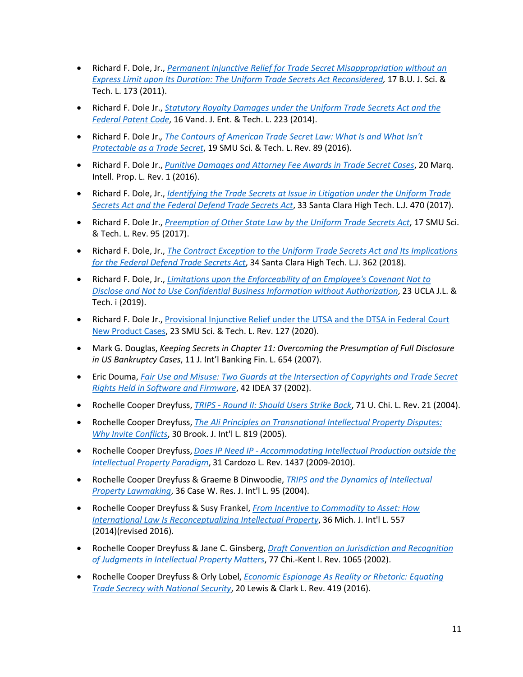- Richard F. Dole, Jr., *[Permanent Injunctive Relief for Trade Secret Misappropriation without an](https://papers.ssrn.com/sol3/papers.cfm?abstract_id=2930133)  [Express Limit upon Its Duration: The Uniform Trade Secrets Act Reconsidered,](https://papers.ssrn.com/sol3/papers.cfm?abstract_id=2930133)* 17 B.U. J. Sci. & Tech. L. 173 (2011).
- Richard F. Dole Jr., *[Statutory Royalty Damages under the Uniform Trade Secrets Act and the](https://scholarship.law.vanderbilt.edu/cgi/viewcontent.cgi?article=1195&context=jetlaw)  [Federal Patent Code](https://scholarship.law.vanderbilt.edu/cgi/viewcontent.cgi?article=1195&context=jetlaw)*, 16 Vand. J. Ent. & Tech. L. 223 (2014).
- Richard F. Dole Jr.*, [The Contours of American Trade Secret Law: What Is and What Isn't](https://scholar.smu.edu/cgi/viewcontent.cgi?article=1035&context=scitech)  [Protectable as a Trade Secret](https://scholar.smu.edu/cgi/viewcontent.cgi?article=1035&context=scitech)*, 19 SMU Sci. & Tech. L. Rev. 89 (2016).
- Richard F. Dole Jr., *[Punitive Damages and Attorney Fee Awards in Trade Secret Cases](https://papers.ssrn.com/sol3/papers.cfm?abstract_id=2958404)*, 20 Marq. Intell. Prop. L. Rev. 1 (2016).
- Richard F. Dole, Jr., *[Identifying the Trade Secrets at Issue in Litigation under the Uniform Trade](https://papers.ssrn.com/sol3/papers.cfm?abstract_id=2970742)  [Secrets Act and the Federal Defend Trade Secrets Act](https://papers.ssrn.com/sol3/papers.cfm?abstract_id=2970742)*, 33 Santa Clara High Tech. L.J. 470 (2017).
- Richard F. Dole Jr., *[Preemption of Other State Law by the Uniform Trade Secrets Act](https://scholar.smu.edu/cgi/viewcontent.cgi?article=1059&context=scitech)*, 17 SMU Sci. & Tech. L. Rev. 95 (2017).
- Richard F. Dole, Jr., *[The Contract Exception to the Uniform Trade Secrets Act and Its Implications](https://papers.ssrn.com/sol3/papers.cfm?abstract_id=3191266)  [for the Federal Defend Trade Secrets Act](https://papers.ssrn.com/sol3/papers.cfm?abstract_id=3191266)*, 34 Santa Clara High Tech. L.J. 362 (2018).
- Richard F. Dole, Jr., *[Limitations upon the Enforceability of an Employee's Covenant Not to](https://uclajolt.com/limitations-upon-the-enforceability-of-an-employees-covenant-not-to-disclose-and-not-to-use-confidential-business-information-without-authorization/)  [Disclose and Not to Use Confidential Business Information without Authorization](https://uclajolt.com/limitations-upon-the-enforceability-of-an-employees-covenant-not-to-disclose-and-not-to-use-confidential-business-information-without-authorization/)*, 23 UCLA J.L. & Tech. i (2019).
- Richard F. Dole Jr., [Provisional Injunctive Relief under the UTSA and the DTSA in Federal Court](https://scholar.smu.edu/cgi/viewcontent.cgi?article=1307&context=scitech)  [New Product Cases,](https://scholar.smu.edu/cgi/viewcontent.cgi?article=1307&context=scitech) 23 SMU Sci. & Tech. L. Rev. 127 (2020).
- Mark G. Douglas, *Keeping Secrets in Chapter 11: Overcoming the Presumption of Full Disclosure in US Bankruptcy Cases*, 11 J. Int'l Banking Fin. L. 654 (2007).
- Eric Douma, *[Fair Use and Misuse: Two Guards at the Intersection of Copyrights and Trade Secret](https://www.ipmall.info/sites/default/files/hosted_resources/IDEA/3.Douma02.pdf)  [Rights Held in Software and Firmware](https://www.ipmall.info/sites/default/files/hosted_resources/IDEA/3.Douma02.pdf)*, 42 IDEA 37 (2002).
- Rochelle Cooper Dreyfuss, *TRIPS - [Round II: Should Users Strike Back](https://chicagounbound.uchicago.edu/uclrev/vol71/iss1/3/)*, 71 U. Chi. L. Rev. 21 (2004).
- Rochelle Cooper Dreyfuss, *[The Ali Principles on Transnational Intellectual Property Disputes:](https://brooklynworks.brooklaw.edu/cgi/viewcontent.cgi?article=1287&context=bjil) [Why Invite Conflicts](https://brooklynworks.brooklaw.edu/cgi/viewcontent.cgi?article=1287&context=bjil)*, 30 Brook. J. Int'l L. 819 (2005).
- Rochelle Cooper Dreyfuss, *Does IP Need IP - [Accommodating Intellectual Production outside the](https://papers.ssrn.com/sol3/papers.cfm?abstract_id=1639590)  [Intellectual Property Paradigm](https://papers.ssrn.com/sol3/papers.cfm?abstract_id=1639590)*, 31 Cardozo L. Rev. 1437 (2009-2010).
- Rochelle Cooper Dreyfuss & Graeme B Dinwoodie, *[TRIPS and the Dynamics of Intellectual](https://scholarlycommons.law.case.edu/jil/vol36/iss1/5/)  [Property Lawmaking](https://scholarlycommons.law.case.edu/jil/vol36/iss1/5/)*, 36 Case W. Res. J. Int'l L. 95 (2004).
- Rochelle Cooper Dreyfuss & Susy Frankel, *[From Incentive to Commodity to Asset: How](https://papers.ssrn.com/sol3/papers.cfm?abstract_id=2503135)  [International Law Is Reconceptualizing Intellectual Property](https://papers.ssrn.com/sol3/papers.cfm?abstract_id=2503135)*, 36 Mich. J. Int'l L. 557 (2014)(revised 2016).
- Rochelle Cooper Dreyfuss & Jane C. Ginsberg, *[Draft Convention on Jurisdiction and Recognition](https://scholarship.kentlaw.iit.edu/cgi/viewcontent.cgi?article=3376&context=cklawreview)  [of Judgments in Intellectual Property Matters](https://scholarship.kentlaw.iit.edu/cgi/viewcontent.cgi?article=3376&context=cklawreview)*, 77 Chi.-Kent l. Rev. 1065 (2002).
- Rochelle Cooper Dreyfuss & Orly Lobel, *[Economic Espionage As Reality or Rhetoric: Equating](https://law.lclark.edu/live/files/22071-lcb202art3dreyfuss-lobelpdf)  [Trade Secrecy with National Security](https://law.lclark.edu/live/files/22071-lcb202art3dreyfuss-lobelpdf)*, 20 Lewis & Clark L. Rev. 419 (2016).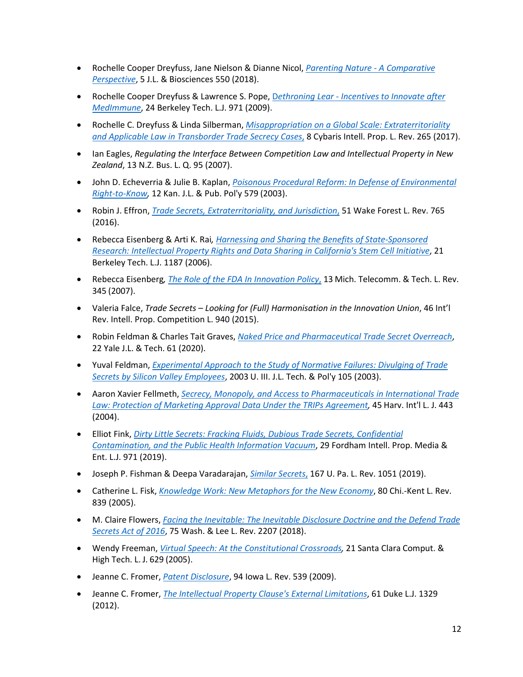- Rochelle Cooper Dreyfuss, Jane Nielson & Dianne Nicol, *[Parenting Nature -](https://academic.oup.com/jlb/article/5/3/550/5114251) A Comparative [Perspective](https://academic.oup.com/jlb/article/5/3/550/5114251)*, 5 J.L. & Biosciences 550 (2018).
- Rochelle Cooper Dreyfuss & Lawrence S. Pope, D*ethroning Lear - [Incentives to Innovate after](https://papers.ssrn.com/sol3/papers.cfm?abstract_id=1439884)  [MedImmune](https://papers.ssrn.com/sol3/papers.cfm?abstract_id=1439884)*, 24 Berkeley Tech. L.J. 971 (2009).
- Rochelle C. Dreyfuss & Linda Silberman, *[Misappropriation on a Global Scale: Extraterritoriality](https://open.mitchellhamline.edu/cybaris/vol8/iss2/4/)  [and Applicable Law in Transborder Trade Secrecy Cases](https://open.mitchellhamline.edu/cybaris/vol8/iss2/4/)*, 8 Cybaris Intell. Prop. L. Rev. 265 (2017).
- Ian Eagles, *Regulating the Interface Between Competition Law and Intellectual Property in New Zealand*, 13 N.Z. Bus. L. Q. 95 (2007).
- John D. Echeverria & Julie B. Kaplan, *[Poisonous Procedural Reform: In Defense of Environmental](http://gelpi.org/gelpi/research_archive/right_to_know/PoisonousProceduralReform.pdf)  [Right-to-Know,](http://gelpi.org/gelpi/research_archive/right_to_know/PoisonousProceduralReform.pdf)* 12 Kan. J.L. & Pub. Pol'y 579 (2003).
- Robin J. Effron, *[Trade Secrets, Extraterritoriality, and Jurisdiction](https://brooklynworks.brooklaw.edu/cgi/viewcontent.cgi?article=1866&context=faculty)*, 51 Wake Forest L. Rev. 765 (2016).
- Rebecca Eisenberg & Arti K. Rai*, [Harnessing and Sharing the Benefits of State-Sponsored](https://papers.ssrn.com/sol3/papers.cfm?abstract_id=941146)  [Research: Intellectual Property Rights and Data Sharing in California's Stem Cell Initiative](https://papers.ssrn.com/sol3/papers.cfm?abstract_id=941146)*, 21 Berkeley Tech. L.J. 1187 (2006).
- Rebecca Eisenberg*, [The Role of the FDA In Innovation Policy](https://repository.law.umich.edu/cgi/viewcontent.cgi?article=1087&context=mttlr)*, 13 Mich. Telecomm. & Tech. L. Rev. 345 (2007).
- Valeria Falce, *Trade Secrets – Looking for (Full) Harmonisation in the Innovation Union*, 46 Int'l Rev. Intell. Prop. Competition L. 940 (2015).
- Robin Feldman & Charles Tait Graves, *[Naked Price and Pharmaceutical Trade Secret Overreach](https://repository.uchastings.edu/cgi/viewcontent.cgi?article=2771&context=faculty_scholarship)*, 22 Yale J.L. & Tech. 61 (2020).
- Yuval Feldman, *[Experimental Approach to the Study of Normative Failures: Divulging of Trade](https://illinoisjltp.com/journal/wp-content/uploads/2013/10/feldman.pdf)  [Secrets by Silicon Valley Employees](https://illinoisjltp.com/journal/wp-content/uploads/2013/10/feldman.pdf)*, 2003 U. III. J.L. Tech. & Pol'y 105 (2003).
- Aaron Xavier Fellmeth, *[Secrecy, Monopoly, and Access to Pharmaceuticals in International Trade](https://papers.ssrn.com/sol3/papers.cfm?abstract_id=1405447)  [Law: Protection of Marketing Approval Data Under the TRIPs Agreement,](https://papers.ssrn.com/sol3/papers.cfm?abstract_id=1405447)* 45 Harv. Int'l L. J. 443 (2004).
- Elliot Fink, *[Dirty Little Secrets: Fracking Fluids, Dubious Trade Secrets, Confidential](https://ir.lawnet.fordham.edu/iplj/vol29/iss3/5/)  [Contamination, and the Public Health Information Vacuum](https://ir.lawnet.fordham.edu/iplj/vol29/iss3/5/)*, 29 Fordham Intell. Prop. Media & Ent. L.J. 971 (2019).
- Joseph P. Fishman & Deepa Varadarajan, *[Similar Secrets](https://papers.ssrn.com/sol3/papers.cfm?abstract_id=3295317)*, 167 U. Pa. L. Rev. 1051 (2019).
- Catherine L. Fisk, *[Knowledge Work: New Metaphors for the New Economy](https://scholarship.kentlaw.iit.edu/cklawreview/vol80/iss2/10/)*, 80 Chi.-Kent L. Rev. 839 (2005).
- M. Claire Flowers, *[Facing the Inevitable: The Inevitable Disclosure Doctrine and the Defend Trade](https://scholarlycommons.law.wlu.edu/wlulr/vol75/iss4/9/)  [Secrets Act of 2016](https://scholarlycommons.law.wlu.edu/wlulr/vol75/iss4/9/)*, 75 Wash. & Lee L. Rev. 2207 (2018).
- Wendy Freeman, *Virtual [Speech: At the Constitutional Crossroads,](https://digitalcommons.law.scu.edu/chtlj/vol21/iss4/1/)* 21 Santa Clara Comput. & High Tech. L. J. 629 (2005).
- Jeanne C. Fromer, *[Patent Disclosure](https://papers.ssrn.com/sol3/papers.cfm?abstract_id=1116020)*, 94 Iowa L. Rev. 539 (2009).
- Jeanne C. Fromer, *[The Intellectual Property Clause's External Limitations](https://scholarship.law.duke.edu/dlj/vol61/iss7/1/)*, 61 Duke L.J. 1329 (2012).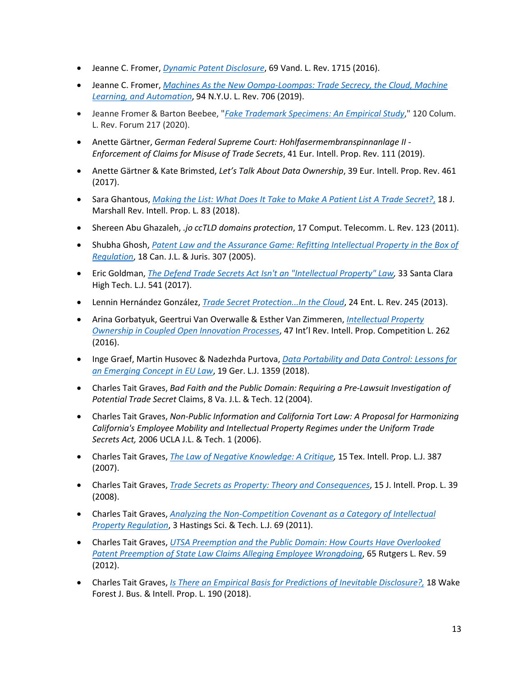- Jeanne C. Fromer, *[Dynamic Patent Disclosure](https://papers.ssrn.com/sol3/papers.cfm?abstract_id=2876886)*, 69 Vand. L. Rev. 1715 (2016).
- Jeanne C. Fromer, *[Machines As the New Oompa-Loompas: Trade Secrecy, the Cloud, Machine](https://papers.ssrn.com/sol3/papers.cfm?abstract_id=3359746)  [Learning, and Automation](https://papers.ssrn.com/sol3/papers.cfm?abstract_id=3359746)*, 94 N.Y.U. L. Rev. 706 (2019).
- Jeanne Fromer & Barton Beebee, "*[Fake Trademark Specimens: An Empirical Study](https://papers.ssrn.com/sol3/papers.cfm?abstract_id=3556121)*," 120 Colum. L. Rev. Forum 217 (2020).
- Anette Gärtner, *German Federal Supreme Court: Hohlfasermembranspinnanlage II - Enforcement of Claims for Misuse of Trade Secrets*, 41 Eur. Intell. Prop. Rev. 111 (2019).
- Anette Gärtner & Kate Brimsted, *Let's Talk About Data Ownership*, 39 Eur. Intell. Prop. Rev. 461 (2017).
- Sara Ghantous, *[Making the List: What Does It Take to Make A Patient List A Trade Secret?](https://repository.law.uic.edu/cgi/viewcontent.cgi?article=1448&context=ripl#:%7E:text=patients%20were%20a%20trade%20secret,of%20business%3B%E2%80%9D%20%E2%80%9Cthe%20patient)*, 18 J. Marshall Rev. Intell. Prop. L. 83 (2018).
- Shereen Abu Ghazaleh, *.jo ccTLD domains protection*, 17 Comput. Telecomm. L. Rev. 123 (2011).
- Shubha Ghosh, *[Patent Law and the Assurance Game: Refitting Intellectual Property in the Box of](https://papers.ssrn.com/sol3/papers.cfm?abstract_id=870166)  [Regulation](https://papers.ssrn.com/sol3/papers.cfm?abstract_id=870166)*, 18 Can. J.L. & Juris. 307 (2005).
- Eric Goldman, *[The Defend Trade Secrets Act Isn't an "Intellectual Property" Law,](https://papers.ssrn.com/sol3/papers.cfm?abstract_id=2924827)* 33 Santa Clara High Tech. L.J. 541 (2017).
- Lennin Hernández González, *[Trade Secret Protection...In the Cloud](https://papers.ssrn.com/sol3/papers.cfm?abstract_id=2912905)*, 24 Ent. L. Rev. 245 (2013).
- Arina Gorbatyuk, Geertrui Van Overwalle & Esther Van Zimmeren, *[Intellectual Property](https://papers.ssrn.com/sol3/papers.cfm?abstract_id=4129944)  [Ownership in Coupled Open Innovation Processes](https://papers.ssrn.com/sol3/papers.cfm?abstract_id=4129944)*, 47 Int'l Rev. Intell. Prop. Competition L. 262 (2016).
- Inge Graef, Martin Husovec & Nadezhda Purtova, *[Data Portability and Data Control: Lessons for](https://papers.ssrn.com/sol3/papers.cfm?abstract_id=3071875)  [an Emerging Concept in EU Law](https://papers.ssrn.com/sol3/papers.cfm?abstract_id=3071875)*, 19 Ger. L.J. 1359 (2018).
- Charles Tait Graves, *Bad Faith and the Public Domain: Requiring a Pre-Lawsuit Investigation of Potential Trade Secret* Claims, 8 Va. J.L. & Tech. 12 (2004).
- Charles Tait Graves, *Non-Public Information and California Tort Law: A Proposal for Harmonizing California's Employee Mobility and Intellectual Property Regimes under the Uniform Trade Secrets Act,* 2006 UCLA J.L. & Tech. 1 (2006).
- Charles Tait Graves, *[The Law of Negative Knowledge: A Critique,](https://tiplj.org/wp-content/uploads/Volumes/v15/v15p387.pdf)* 15 Tex. Intell. Prop. L.J. 387 (2007).
- Charles Tait Graves, *[Trade Secrets as Property: Theory and Consequences](https://digitalcommons.law.uga.edu/cgi/viewcontent.cgi?referer=&httpsredir=1&article=1292&context=jipl)*, 15 J. Intell. Prop. L. 39 (2008).
- Charles Tait Graves, *[Analyzing the Non-Competition Covenant as a Category of Intellectual](https://repository.uchastings.edu/hastings_science_technology_law_journal/vol3/iss1/2/)  [Property Regulation](https://repository.uchastings.edu/hastings_science_technology_law_journal/vol3/iss1/2/)*, 3 Hastings Sci. & Tech. L.J. 69 (2011).
- Charles Tait Graves, *[UTSA Preemption and the Public Domain: How Courts Have Overlooked](https://papers.ssrn.com/sol3/papers.cfm?abstract_id=2113536)  [Patent Preemption of State Law Claims Alleging Employee Wrongdoing](https://papers.ssrn.com/sol3/papers.cfm?abstract_id=2113536)*, 65 Rutgers L. Rev. 59 (2012).
- Charles Tait Graves, *[Is There an Empirical Basis for Predictions of Inevitable Disclosure?,](http://ipjournal.law.wfu.edu/files/2018/05/graves.pdf)* 18 Wake Forest J. Bus. & Intell. Prop. L. 190 (2018).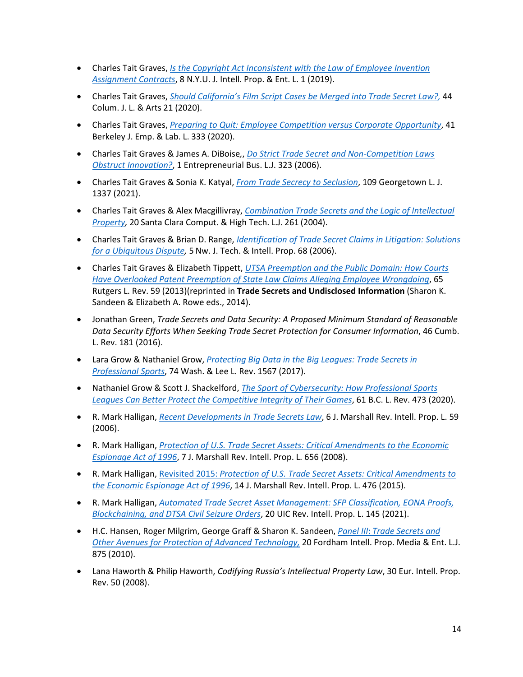- Charles Tait Graves, *[Is the Copyright Act Inconsistent with the Law of Employee Invention](https://jipel.law.nyu.edu/vol-8-no-1-1-graves/#:%7E:text=A.,-Work%20for%20Hire&text=The%20work%20for%20hire%20doctrine%20allocates%20ownership%20of%20copyrightable%20works,copyrightable%20and%20a%20trade%20secret.)  [Assignment Contracts](https://jipel.law.nyu.edu/vol-8-no-1-1-graves/#:%7E:text=A.,-Work%20for%20Hire&text=The%20work%20for%20hire%20doctrine%20allocates%20ownership%20of%20copyrightable%20works,copyrightable%20and%20a%20trade%20secret.)*, 8 N.Y.U. J. Intell. Prop. & Ent. L. 1 (2019).
- Charles Tait Graves, *[Should California's Film Script Cases be Merged into Trade Secret Law?,](https://journals.library.columbia.edu/index.php/lawandarts/article/view/7310)* 44 Colum. J. L. & Arts 21 (2020).
- Charles Tait Graves, *[Preparing to Quit: Employee Competition versus Corporate Opportunity](https://lawcat.berkeley.edu/record/1188668)*, 41 Berkeley J. Emp. & Lab. L. 333 (2020).
- Charles Tait Graves & James A. DiBoise*,*, *[Do Strict Trade Secret and Non-Competition Laws](https://kb.osu.edu/bitstream/handle/1811/78293/1/OSBLJ_V1N2_323.pdf)  [Obstruct Innovation?](https://kb.osu.edu/bitstream/handle/1811/78293/1/OSBLJ_V1N2_323.pdf)*, 1 Entrepreneurial Bus. L.J. 323 (2006).
- Charles Tait Graves & Sonia K. Katyal, *[From Trade Secrecy to Seclusion](https://www.law.georgetown.edu/georgetown-law-journal/wp-content/uploads/sites/26/2021/08/Graves_Katyal_From-Trade-Secrecy-to-Seclusion.pdf)*, 109 Georgetown L. J. 1337 (2021).
- Charles Tait Graves & Alex Macgillivray, *[Combination Trade Secrets and the Logic of Intellectual](https://digitalcommons.law.scu.edu/cgi/viewcontent.cgi?article=1342&context=chtlj#:%7E:text=One%20theory%20of%20trade%20secret,be%20treated%20as%20intellectual%20property.)  [Property,](https://digitalcommons.law.scu.edu/cgi/viewcontent.cgi?article=1342&context=chtlj#:%7E:text=One%20theory%20of%20trade%20secret,be%20treated%20as%20intellectual%20property.)* 20 Santa Clara Comput. & High Tech. L.J. 261 (2004).
- Charles Tait Graves & Brian D. Range, *[Identification of Trade Secret Claims in Litigation: Solutions](https://scholarlycommons.law.northwestern.edu/cgi/viewcontent.cgi?article=1049&context=njtip)  [for a Ubiquitous Dispute,](https://scholarlycommons.law.northwestern.edu/cgi/viewcontent.cgi?article=1049&context=njtip)* 5 Nw. J. Tech. & Intell. Prop. 68 (2006).
- Charles Tait Graves & Elizabeth Tippett, *[UTSA Preemption and the Public Domain: How Courts](http://www.rutgerslawreview.com/wp-content/uploads/archive/vol65/issue1/Graves.pdf)  [Have Overlooked Patent Preemption of State Law Claims Alleging Employee Wrongdoing](http://www.rutgerslawreview.com/wp-content/uploads/archive/vol65/issue1/Graves.pdf)*, 65 Rutgers L. Rev. 59 (2013)(reprinted in **Trade Secrets and Undisclosed Information** (Sharon K. Sandeen & Elizabeth A. Rowe eds., 2014).
- Jonathan Green, *Trade Secrets and Data Security: A Proposed Minimum Standard of Reasonable Data Security Efforts When Seeking Trade Secret Protection for Consumer Information*, 46 Cumb. L. Rev. 181 (2016).
- Lara Grow & Nathaniel Grow, *[Protecting Big Data in the Big Leagues: Trade Secrets in](https://scholarlycommons.law.wlu.edu/wlulr/vol74/iss3/7/)  [Professional Sports](https://scholarlycommons.law.wlu.edu/wlulr/vol74/iss3/7/)*, 74 Wash. & Lee L. Rev. 1567 (2017).
- Nathaniel Grow & Scott J. Shackelford, *[The Sport of Cybersecurity: How Professional Sports](https://papers.ssrn.com/sol3/papers.cfm?abstract_id=3266189)  [Leagues Can Better Protect the Competitive Integrity of Their Games](https://papers.ssrn.com/sol3/papers.cfm?abstract_id=3266189)*, 61 B.C. L. Rev. 473 (2020).
- R. Mark Halligan, *[Recent Developments in Trade Secrets Law](https://repository.law.uic.edu/cgi/viewcontent.cgi?article=1115&context=ripl)*, 6 J. Marshall Rev. Intell. Prop. L. 59 (2006).
- R. Mark Halligan, *[Protection of U.S. Trade Secret Assets: Critical Amendments to the Economic](https://repository.law.uic.edu/cgi/viewcontent.cgi?article=1167&context=ripl)  [Espionage Act of 1996](https://repository.law.uic.edu/cgi/viewcontent.cgi?article=1167&context=ripl)*, 7 J. Marshall Rev. Intell. Prop. L. 656 (2008).
- R. Mark Halligan, Revisited 2015: *[Protection of U.S. Trade Secret Assets: Critical Amendments to](https://repository.law.uic.edu/cgi/viewcontent.cgi?article=1363&context=ripl)  [the Economic Espionage Act of 1996](https://repository.law.uic.edu/cgi/viewcontent.cgi?article=1363&context=ripl)*, 14 J. Marshall Rev. Intell. Prop. L. 476 (2015).
- R. Mark Halligan, *[Automated Trade Secret Asset Management: SFP Classification, EONA Proofs,](https://repository.law.uic.edu/ripl/vol20/iss2/3/)  [Blockchaining, and DTSA Civil Seizure Orders](https://repository.law.uic.edu/ripl/vol20/iss2/3/)*, 20 UIC Rev. Intell. Prop. L. 145 (2021).
- H.C. Hansen, Roger Milgrim, George Graff & Sharon K. Sandeen, *Panel III*: *[Trade Secrets and](https://ir.lawnet.fordham.edu/cgi/viewcontent.cgi?article=1458&context=iplj)  [Other Avenues for Protection of Advanced Technology,](https://ir.lawnet.fordham.edu/cgi/viewcontent.cgi?article=1458&context=iplj)* 20 Fordham Intell. Prop. Media & Ent. L.J. 875 (2010).
- Lana Haworth & Philip Haworth, *Codifying Russia's Intellectual Property Law*, 30 Eur. Intell. Prop. Rev. 50 (2008).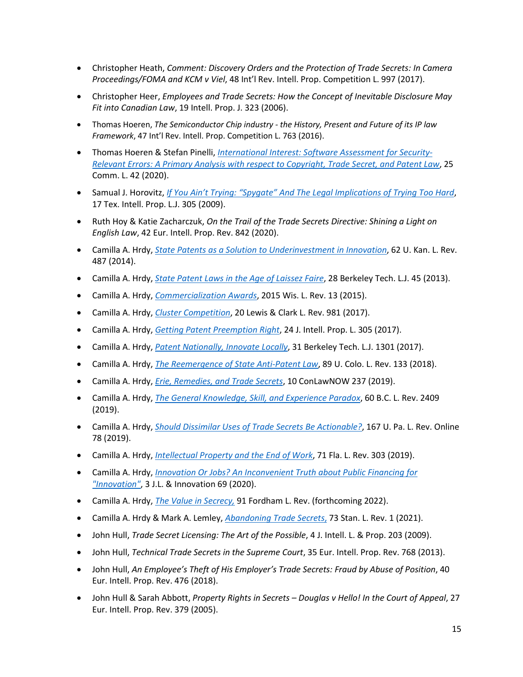- Christopher Heath, *Comment: Discovery Orders and the Protection of Trade Secrets: In Camera Proceedings/FOMA and KCM v Viel*, 48 Int'l Rev. Intell. Prop. Competition L. 997 (2017).
- Christopher Heer, *Employees and Trade Secrets: How the Concept of Inevitable Disclosure May Fit into Canadian Law*, 19 Intell. Prop. J. 323 (2006).
- Thomas Hoeren, *The Semiconductor Chip industry - the History, Present and Future of its IP law Framework*, 47 Int'l Rev. Intell. Prop. Competition L. 763 (2016).
- Thomas Hoeren & Stefan Pinelli, *[International Interest: Software Assessment for Security-](https://www.itm.nrw/wp-content/uploads/international-interest.pdf)[Relevant Errors: A Primary Analysis with respect to Copyright, Trade Secret, and Patent Law](https://www.itm.nrw/wp-content/uploads/international-interest.pdf)*, 25 Comm. L. 42 (2020).
- Samual J. Horovitz, *[If You Ain't Trying: "Spygate" And The Legal Implications of Trying Too Hard](https://tiplj.org/wp-content/uploads/Volumes/v17/v17p1.pdf)*, 17 Tex. Intell. Prop. L.J. 305 (2009).
- Ruth Hoy & Katie Zacharczuk, *On the Trail of the Trade Secrets Directive: Shining a Light on English Law*, 42 Eur. Intell. Prop. Rev. 842 (2020).
- Camilla A. Hrdy, *[State Patents as a Solution to Underinvestment in Innovation](https://papers.ssrn.com/sol3/papers.cfm?abstract_id=2229274)*, 62 U. Kan. L. Rev. 487 (2014).
- Camilla A. Hrdy, *[State Patent Laws in the Age of Laissez Faire](https://papers.ssrn.com/sol3/papers.cfm?abstract_id=2134284)*, 28 Berkeley Tech. L.J. 45 (2013).
- Camilla A. Hrdy, *[Commercialization Awards](https://www.law.berkeley.edu/files/Hrdy_Camilla_IPSC_paper_2014.pdf)*, 2015 Wis. L. Rev. 13 (2015).
- Camilla A. Hrdy, *[Cluster Competition](https://papers.ssrn.com/sol3/papers.cfm?abstract_id=2672660)*, 20 Lewis & Clark L. Rev. 981 (2017).
- Camilla A. Hrdy, *[Getting Patent Preemption Right](https://papers.ssrn.com/sol3/papers.cfm?abstract_id=3332528)*, 24 J. Intell. Prop. L. 305 (2017).
- Camilla A. Hrdy, *[Patent Nationally, Innovate Locally](https://papers.ssrn.com/sol3/papers.cfm?abstract_id=2670400)*, 31 Berkeley Tech. L.J. 1301 (2017).
- Camilla A. Hrdy, *[The Reemergence of State Anti-Patent Law](https://lawreview-dev.cu.law/wp-content/uploads/2018/05/Hrdy-The-Reemergence-of-State-Anti-Patent-Law.pdf)*, 89 U. Colo. L. Rev. 133 (2018).
- Camilla A. Hrdy, *[Erie, Remedies, and Trade Secrets](https://ideaexchange.uakron.edu/conlawnow/vol10/iss1/19/)*, 10 ConLawNOW 237 (2019).
- Camilla A. Hrdy, *[The General Knowledge, Skill, and Experience Paradox](https://lawdigitalcommons.bc.edu/bclr/vol60/iss8/5/)*, 60 B.C. L. Rev. 2409 (2019).
- Camilla A. Hrdy, *[Should Dissimilar Uses of Trade Secrets Be Actionable?](https://scholarship.law.upenn.edu/cgi/viewcontent.cgi?article=1224&context=penn_law_review_online)*, 167 U. Pa. L. Rev. Online 78 (2019).
- Camilla A. Hrdy, *[Intellectual Property and the End of Work](http://www.floridalawreview.com/wp-content/uploads/Hrdy.pdf)*, 71 Fla. L. Rev. 303 (2019).
- Camilla A. Hrdy, *[Innovation Or Jobs? An Inconvenient Truth about Public Financing for](https://scholarship.law.upenn.edu/jli/vol3/iss1/3/)  ["Innovation"](https://scholarship.law.upenn.edu/jli/vol3/iss1/3/)*, 3 J.L. & Innovation 69 (2020).
- Camilla A. Hrdy, *[The Value in Secrecy,](https://papers.ssrn.com/sol3/papers.cfm?abstract_id=3897949)* 91 Fordham L. Rev. (forthcoming 2022).
- Camilla A. Hrdy & Mark A. Lemley, *[Abandoning Trade Secrets](https://law.stanford.edu/wp-content/uploads/2020/04/Hrdy-Lemley-73-Stan.-L.-Rev.-1.pdf)*, 73 Stan. L. Rev. 1 (2021).
- John Hull, *Trade Secret Licensing: The Art of the Possible*, 4 J. Intell. L. & Prop. 203 (2009).
- John Hull, *Technical Trade Secrets in the Supreme Court*, 35 Eur. Intell. Prop. Rev. 768 (2013).
- John Hull, *An Employee's Theft of His Employer's Trade Secrets: Fraud by Abuse of Position*, 40 Eur. Intell. Prop. Rev. 476 (2018).
- John Hull & Sarah Abbott, *Property Rights in Secrets – Douglas v Hello! In the Court of Appeal*, 27 Eur. Intell. Prop. Rev. 379 (2005).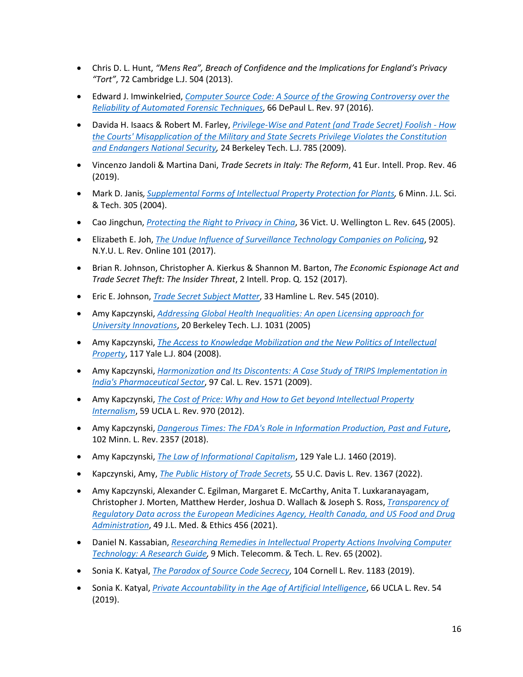- Chris D. L. Hunt, *"Mens Rea", Breach of Confidence and the Implications for England's Privacy "Tort"*, 72 Cambridge L.J. 504 (2013).
- Edward J. Imwinkelried, *[Computer Source Code: A Source of the Growing Controversy over the](https://via.library.depaul.edu/cgi/viewcontent.cgi?referer=&httpsredir=1&article=4006&context=law-review)  [Reliability of Automated Forensic Techniques](https://via.library.depaul.edu/cgi/viewcontent.cgi?referer=&httpsredir=1&article=4006&context=law-review)*, 66 DePaul L. Rev. 97 (2016).
- Davida H. Isaacs & Robert M. Farley, *[Privilege-Wise and Patent \(and Trade Secret\) Foolish -](https://digitalcommons.law.umaryland.edu/fac_pubs/849/) How [the Courts' Misapplication of the Military and State Secrets Privilege Violates the Constitution](https://digitalcommons.law.umaryland.edu/fac_pubs/849/)  [and Endangers National Security,](https://digitalcommons.law.umaryland.edu/fac_pubs/849/)* 24 Berkeley Tech. L.J. 785 (2009).
- Vincenzo Jandoli & Martina Dani, *Trade Secrets in Italy: The Reform*, 41 Eur. Intell. Prop. Rev. 46 (2019).
- Mark D. Janis*, [Supplemental Forms of Intellectual Property Protection for Plants,](https://scholarship.law.umn.edu/mjlst/vol6/iss1/12/)* 6 Minn. J.L. Sci. & Tech. 305 (2004).
- Cao Jingchun, *[Protecting the Right to Privacy in China](http://www5.austlii.edu.au/nz/journals/VUWLawRw/2005/25.html#:%7E:text=Many%20individual%20laws%20in%20China,a%20foundation%20for%20further%20developments.)*, 36 Vict. U. Wellington L. Rev. 645 (2005).
- Elizabeth E. Joh, *[The Undue Influence of Surveillance Technology Companies on Policing](https://www.nyulawreview.org/wp-content/uploads/2017/08/NYULawReviewOnline-92-Joh_0.pdf)*, 92 N.Y.U. L. Rev. Online 101 (2017).
- Brian R. Johnson, Christopher A. Kierkus & Shannon M. Barton, *The Economic Espionage Act and Trade Secret Theft: The Insider Threat*, 2 Intell. Prop. Q. 152 (2017).
- Eric E. Johnson, *[Trade Secret Subject Matter](https://papers.ssrn.com/sol3/papers.cfm?abstract_id=1841565)*, 33 Hamline L. Rev. 545 (2010).
- Amy Kapczynski, *[Addressing Global Health Inequalities: An open Licensing approach for](https://dash.harvard.edu/bitstream/handle/1/37077392/EALFinalBTLJ.pdf?sequence=1&isAllowed=y)  [University Innovations](https://dash.harvard.edu/bitstream/handle/1/37077392/EALFinalBTLJ.pdf?sequence=1&isAllowed=y)*, 20 Berkeley Tech. L.J. 1031 (2005)
- Amy Kapczynski, *[The Access to Knowledge Mobilization and the New Politics of Intellectual](https://www.yalelawjournal.org/pdf/642_y36bb3ab.pdf)  [Property](https://www.yalelawjournal.org/pdf/642_y36bb3ab.pdf)*, 117 Yale L.J. 804 (2008).
- Amy Kapczynski, *[Harmonization and Its Discontents: A Case Study of TRIPS Implementation in](https://papers.ssrn.com/sol3/papers.cfm?abstract_id=1557832)  [India's Pharmaceutical Sector](https://papers.ssrn.com/sol3/papers.cfm?abstract_id=1557832)*, 97 Cal. L. Rev. 1571 (2009).
- Amy Kapczynski, *[The Cost of Price: Why and How to Get beyond Intellectual Property](https://www.uclalawreview.org/pdf/59-4-3.pdf)  [Internalism](https://www.uclalawreview.org/pdf/59-4-3.pdf)*, 59 UCLA L. Rev. 970 (2012).
- Amy Kapczynski, *[Dangerous Times: The FDA's Role in Information Production, Past and Future](https://www.minnesotalawreview.org/wp-content/uploads/2018/07/Kapczynski_MLR-1.pdf)*, 102 Minn. L. Rev. 2357 (2018).
- Amy Kapczynski, *[The Law of Informational Capitalism](https://www.yalelawjournal.org/pdf/KapczynskiBookReview_iqh4qxtw.pdf)*, 129 Yale L.J. 1460 (2019).
- Kapczynski, Amy, *[The Public History of Trade Secrets,](https://lawreview.law.ucdavis.edu/issues/55/3/articles/files/55-3_Kapczynski.pdf)* 55 U.C. Davis L. Rev. 1367 (2022).
- Amy Kapczynski, Alexander C. Egilman, Margaret E. McCarthy, Anita T. Luxkaranayagam, Christopher J. Morten, Matthew Herder, Joshua D. Wallach & Joseph S. Ross, *[Transparency of](https://pink.pharmaintelligence.informa.com/-/media/supporting-documents/pink-sheet/2021/11/transparency--of-regulatory-data-study.pdf)  [Regulatory Data across the European Medicines Agency, Health Canada, and US Food and Drug](https://pink.pharmaintelligence.informa.com/-/media/supporting-documents/pink-sheet/2021/11/transparency--of-regulatory-data-study.pdf)  [Administration](https://pink.pharmaintelligence.informa.com/-/media/supporting-documents/pink-sheet/2021/11/transparency--of-regulatory-data-study.pdf)*, 49 J.L. Med. & Ethics 456 (2021).
- Daniel N. Kassabian, *[Researching Remedies in Intellectual Property Actions Involving Computer](https://repository.law.umich.edu/mttlr/vol9/iss1/3/)  [Technology: A Research Guide,](https://repository.law.umich.edu/mttlr/vol9/iss1/3/)* 9 Mich. Telecomm. & Tech. L. Rev. 65 (2002).
- Sonia K. Katyal, *[The Paradox of Source Code Secrecy](https://scholarship.law.cornell.edu/clr/vol104/iss5/2/)*, 104 Cornell L. Rev. 1183 (2019).
- Sonia K. Katyal, *[Private Accountability in the Age of Artificial Intelligence](https://www.uclalawreview.org/private-accountability-age-algorithm/)*, 66 UCLA L. Rev. 54 (2019).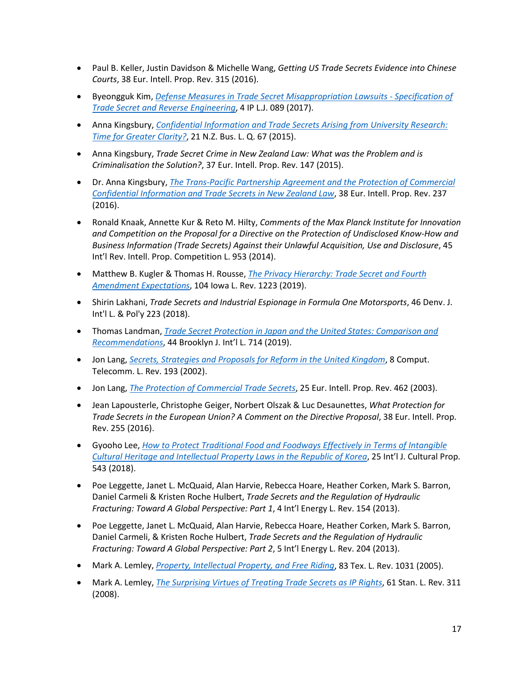- Paul B. Keller, Justin Davidson & Michelle Wang, *Getting US Trade Secrets Evidence into Chinese Courts*, 38 Eur. Intell. Prop. Rev. 315 (2016).
- Byeongguk Kim, *[Defense Measures in Trade Secret Misappropriation Lawsuits -](https://patent.scourt.go.kr/dcboard/new/DcNewsViewAction.work?seqnum=4&gubun=573&cbub_code=000700&searchWord=&pageIndex=1) Specification of [Trade Secret and Reverse Engineering](https://patent.scourt.go.kr/dcboard/new/DcNewsViewAction.work?seqnum=4&gubun=573&cbub_code=000700&searchWord=&pageIndex=1)*, 4 IP L.J. 089 (2017).
- Anna Kingsbury, *[Confidential Information and Trade Secrets Arising from University Research:](https://researchcommons.waikato.ac.nz/handle/10289/10916)  [Time for Greater Clarity?](https://researchcommons.waikato.ac.nz/handle/10289/10916)*, 21 N.Z. Bus. L. Q. 67 (2015).
- Anna Kingsbury, *Trade Secret Crime in New Zealand Law: What was the Problem and is Criminalisation the Solution?*, 37 Eur. Intell. Prop. Rev. 147 (2015).
- Dr. Anna Kingsbury, *[The Trans-Pacific Partnership Agreement and the Protection of Commercial](https://researchcommons.waikato.ac.nz/handle/10289/10709)  [Confidential Information and Trade Secrets in New Zealand Law](https://researchcommons.waikato.ac.nz/handle/10289/10709)*, 38 Eur. Intell. Prop. Rev. 237 (2016).
- Ronald Knaak, Annette Kur & Reto M. Hilty, *Comments of the Max Planck Institute for Innovation and Competition on the Proposal for a Directive on the Protection of Undisclosed Know-How and Business Information (Trade Secrets) Against their Unlawful Acquisition, Use and Disclosure*, 45 Int'l Rev. Intell. Prop. Competition L. 953 (2014).
- Matthew B. Kugler & Thomas H. Rousse, *[The Privacy Hierarchy: Trade Secret and Fourth](https://ilr.law.uiowa.edu/print/volume-104-issue-3/the-privacy-hierarchy-trade-secret-and-fourth-amendment-expectations/#:%7E:text=Trade%20secret%20is%20concerned%20with,misconduct%20that%20violates%20those%20expectations.)  [Amendment Expectations](https://ilr.law.uiowa.edu/print/volume-104-issue-3/the-privacy-hierarchy-trade-secret-and-fourth-amendment-expectations/#:%7E:text=Trade%20secret%20is%20concerned%20with,misconduct%20that%20violates%20those%20expectations.)*, 104 Iowa L. Rev. 1223 (2019).
- Shirin Lakhani, *Trade Secrets and Industrial Espionage in Formula One Motorsports*, 46 Denv. J. Int'l L. & Pol'y 223 (2018).
- Thomas Landman, *[Trade Secret Protection in Japan and the United States: Comparison and](https://brooklynworks.brooklaw.edu/cgi/viewcontent.cgi?article=1937&context=bjil)  [Recommendations](https://brooklynworks.brooklaw.edu/cgi/viewcontent.cgi?article=1937&context=bjil)*, 44 Brooklyn J. Int'l L. 714 (2019).
- Jon Lang, *[Secrets, Strategies and Proposals for Reform in the United Kingdom](http://www.jonlang.com/pdf/secrets_strategies.pdf)*, 8 Comput. Telecomm. L. Rev. 193 (2002).
- Jon Lang, *[The Protection of Commercial Trade Secrets](http://www.jonlang.com/pdf/EIPR%20Vol%2025%20Issue%2010.pdf)*, 25 Eur. Intell. Prop. Rev. 462 (2003).
- Jean Lapousterle, Christophe Geiger, Norbert Olszak & Luc Desaunettes, *What Protection for Trade Secrets in the European Union? A Comment on the Directive Proposal*, 38 Eur. Intell. Prop. Rev. 255 (2016).
- Gyooho Lee, *[How to Protect Traditional Food and Foodways Effectively in Terms of Intangible](https://www.cambridge.org/core/journals/international-journal-of-cultural-property/article/how-to-protect-traditional-food-and-foodways-effectively-in-terms-of-intangible-cultural-heritage-and-intellectual-property-laws-in-the-republic-of-korea/4E89F1F9DD221D75B064B0812A799ECD)  [Cultural Heritage and Intellectual Property Laws in the Republic of Korea](https://www.cambridge.org/core/journals/international-journal-of-cultural-property/article/how-to-protect-traditional-food-and-foodways-effectively-in-terms-of-intangible-cultural-heritage-and-intellectual-property-laws-in-the-republic-of-korea/4E89F1F9DD221D75B064B0812A799ECD)*, 25 Int'l J. Cultural Prop. 543 (2018).
- Poe Leggette, Janet L. McQuaid, Alan Harvie, Rebecca Hoare, Heather Corken, Mark S. Barron, Daniel Carmeli & Kristen Roche Hulbert, *Trade Secrets and the Regulation of Hydraulic Fracturing: Toward A Global Perspective: Part 1*, 4 Int'l Energy L. Rev. 154 (2013).
- Poe Leggette, Janet L. McQuaid, Alan Harvie, Rebecca Hoare, Heather Corken, Mark S. Barron, Daniel Carmeli, & Kristen Roche Hulbert, *Trade Secrets and the Regulation of Hydraulic Fracturing: Toward A Global Perspective: Part 2*, 5 Int'l Energy L. Rev. 204 (2013).
- Mark A. Lemley, *[Property, Intellectual Property, and Free Riding](https://law.stanford.edu/publications/property-intellectual-property-and-free-riding/)*, 83 Tex. L. Rev. 1031 (2005).
- Mark A. Lemley, *[The Surprising Virtues of Treating](https://papers.ssrn.com/sol3/papers.cfm?abstract_id=1155167) Trade Secrets as IP Rights*, 61 Stan. L. Rev. 311 (2008).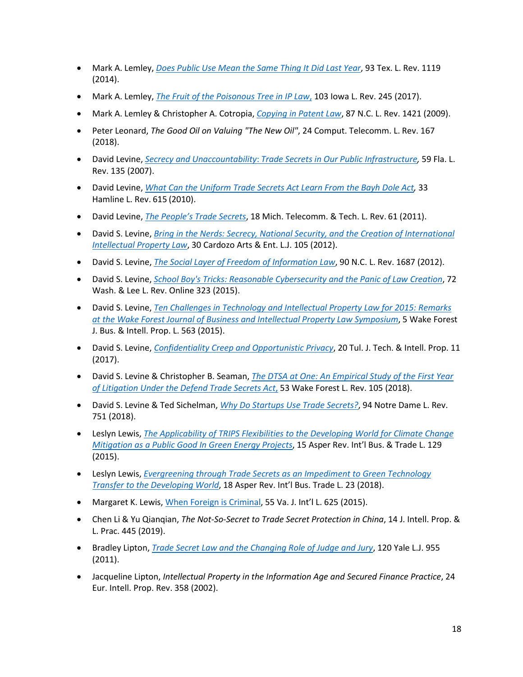- Mark A. Lemley, *[Does Public Use Mean the Same Thing It Did Last Year](https://papers.ssrn.com/sol3/papers.cfm?abstract_id=2394153)*, 93 Tex. L. Rev. 1119 (2014).
- Mark A. Lemley, *[The Fruit of the Poisonous Tree in IP Law](https://papers.ssrn.com/sol3/papers.cfm?abstract_id=2867099)*, 103 Iowa L. Rev. 245 (2017).
- Mark A. Lemley & Christopher A. Cotropia, *[Copying in Patent Law](https://papers.ssrn.com/sol3/papers.cfm?abstract_id=1270160)*, 87 N.C. L. Rev. 1421 (2009).
- Peter Leonard, *The Good Oil on Valuing "The New Oil"*, 24 Comput. Telecomm. L. Rev. 167 (2018).
- David Levine, *Secrecy and Unaccountability*: *[Trade Secrets in Our Public Infrastructure,](http://www.floridalawreview.com/2010/david-s-levine-secrecy-and-unaccountability-trade-secrets-in-our-public-infrastructure/)* 59 Fla. L. Rev. 135 (2007).
- David Levine, *[What Can the Uniform Trade Secrets Act Learn From the Bayh Dole Act,](https://papers.ssrn.com/sol3/papers.cfm?abstract_id=1571623)* 33 Hamline L. Rev. 615 (2010).
- David Levine, *[The People's Trade Secrets](https://papers.ssrn.com/sol3/papers.cfm?abstract_id=1571436)*, 18 Mich. Telecomm. & Tech. L. Rev. 61 (2011).
- David S. Levine, *[Bring in the Nerds: Secrecy, National Security, and the Creation of International](https://www.cardozoaelj.com/wp-content/uploads/2012/07/Levine.pdf)  [Intellectual Property Law](https://www.cardozoaelj.com/wp-content/uploads/2012/07/Levine.pdf)*, 30 Cardozo Arts & Ent. L.J. 105 (2012).
- David S. Levine, *[The Social Layer of Freedom of Information Law](https://papers.ssrn.com/sol3/papers.cfm?abstract_id=2013465)*, 90 N.C. L. Rev. 1687 (2012).
- David S. Levine, *[School Boy's Tricks: Reasonable Cybersecurity and the Panic of Law Creation](https://scholarlycommons.law.wlu.edu/cgi/viewcontent.cgi?article=1033&context=wlulr-online)*, 72 Wash. & Lee L. Rev. Online 323 (2015).
- David S. Levine, *[Ten Challenges in Technology and Intellectual Property Law for 2015: Remarks](http://ipjournal.law.wfu.edu/files/2015/09/15-Wake-Forest-J.-Bus.-Intell.-Prop.-L.-563.pdf)  [at the Wake Forest Journal of Business and Intellectual Property Law Symposium](http://ipjournal.law.wfu.edu/files/2015/09/15-Wake-Forest-J.-Bus.-Intell.-Prop.-L.-563.pdf)*, 5 Wake Forest J. Bus. & Intell. Prop. L. 563 (2015).
- David S. Levine, *[Confidentiality Creep and Opportunistic Privacy](https://papers.ssrn.com/sol3/papers.cfm?abstract_id=3064257)*, 20 Tul. J. Tech. & Intell. Prop. 11 (2017).
- David S. Levine & Christopher B. Seaman, *[The DTSA at One: An Empirical Study of the First Year](https://papers.ssrn.com/sol3/papers.cfm?abstract_id=3112679)  [of Litigation Under the Defend Trade Secrets Act](https://papers.ssrn.com/sol3/papers.cfm?abstract_id=3112679)*, 53 Wake Forest L. Rev. 105 (2018).
- David S. Levine & Ted Sichelman, *[Why Do Startups Use Trade Secrets?](https://papers.ssrn.com/sol3/papers.cfm?abstract_id=3166834)*, 94 Notre Dame L. Rev. 751 (2018).
- Leslyn Lewis, *[The Applicability of TRIPS Flexibilities to the Developing World for Climate Change](http://asperchair.bryan-schwartz.com/wp-content/uploads/articles/The-Applicability-of-TRIPS-Flexibilities-to-the-Developing-World-for-Climate-Change-Mitigation-as-a-Public-Good-in-Green-Energy-Projects.pdf)  [Mitigation as a Public Good In Green Energy Projects](http://asperchair.bryan-schwartz.com/wp-content/uploads/articles/The-Applicability-of-TRIPS-Flexibilities-to-the-Developing-World-for-Climate-Change-Mitigation-as-a-Public-Good-in-Green-Energy-Projects.pdf)*, 15 Asper Rev. Int'l Bus. & Trade L. 129 (2015).
- Leslyn Lewis, *[Evergreening through Trade Secrets as an Impediment to Green Technology](http://asperchair.bryan-schwartz.com/wp-content/uploads/articles/Evergreening-Through-Trade-Secrets-as-an-Impediment-to-Green-Technology-Transfer-to-the-Developing-World.pdf)  [Transfer to the Developing World](http://asperchair.bryan-schwartz.com/wp-content/uploads/articles/Evergreening-Through-Trade-Secrets-as-an-Impediment-to-Green-Technology-Transfer-to-the-Developing-World.pdf)*, 18 Asper Rev. Int'l Bus. Trade L. 23 (2018).
- Margaret K. Lewis[, When Foreign is Criminal,](https://papers.ssrn.com/sol3/papers.cfm?abstract_id=2722608) 55 Va. J. Int'l L. 625 (2015).
- Chen Li & Yu Qianqian, *The Not-So-Secret to Trade Secret Protection in China*, 14 J. Intell. Prop. & L. Prac. 445 (2019).
- Bradley Lipton, *[Trade Secret Law and the Changing Role of Judge and Jury](https://openyls.law.yale.edu/handle/20.500.13051/9947)*, 120 Yale L.J. 955 (2011).
- Jacqueline Lipton, *Intellectual Property in the Information Age and Secured Finance Practice*, 24 Eur. Intell. Prop. Rev. 358 (2002).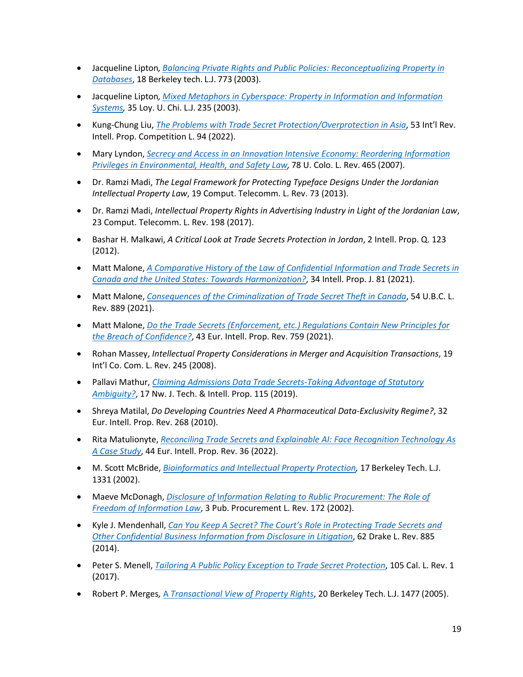- Jacqueline Lipton*, [Balancing Private Rights and Public Policies: Reconceptualizing Property in](https://papers.ssrn.com/sol3/papers.cfm?abstract_id=471885)  [Databases](https://papers.ssrn.com/sol3/papers.cfm?abstract_id=471885)*, 18 Berkeley tech. L.J. 773 (2003).
- Jacqueline Lipton*, [Mixed Metaphors in Cyberspace: Property in Information and Information](https://lawecommons.luc.edu/luclj/vol35/iss1/9/)  [Systems,](https://lawecommons.luc.edu/luclj/vol35/iss1/9/)* 35 Loy. U. Chi. L.J. 235 (2003).
- Kung-Chung Liu, *[The Problems with Trade Secret Protection/Overprotection in Asia](https://ink.library.smu.edu.sg/sol_research/3890/)*, 53 Int'l Rev. Intell. Prop. Competition L. 94 (2022).
- Mary Lyndon, *[Secrecy and Access in an Innovation Intensive Economy: Reordering Information](https://papers.ssrn.com/sol3/papers.cfm?abstract_id=1144890)  [Privileges in Environmental, Health, and Safety Law,](https://papers.ssrn.com/sol3/papers.cfm?abstract_id=1144890)* 78 U. Colo. L. Rev. 465 (2007).
- Dr. Ramzi Madi, *The Legal Framework for Protecting Typeface Designs Under the Jordanian Intellectual Property Law*, 19 Comput. Telecomm. L. Rev. 73 (2013).
- Dr. Ramzi Madi, *Intellectual Property Rights in Advertising Industry in Light of the Jordanian Law*, 23 Comput. Telecomm. L. Rev. 198 (2017).
- Bashar H. Malkawi, *A Critical Look at Trade Secrets Protection in Jordan*, 2 Intell. Prop. Q. 123 (2012).
- Matt Malone, *[A Comparative History of the Law of Confidential Information and Trade Secrets in](https://papers.ssrn.com/sol3/papers.cfm?abstract_id=3949074)  [Canada and the United States: Towards Harmonization?](https://papers.ssrn.com/sol3/papers.cfm?abstract_id=3949074)*, 34 Intell. Prop. J. 81 (2021).
- Matt Malone, *[Consequences of the Criminalization of Trade Secret Theft in Canada](https://papers.ssrn.com/sol3/papers.cfm?abstract_id=3923713)*, 54 U.B.C. L. Rev. 889 (2021).
- Matt Malone, *[Do the Trade Secrets \(Enforcement, etc.\) Regulations Contain New Principles for](https://papers.ssrn.com/sol3/papers.cfm?abstract_id=3949075)  [the Breach of Confidence?](https://papers.ssrn.com/sol3/papers.cfm?abstract_id=3949075)*, 43 Eur. Intell. Prop. Rev. 759 (2021).
- Rohan Massey, *Intellectual Property Considerations in Merger and Acquisition Transactions*, 19 Int'l Co. Com. L. Rev. 245 (2008).
- Pallavi Mathur, *[Claiming Admissions Data Trade Secrets-Taking Advantage of Statutory](https://scholarlycommons.law.northwestern.edu/njtip/vol17/iss1/3/)  [Ambiguity?](https://scholarlycommons.law.northwestern.edu/njtip/vol17/iss1/3/)*, 17 Nw. J. Tech. & Intell. Prop. 115 (2019).
- Shreya Matilal, *Do Developing Countries Need A Pharmaceutical Data-Exclusivity Regime?*, 32 Eur. Intell. Prop. Rev. 268 (2010).
- Rita Matulionyte, *[Reconciling Trade Secrets and Explainable AI: Face Recognition Technology As](https://papers.ssrn.com/sol3/papers.cfm?abstract_id=3974221)  [A Case Study](https://papers.ssrn.com/sol3/papers.cfm?abstract_id=3974221)*, 44 Eur. Intell. Prop. Rev. 36 (2022).
- M. Scott McBride, *[Bioinformatics and Intellectual Property Protection,](https://lawcat.berkeley.edu/record/1118214)* 17 Berkeley Tech. L.J. 1331 (2002).
- Maeve McDonagh, *Disclosure of* I*[nformation Relating to Rublic Procurement: The Role of](https://www.researchgate.net/publication/281861379_Disclosure_of_information_relating_to_public_procurement_the_role_of_freedom_of_information_law)  [Freedom of Information Law](https://www.researchgate.net/publication/281861379_Disclosure_of_information_relating_to_public_procurement_the_role_of_freedom_of_information_law)*, 3 Pub. Procurement L. Rev. 172 (2002).
- Kyle J. Mendenhall, *[Can You Keep A Secret? The Court's Role in Protecting Trade Secrets and](https://lawreviewdrake.files.wordpress.com/2015/04/lrvol62-3-mendenhall.pdf)  [Other Confidential Business Information from Disclosure in Litigation](https://lawreviewdrake.files.wordpress.com/2015/04/lrvol62-3-mendenhall.pdf)*, 62 Drake L. Rev. 885 (2014).
- Peter S. Menell, *[Tailoring A Public Policy Exception to Trade Secret Protection](https://www.californialawreview.org/print/1-tailoring-a-public-policy-exception-to-trade-secret-protection/)*, 105 Cal. L. Rev. 1 (2017).
- Robert P. Merges*,* A *[Transactional View of Property Rights](https://papers.ssrn.com/sol3/papers.cfm?abstract_id=707202)*, 20 Berkeley Tech. L.J. 1477 (2005).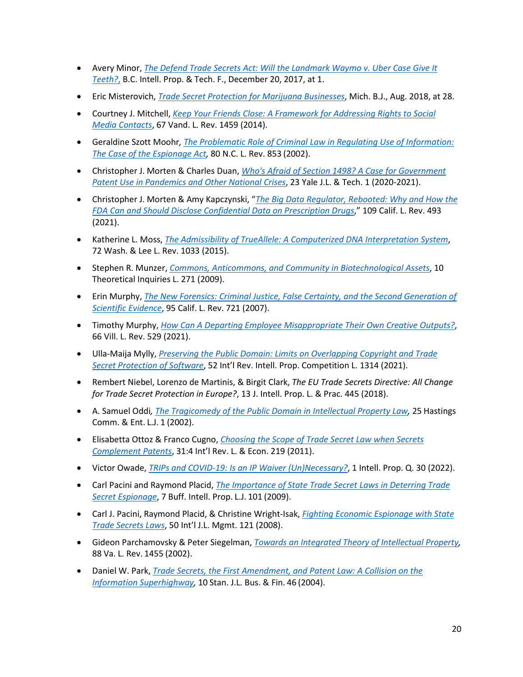- Avery Minor, *[The Defend Trade Secrets Act: Will the Landmark Waymo v. Uber Case Give It](https://bciptf.org/2017/12/the-defend-trade-secrets-act-will-the-landark-waymo-v-uber-case-give-it-teeth/)  [Teeth?](https://bciptf.org/2017/12/the-defend-trade-secrets-act-will-the-landark-waymo-v-uber-case-give-it-teeth/)*, B.C. Intell. Prop. & Tech. F., December 20, 2017, at 1.
- Eric Misterovich, *[Trade Secret Protection for Marijuana Businesses](http://www.michbar.org/file/barjournal/article/documents/pdf4article3451.pdf)*, Mich. B.J., Aug. 2018, at 28.
- Courtney J. Mitchell, *[Keep Your Friends Close: A Framework for Addressing Rights to Social](https://scholarship.law.vanderbilt.edu/cgi/viewcontent.cgi?article=1237&context=vlr)  [Media Contacts](https://scholarship.law.vanderbilt.edu/cgi/viewcontent.cgi?article=1237&context=vlr)*, 67 Vand. L. Rev. 1459 (2014).
- Geraldine Szott Moohr*, [The Problematic Role of Criminal Law in Regulating Use of Information:](https://scholarship.law.unc.edu/cgi/viewcontent.cgi?referer=&httpsredir=1&article=3981&context=nclr)  [The Case of the Espionage Act,](https://scholarship.law.unc.edu/cgi/viewcontent.cgi?referer=&httpsredir=1&article=3981&context=nclr)* 80 N.C. L. Rev. 853 (2002).
- Christopher J. Morten & Charles Duan, *[Who's Afraid of Section 1498? A Case for Government](https://scholarship.law.columbia.edu/cgi/viewcontent.cgi?article=3815&context=faculty_scholarship)  [Patent Use in Pandemics and Other National Crises](https://scholarship.law.columbia.edu/cgi/viewcontent.cgi?article=3815&context=faculty_scholarship)*, 23 Yale J.L. & Tech. 1 (2020-2021).
- Christopher J. Morten & Amy Kapczynski, "*[The Big Data Regulator, Rebooted: Why and How the](https://www.californialawreview.org/print/the-big-data-regulator-rebooted/)  [FDA Can and Should Disclose Confidential Data on Prescription Drugs](https://www.californialawreview.org/print/the-big-data-regulator-rebooted/)*," 109 Calif. L. Rev. 493 (2021).
- Katherine L. Moss, *[The Admissibility of TrueAllele: A Computerized DNA Interpretation System](https://scholarlycommons.law.wlu.edu/cgi/viewcontent.cgi?article=4457&context=wlulr&httpsredir=1&referer=)*, 72 Wash. & Lee L. Rev. 1033 (2015).
- Stephen R. Munzer, *[Commons, Anticommons, and Community in Biotechnological Assets](https://papers.ssrn.com/sol3/papers.cfm?abstract_id=1334822)*, 10 Theoretical Inquiries L. 271 (2009).
- Erin Murphy, *[The New Forensics: Criminal Justice, False Certainty, and the Second Generation of](https://papers.ssrn.com/sol3/papers.cfm?abstract_id=896128)  [Scientific Evidence](https://papers.ssrn.com/sol3/papers.cfm?abstract_id=896128)*, 95 Calif. L. Rev. 721 (2007).
- Timothy Murphy, *[How Can A Departing Employee Misappropriate Their Own Creative Outputs?](https://digitalcommons.law.villanova.edu/cgi/viewcontent.cgi?article=3492&context=vlr)*, 66 Vill. L. Rev. 529 (2021).
- Ulla-Maija Mylly, *[Preserving the Public Domain: Limits on Overlapping Copyright and Trade](https://link.springer.com/article/10.1007/s40319-021-01120-3)  [Secret Protection of Software](https://link.springer.com/article/10.1007/s40319-021-01120-3)*, 52 Int'l Rev. Intell. Prop. Competition L. 1314 (2021).
- Rembert Niebel, Lorenzo de Martinis, & Birgit Clark, *The EU Trade Secrets Directive: All Change for Trade Secret Protection in Europe?*, 13 J. Intell. Prop. L. & Prac. 445 (2018).
- A. Samuel Oddi*, [The Tragicomedy of the Public Domain in Intellectual Property Law,](https://repository.uchastings.edu/cgi/viewcontent.cgi?article=1742&context=hastings_comm_ent_law_journal)* 25 Hastings Comm. & Ent. L.J. 1 (2002).
- Elisabetta Ottoz & Franco Cugno, *[Choosing the Scope of Trade Secret Law when Secrets](https://papers.ssrn.com/sol3/papers.cfm?abstract_id=1542700)  [Complement Patents](https://papers.ssrn.com/sol3/papers.cfm?abstract_id=1542700)*, 31:4 Int'l Rev. L. & Econ. 219 (2011).
- Victor Owade, *[TRIPs and COVID-19: Is an IP Waiver \(Un\)Necessary?](https://www.westlaw.com/Document/I8AE84010BABB11EC83A9BAB8BFCB759A/View/FullText.html?transitionType=Default&contextData=(sc.Default)&VR=3.0&RS=cblt1.0)*, 1 Intell. Prop. Q. 30 (2022).
- Carl Pacini and Raymond Placid, *[The Importance of State Trade Secret Laws in Deterring Trade](https://digitalcommons.law.buffalo.edu/cgi/viewcontent.cgi?article=1084&context=buffaloipjournal)  [Secret Espionage](https://digitalcommons.law.buffalo.edu/cgi/viewcontent.cgi?article=1084&context=buffaloipjournal)*, 7 Buff. Intell. Prop. L.J. 101 (2009).
- Carl J. Pacini, Raymond Placid, & Christine Wright-Isak, *[Fighting Economic Espionage with State](https://digitalcommons.usf.edu/fac_publications/909/)  [Trade Secrets Laws](https://digitalcommons.usf.edu/fac_publications/909/)*, 50 Int'l J.L. Mgmt. 121 (2008).
- Gideon Parchamovsky & Peter Siegelman, *[Towards an Integrated Theory of Intellectual Property,](https://opencommons.uconn.edu/cgi/viewcontent.cgi?article=1449&context=law_papers)* 88 Va. L. Rev. 1455 (2002).
- Daniel W. Park, *[Trade Secrets, the First Amendment, and Patent Law: A Collision on the](https://heinonline.org/HOL/P?h=hein.journals/stabf10&i=50)  [Information Superhighway,](https://heinonline.org/HOL/P?h=hein.journals/stabf10&i=50)* 10 Stan. J.L. Bus. & Fin. 46 (2004).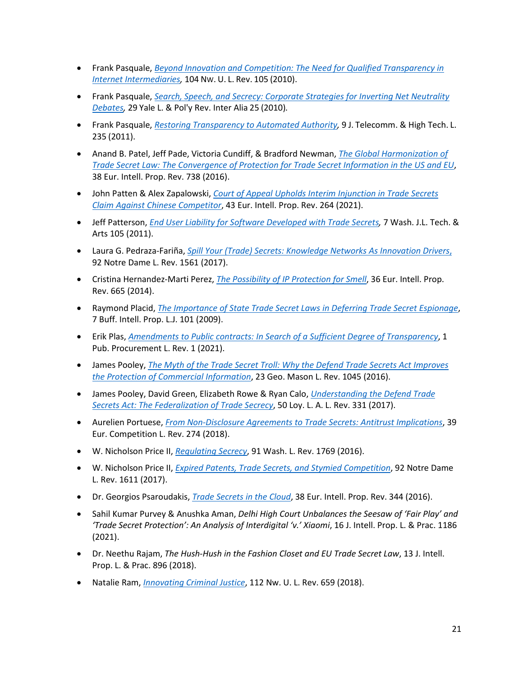- Frank Pasquale, *[Beyond Innovation and Competition: The Need for Qualified Transparency in](https://papers.ssrn.com/sol3/papers.cfm?abstract_id=1686043)  [Internet Intermediaries,](https://papers.ssrn.com/sol3/papers.cfm?abstract_id=1686043)* 104 NW. U. L. Rev. 105 (2010).
- Frank Pasquale, *[Search, Speech, and Secrecy: Corporate Strategies for Inverting Net Neutrality](https://www.westlaw.com/Document/I2e155ab772a011e08b05fdf15589d8e8/View/FullText.html?transitionType=Default&contextData=(sc.Default)&VR=3.0&RS=cblt1.0)  [Debates,](https://www.westlaw.com/Document/I2e155ab772a011e08b05fdf15589d8e8/View/FullText.html?transitionType=Default&contextData=(sc.Default)&VR=3.0&RS=cblt1.0)* 29 Yale L. & Pol'y Rev. Inter Alia 25 (2010)*.*
- Frank Pasquale, *[Restoring Transparency to Automated Authority,](https://papers.ssrn.com/sol3/papers.cfm?abstract_id=1762766)* 9 J. Telecomm. & High Tech. L. 235 (2011).
- Anand B. Patel, Jeff Pade, Victoria Cundiff, & Bradford Newman, *[The Global Harmonization of](https://www.iadclaw.org/assets/1/19/Vol_83_No_4_The_Global_Harmonization_of_Trade_Secret_Law.pdf?198)  [Trade Secret Law: The Convergence of Protection for Trade Secret Information in the US and EU](https://www.iadclaw.org/assets/1/19/Vol_83_No_4_The_Global_Harmonization_of_Trade_Secret_Law.pdf?198)*, 38 Eur. Intell. Prop. Rev. 738 (2016).
- John Patten & Alex Zapalowski, *[Court of Appeal Upholds Interim Injunction in Trade Secrets](https://www.westlaw.com/Document/I502EB07087F011EB9DD8E40B062CABAC/View/FullText.html?transitionType=Default&contextData=(sc.Default)&VR=3.0&RS=cblt1.0)  [Claim Against Chinese Competitor](https://www.westlaw.com/Document/I502EB07087F011EB9DD8E40B062CABAC/View/FullText.html?transitionType=Default&contextData=(sc.Default)&VR=3.0&RS=cblt1.0)*, 43 Eur. Intell. Prop. Rev. 264 (2021).
- Jeff Patterson, *[End User Liability for Software Developed with Trade Secrets,](https://digitalcommons.law.uw.edu/wjlta/vol7/iss2/4/)* 7 Wash. J.L. Tech. & Arts 105 (2011).
- Laura G. Pedraza-Fariña, *[Spill Your \(Trade\) Secrets: Knowledge Networks As Innovation Drivers](https://scholarship.law.nd.edu/cgi/viewcontent.cgi?article=4712&context=ndlr)*, 92 Notre Dame L. Rev. 1561 (2017).
- Cristina Hernandez-Marti Perez, *[The Possibility of IP Protection for Smell](https://www.westlaw.com/Document/I90A124902D7911E4962888D89DFB8C21/View/FullText.html?transitionType=Default&contextData=(sc.Default)&VR=3.0&RS=cblt1.0)*, 36 Eur. Intell. Prop. Rev. 665 (2014).
- Raymond Placid, *[The Importance of State Trade Secret Laws in Deferring Trade Secret Espionage](https://digitalcommons.law.buffalo.edu/cgi/viewcontent.cgi?article=1084&context=buffaloipjournal)*, 7 Buff. Intell. Prop. L.J. 101 (2009).
- Erik Plas, *[Amendments to Public contracts: In Search of a Sufficient Degree of Transparency](https://www.westlaw.com/Document/I7A304790375E11EBB285B9425D51A078/View/FullText.html?transitionType=Default&contextData=(sc.Default)&VR=3.0&RS=cblt1.0)*, 1 Pub. Procurement L. Rev. 1 (2021).
- James Pooley, *[The Myth of the Trade Secret Troll: Why the Defend Trade](https://thenaplesroundtable.ec2global.com/wp-content/uploads/sites/15/2016/12/James-Pooley-The-Myth-of-the-Trade-Secret-Troll-Why-the-Defend-Trade-Secrets-Act-Improves-the-Protection-of-Commercial-Information-23-George-Mason-LR-1045-Summer-2016.pdf) Secrets Act Improves [the Protection of Commercial Information](https://thenaplesroundtable.ec2global.com/wp-content/uploads/sites/15/2016/12/James-Pooley-The-Myth-of-the-Trade-Secret-Troll-Why-the-Defend-Trade-Secrets-Act-Improves-the-Protection-of-Commercial-Information-23-George-Mason-LR-1045-Summer-2016.pdf)*, 23 Geo. Mason L. Rev. 1045 (2016).
- James Pooley, David Green, Elizabeth Rowe & Ryan Calo, *[Understanding the Defend Trade](https://digitalcommons.lmu.edu/cgi/viewcontent.cgi?article=2999&context=llr)  [Secrets Act: The Federalization of Trade Secrecy](https://digitalcommons.lmu.edu/cgi/viewcontent.cgi?article=2999&context=llr)*, 50 Loy. L. A. L. Rev. 331 (2017).
- Aurelien Portuese, *[From Non-Disclosure Agreements to Trade Secrets: Antitrust Implications](https://www.dropbox.com/s/j0d8vuwwldxi58t/NDA%20Agreements%20and%20Antitrust.pdf?dl=0)*, 39 Eur. Competition L. Rev. 274 (2018).
- W. Nicholson Price II, *[Regulating Secrecy](https://digitalcommons.law.uw.edu/cgi/viewcontent.cgi?article=4973&context=wlr)*, 91 Wash. L. Rev. 1769 (2016).
- W. Nicholson Price II, *[Expired Patents, Trade Secrets, and Stymied Competition](https://repository.law.umich.edu/cgi/viewcontent.cgi?article=2870&context=articles)*, 92 Notre Dame L. Rev. 1611 (2017).
- Dr. Georgios Psaroudakis, *[Trade Secrets in the Cloud](https://www.westlaw.com/Document/IE9E6F5501D5211E696F984AF31868E18/View/FullText.html?transitionType=Default&contextData=(sc.Default)&VR=3.0&RS=cblt1.0)*, 38 Eur. Intell. Prop. Rev. 344 (2016).
- Sahil Kumar Purvey & Anushka Aman, *Delhi High Court Unbalances the Seesaw of 'Fair Play' and 'Trade Secret Protection': An Analysis of Interdigital 'v.' Xiaomi*, 16 J. Intell. Prop. L. & Prac. 1186 (2021).
- Dr. Neethu Rajam, *The Hush-Hush in the Fashion Closet and EU Trade Secret Law*, 13 J. Intell. Prop. L. & Prac. 896 (2018).
- Natalie Ram, *[Innovating Criminal Justice](https://scholarlycommons.law.northwestern.edu/nulr/vol112/iss4/2/)*, 112 Nw. U. L. Rev. 659 (2018).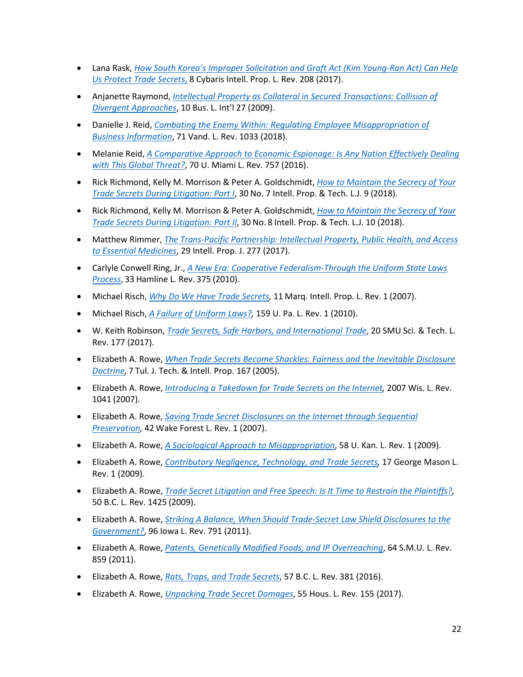- Lana Rask, *[How South Korea's Improper Solicitation and Graft Act \(Kim Young-Ran Act\) Can Help](https://open.mitchellhamline.edu/cgi/viewcontent.cgi?article=1072&context=cybaris)  [Us Protect Trade Secrets](https://open.mitchellhamline.edu/cgi/viewcontent.cgi?article=1072&context=cybaris)*, 8 Cybaris Intell. Prop. L. Rev. 208 (2017).
- Anjanette Raymond, *[Intellectual Property as Collateral in Secured Transactions: Collision of](https://papers.ssrn.com/sol3/papers.cfm?abstract_id=2019612)  [Divergent Approaches](https://papers.ssrn.com/sol3/papers.cfm?abstract_id=2019612)*, 10 Bus. L. Int'l 27 (2009).
- Danielle J. Reid, *[Combating the Enemy Within: Regulating Employee Misappropriation of](https://scholarship.law.vanderbilt.edu/cgi/viewcontent.cgi?article=1031&context=vlr)  [Business Information](https://scholarship.law.vanderbilt.edu/cgi/viewcontent.cgi?article=1031&context=vlr)*, 71 Vand. L. Rev. 1033 (2018).
- Melanie Reid, *[A Comparative Approach to Economic Espionage: Is Any Nation Effectively Dealing](https://repository.law.miami.edu/cgi/viewcontent.cgi?referer=&httpsredir=1&article=4468&context=umlr)  [with This Global Threat?](https://repository.law.miami.edu/cgi/viewcontent.cgi?referer=&httpsredir=1&article=4468&context=umlr)*, 70 U. Miami L. Rev. 757 (2016).
- Rick Richmond, Kelly M. Morrison & Peter A. Goldschmidt, *[How to Maintain the Secrecy of Your](https://www.westlaw.com/Document/Ic52f9d83899e11e8a5b3e3d9e23d7429/View/FullText.html?transitionType=Default&contextData=(sc.Default)&VR=3.0&RS=cblt1.0)  [Trade Secrets During Litigation: Part I](https://www.westlaw.com/Document/Ic52f9d83899e11e8a5b3e3d9e23d7429/View/FullText.html?transitionType=Default&contextData=(sc.Default)&VR=3.0&RS=cblt1.0)*, 30 No. 7 Intell. Prop. & Tech. L.J. 9 (2018).
- Rick Richmond, Kelly M. Morrison & Peter A. Goldschmidt, *[How to Maintain the Secrecy of](https://www.westlaw.com/Document/Ied97fceaa14b11e8a5b3e3d9e23d7429/View/FullText.html?transitionType=Default&contextData=(sc.Default)&VR=3.0&RS=cblt1.0) Your [Trade Secrets During Litigation: Part II](https://www.westlaw.com/Document/Ied97fceaa14b11e8a5b3e3d9e23d7429/View/FullText.html?transitionType=Default&contextData=(sc.Default)&VR=3.0&RS=cblt1.0)*, 30 No. 8 Intell. Prop. & Tech. L.J. 10 (2018).
- Matthew Rimmer, *[The Trans-Pacific Partnership: Intellectual Property, Public Health, and Access](https://www.westlaw.com/Document/I7cbeed41255e11e798dc8b09b4f043e0/View/FullText.html?transitionType=Default&contextData=(sc.Default)&VR=3.0&RS=cblt1.0)  [to Essential Medicines](https://www.westlaw.com/Document/I7cbeed41255e11e798dc8b09b4f043e0/View/FullText.html?transitionType=Default&contextData=(sc.Default)&VR=3.0&RS=cblt1.0)*, 29 Intell. Prop. J. 277 (2017).
- Carlyle Conwell Ring, Jr., *[A New Era: Cooperative Federalism-Through the Uniform State Laws](https://heinonline.org/HOL/P?h=hein.journals/hamlrv33&i=381)  [Process](https://heinonline.org/HOL/P?h=hein.journals/hamlrv33&i=381)*, 33 Hamline L. Rev. 375 (2010).
- Michael Risch, *[Why Do We Have Trade Secrets,](https://core.ac.uk/download/pdf/148687136.pdf)* 11 Marq. Intell. Prop. L. Rev. 1 (2007).
- Michael Risch, *[A Failure of Uniform Laws?,](https://papers.ssrn.com/sol3/papers.cfm?abstract_id=1638386)* 159 U. Pa. L. Rev. 1 (2010).
- W. Keith Robinson, *[Trade Secrets, Safe Harbors, and International Trade](https://scholar.smu.edu/cgi/viewcontent.cgi?article=1257&context=scitech)*, 20 SMU Sci. & Tech. L. Rev. 177 (2017).
- Elizabeth A. Rowe, *[When Trade Secrets Become Shackles: Fairness and the Inevitable Disclosure](https://scholarship.law.ufl.edu/cgi/viewcontent.cgi?article=1065&context=facultypub)  [Doctrine,](https://scholarship.law.ufl.edu/cgi/viewcontent.cgi?article=1065&context=facultypub)* 7 Tul. J. Tech. & Intell. Prop. 167 (2005).
- Elizabeth A. Rowe, *[Introducing a Takedown for Trade Secrets on the Internet,](https://scholarship.law.ufl.edu/cgi/viewcontent.cgi?article=1088&context=facultypub)* 2007 Wis. L. Rev. 1041 (2007).
- Elizabeth A. Rowe, *Saving [Trade Secret Disclosures on the Internet through Sequential](https://scholarship.law.ufl.edu/cgi/viewcontent.cgi?referer=&httpsredir=1&article=1087&context=facultypub)  [Preservation,](https://scholarship.law.ufl.edu/cgi/viewcontent.cgi?referer=&httpsredir=1&article=1087&context=facultypub)* 42 Wake Forest L. Rev. 1 (2007).
- Elizabeth A. Rowe, *[A Sociological Approach to Misappropriation](https://scholarship.law.ufl.edu/cgi/viewcontent.cgi?article=1126&context=facultypub)*, 58 U. Kan. L. Rev. 1 (2009).
- Elizabeth A. Rowe, *[Contributory Negligence, Technology, and Trade Secrets,](https://scholarship.law.ufl.edu/cgi/viewcontent.cgi?article=1060&context=facultypub)* 17 George Mason L. Rev. 1 (2009).
- Elizabeth A. Rowe, *[Trade Secret Litigation and Free Speech: Is It Time to Restrain the Plaintiffs?,](https://scholarship.law.ufl.edu/cgi/viewcontent.cgi?article=1056&context=facultypub)*  50 B.C. L. Rev. 1425 (2009).
- Elizabeth A. Rowe, *[Striking A Balance, When Should Trade-Secret Law Shield Disclosures to the](https://scholarship.law.ufl.edu/cgi/viewcontent.cgi?article=1192&context=facultypub)  [Government?](https://scholarship.law.ufl.edu/cgi/viewcontent.cgi?article=1192&context=facultypub)*, 96 Iowa L. Rev. 791 (2011).
- Elizabeth A. Rowe, *[Patents, Genetically Modified Foods, and IP Overreaching](https://scholarship.law.ufl.edu/cgi/viewcontent.cgi?article=1191&context=facultypub)*, 64 S.M.U. L. Rev. 859 (2011).
- Elizabeth A. Rowe, *[Rats, Traps, and Trade Secrets](https://lawdigitalcommons.bc.edu/cgi/viewcontent.cgi?article=3490&context=bclr)*, 57 B.C. L. Rev. 381 (2016).
- Elizabeth A. Rowe, *[Unpacking Trade Secret Damages](https://papers.ssrn.com/sol3/papers.cfm?abstract_id=2842325)*, 55 Hous. L. Rev. 155 (2017).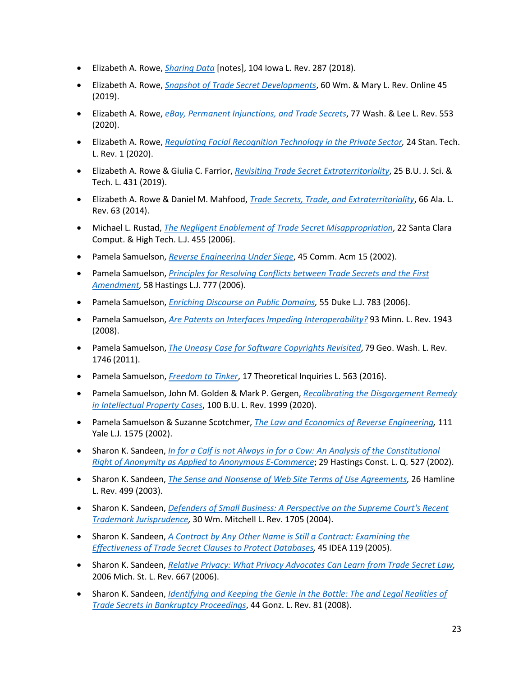- Elizabeth A. Rowe, *[Sharing Data](https://ilr.law.uiowa.edu/assets/Uploads/ILR-104-1-Rowe.pdf)* [notes], 104 Iowa L. Rev. 287 (2018).
- Elizabeth A. Rowe, *[Snapshot of Trade Secret Developments](https://scholarship.law.ufl.edu/cgi/viewcontent.cgi?article=1887&context=facultypub)*, 60 Wm. & Mary L. Rev. Online 45 (2019).
- Elizabeth A. Rowe, *[eBay, Permanent Injunctions, and Trade Secrets](https://papers.ssrn.com/sol3/papers.cfm?abstract_id=3464910)*, 77 Wash. & Lee L. Rev. 553 (2020).
- Elizabeth A. Rowe, *[Regulating Facial Recognition Technology in the Private Sector,](https://law.stanford.edu/publications/regulating-facial-recognition-technology-in-the-private-sector/)* 24 Stan. Tech. L. Rev. 1 (2020).
- Elizabeth A. Rowe & Giulia C. Farrior, *[Revisiting Trade Secret Extraterritoriality](https://papers.ssrn.com/sol3/papers.cfm?abstract_id=3464905)*, 25 B.U. J. Sci. & Tech. L. 431 (2019).
- Elizabeth A. Rowe & Daniel M. Mahfood, *[Trade Secrets, Trade, and Extraterritoriality](https://scholarship.law.ufl.edu/cgi/viewcontent.cgi?article=1747&context=facultypub)*, 66 Ala. L. Rev. 63 (2014).
- Michael L. Rustad, *[The Negligent Enablement of Trade Secret Misappropriation](https://digitalcommons.law.scu.edu/cgi/viewcontent.cgi?article=1409&context=chtlj)*, 22 Santa Clara Comput. & High Tech. L.J. 455 (2006).
- Pamela Samuelson, *[Reverse Engineering Under Siege](https://people.ischool.berkeley.edu/%7Epam/papers/CACM%20on%20Bunner.pdf)*, 45 Comm. Acm 15 (2002).
- Pamela Samuelson, *[Principles for Resolving Conflicts between Trade Secrets and the First](https://repository.uchastings.edu/cgi/viewcontent.cgi?article=3655&context=hastings_law_journal)  [Amendment,](https://repository.uchastings.edu/cgi/viewcontent.cgi?article=3655&context=hastings_law_journal)* 58 Hastings L.J. 777 (2006).
- Pamela Samuelson, *[Enriching Discourse on Public Domains,](https://scholarship.law.duke.edu/dlj/vol55/iss4/2/)* 55 Duke L.J. 783 (2006).
- Pamela Samuelson, *[Are Patents on Interfaces Impeding Interoperability?](https://www.minnesotalawreview.org/wp-content/uploads/2011/08/Samuelson_MLR.pdf)* 93 Minn. L. Rev. 1943 (2008).
- Pamela Samuelson, *[The Uneasy Case for Software Copyrights Revisited](https://www.gwlr.org/wp-content/uploads/2012/07/79-6-Samuelson.pdf)*, 79 Geo. Wash. L. Rev. 1746 (2011).
- Pamela Samuelson, *[Freedom to Tinker](https://papers.ssrn.com/sol3/papers.cfm?abstract_id=2800362)*, 17 Theoretical Inquiries L. 563 (2016).
- Pamela Samuelson, John M. Golden & Mark P. Gergen, *[Recalibrating the Disgorgement Remedy](https://papers.ssrn.com/sol3/papers.cfm?abstract_id=3529750)  [in Intellectual Property Cases](https://papers.ssrn.com/sol3/papers.cfm?abstract_id=3529750)*, 100 B.U. L. Rev. 1999 (2020).
- Pamela Samuelson & Suzanne Scotchmer, *[The Law and Economics of Reverse Engineering,](https://www.yalelawjournal.org/article/the-law-and-economics-of-reverse-engineering)* 111 Yale L.J. 1575 (2002).
- Sharon K. Sandeen, *[In for a Calf is not Always in for a Cow: An Analysis of the Constitutional](https://repository.uchastings.edu/cgi/viewcontent.cgi?article=1732&context=hastings_constitutional_law_quaterly)  [Right of Anonymity as Applied to Anonymous E-Commerce](https://repository.uchastings.edu/cgi/viewcontent.cgi?article=1732&context=hastings_constitutional_law_quaterly)*; 29 Hastings Const. L. Q. 527 (2002).
- Sharon K. Sandeen, *[The Sense and Nonsense of Web Site Terms of Use Agreements,](https://open.mitchellhamline.edu/facsch/312/)* 26 Hamline L. Rev. 499 (2003).
- Sharon K. Sandeen, *[Defenders of Small Business: A Perspective on the Supreme Court's Recent](https://open.mitchellhamline.edu/cgi/viewcontent.cgi?article=1273&context=facsch)  [Trademark Jurisprudence,](https://open.mitchellhamline.edu/cgi/viewcontent.cgi?article=1273&context=facsch)* 30 Wm. Mitchell L. Rev. 1705 (2004).
- Sharon K. Sandeen, *[A Contract by Any Other Name is Still a Contract: Examining the](https://papers.ssrn.com/sol3/papers.cfm?abstract_id=1095833)  [Effectiveness of Trade Secret Clauses to Protect Databases,](https://papers.ssrn.com/sol3/papers.cfm?abstract_id=1095833)* 45 IDEA 119 (2005).
- Sharon K. Sandeen, *[Relative Privacy: What Privacy Advocates Can Learn from Trade Secret Law,](https://papers.ssrn.com/sol3/papers.cfm?abstract_id=1087145)* 2006 Mich. St. L. Rev. 667 (2006).
- Sharon K. Sandeen, *[Identifying and Keeping the Genie in the Bottle: The and Legal Realities of](https://open.mitchellhamline.edu/cgi/viewcontent.cgi?article=1392&context=facsch)  [Trade Secrets in Bankruptcy Proceedings](https://open.mitchellhamline.edu/cgi/viewcontent.cgi?article=1392&context=facsch)*, 44 Gonz. L. Rev. 81 (2008).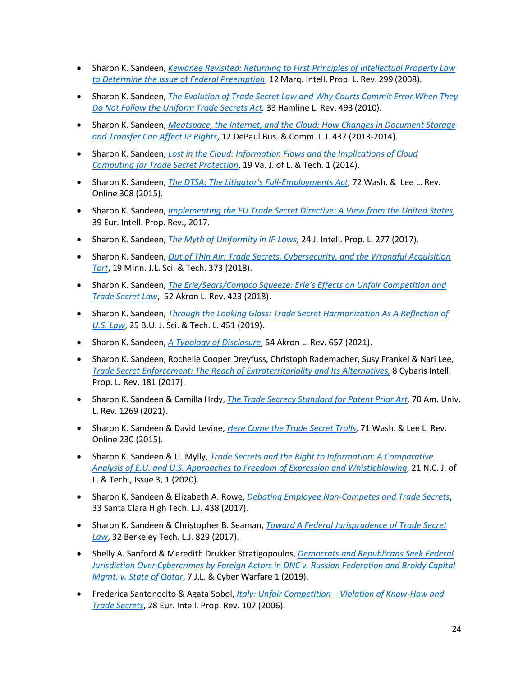- Sharon K. Sandeen, *[Kewanee Revisited: Returning to First Principles of Intellectual Property Law](https://scholarship.law.marquette.edu/cgi/viewcontent.cgi?article=1115&context=iplr)  [to Determine the Issue](https://scholarship.law.marquette.edu/cgi/viewcontent.cgi?article=1115&context=iplr)* of *Federal Preemption*, 12 Marq. Intell. Prop. L. Rev. 299 (2008).
- Sharon K. Sandeen, *[The Evolution of Trade Secret Law and Why Courts Commit Error When They](https://open.mitchellhamline.edu/cgi/viewcontent.cgi?referer=&httpsredir=1&article=1315&context=facsch)  [Do Not Follow the Uniform Trade Secrets Act,](https://open.mitchellhamline.edu/cgi/viewcontent.cgi?referer=&httpsredir=1&article=1315&context=facsch)* 33 Hamline L. Rev. 493 (2010).
- Sharon K. Sandeen, *[Meatspace, the Internet, and the Cloud: How Changes in Document Storage](https://open.mitchellhamline.edu/cgi/viewcontent.cgi?referer=&httpsredir=1&article=1296&context=facsch)  [and Transfer Can Affect IP Rights](https://open.mitchellhamline.edu/cgi/viewcontent.cgi?referer=&httpsredir=1&article=1296&context=facsch)*, 12 DePaul Bus. & Comm. L.J. 437 (2013-2014).
- Sharon K. Sandeen, *[Lost in the Cloud: Information Flows and the Implications of Cloud](https://open.mitchellhamline.edu/cgi/viewcontent.cgi?article=1406&context=facsch&httpsredir=1&referer=)  [Computing for Trade Secret Protection](https://open.mitchellhamline.edu/cgi/viewcontent.cgi?article=1406&context=facsch&httpsredir=1&referer=)*, 19 Va. J. of L. & Tech. 1 (2014).
- Sharon K. Sandeen, *[The DTSA: The Litigator's Full-Employments Act](https://open.mitchellhamline.edu/cgi/viewcontent.cgi?article=1380&context=facsch)*, 72 Wash. & Lee L. Rev. Online 308 (2015).
- Sharon K. Sandeen, *[Implementing the EU Trade Secret Directive: A View from the United States](https://www.westlaw.com/Document/I4A84AF30B58B11E6B256F4FE4F80B413/View/FullText.html?transitionType=Default&contextData=(sc.Default)&VR=3.0&RS=cblt1.0)*, 39 Eur. Intell. Prop. Rev., 2017.
- Sharon K. Sandeen, *[The Myth of Uniformity in IP Laws,](https://open.mitchellhamline.edu/cgi/viewcontent.cgi?article=1430&context=facsch)* 24 J. Intell. Prop. L. 277 (2017).
- Sharon K. Sandeen, *[Out of Thin Air: Trade Secrets, Cybersecurity, and the Wrongful Acquisition](https://open.mitchellhamline.edu/facsch/456/)  [Tort](https://open.mitchellhamline.edu/facsch/456/)*, 19 Minn. J.L. Sci. & Tech. 373 (2018).
- Sharon K. Sandeen, *[The Erie/Sears/Compco Squeeze: Erie's Effects on Unfair Competition and](https://open.mitchellhamline.edu/cgi/viewcontent.cgi?article=1502&context=facsch)  [Trade Secret Law](https://open.mitchellhamline.edu/cgi/viewcontent.cgi?article=1502&context=facsch)*, 52 Akron L. Rev. 423 (2018).
- Sharon K. Sandeen, *[Through the Looking Glass: Trade Secret Harmonization As A Reflection of](https://www.bu.edu/jostl/files/2019/10/6.-Sandeen.pdf)  [U.S. Law](https://www.bu.edu/jostl/files/2019/10/6.-Sandeen.pdf)*, 25 B.U. J. Sci. & Tech. L. 451 (2019).
- Sharon K. Sandeen, *[A Typology of Disclosure](https://ideaexchange.uakron.edu/cgi/viewcontent.cgi?article=2542&context=akronlawreview)*, 54 Akron L. Rev. 657 (2021).
- Sharon K. Sandeen, Rochelle Cooper Dreyfuss, Christoph Rademacher, Susy Frankel & Nari Lee, *Trade Secret Enforcement: [The Reach of Extraterritoriality and Its Alternatives,](https://open.mitchellhamline.edu/cgi/viewcontent.cgi?article=1071&context=cybaris)* 8 Cybaris Intell. Prop. L. Rev. 181 (2017).
- Sharon K. Sandeen & Camilla Hrdy, *[The Trade Secrecy Standard for Patent Prior Art,](https://open.mitchellhamline.edu/cgi/viewcontent.cgi?article=1500&context=facsch#:%7E:text=A%20fundamental%20criterion%20of%20patentability,it%2C%20it%20cannot%20be%20patented.)* 70 Am. Univ. L. Rev. 1269 (2021).
- Sharon K. Sandeen & David Levine, *[Here Come the Trade Secret Trolls](https://papers.ssrn.com/sol3/papers.cfm?abstract_id=2575853)*, 71 Wash. & Lee L. Rev. Online 230 (2015).
- Sharon K. Sandeen & U. Mylly, *[Trade Secrets and the Right to Information: A Comparative](https://open.mitchellhamline.edu/facsch/500/)  [Analysis of E.U. and U.S. Approaches to Freedom of Expression and Whistleblowing](https://open.mitchellhamline.edu/facsch/500/)*, 21 N.C. J. of L. & Tech., Issue 3, 1 (2020).
- Sharon K. Sandeen & Elizabeth A. Rowe, *[Debating Employee Non-Competes and Trade Secrets](https://scholarship.law.ufl.edu/cgi/viewcontent.cgi?article=1794&context=facultypub)*, 33 Santa Clara High Tech. L.J. 438 (2017).
- Sharon K. Sandeen & Christopher B. Seaman, *[Toward A Federal Jurisprudence of Trade Secret](https://open.mitchellhamline.edu/cgi/viewcontent.cgi?article=1431&context=facsch)  [Law](https://open.mitchellhamline.edu/cgi/viewcontent.cgi?article=1431&context=facsch)*, 32 Berkeley Tech. L.J. 829 (2017).
- Shelly A. Sanford & Meredith Drukker Stratigopoulos, *[Democrats and Republicans Seek Federal](https://plus.lexis.com/api/permalink/bef01b6c-4fce-4da0-95a8-7e6382bda026/?context=1530671)  [Jurisdiction Over Cybercrimes by Foreign Actors in DNC v. Russian Federation and Broidy Capital](https://plus.lexis.com/api/permalink/bef01b6c-4fce-4da0-95a8-7e6382bda026/?context=1530671)  [Mgmt. v. State of Qatar](https://plus.lexis.com/api/permalink/bef01b6c-4fce-4da0-95a8-7e6382bda026/?context=1530671)*, 7 J.L. & Cyber Warfare 1 (2019).
- Frederica Santonocito & Agata Sobol, *Italy: Unfair Competition – [Violation of Know-How and](https://www.westlaw.com/Document/IB70EABE1E72111DA9D198AF4F85CA028/View/FullText.html?transitionType=Default&contextData=(sc.Default)&VR=3.0&RS=cblt1.0)  [Trade Secrets](https://www.westlaw.com/Document/IB70EABE1E72111DA9D198AF4F85CA028/View/FullText.html?transitionType=Default&contextData=(sc.Default)&VR=3.0&RS=cblt1.0)*, 28 Eur. Intell. Prop. Rev. 107 (2006).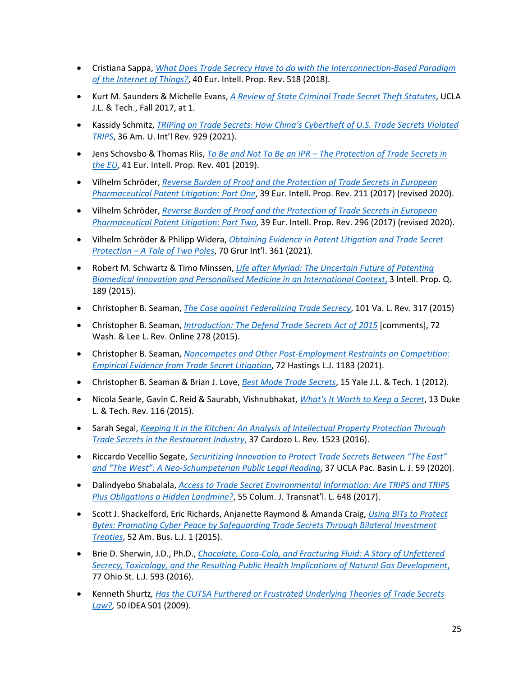- Cristiana Sappa, *[What Does Trade Secrecy Have to do with the Interconnection-Based Paradigm](https://www.westlaw.com/Document/I6D53148089B411E896BD8BE47CBADA39/View/FullText.html?transitionType=Default&contextData=(sc.Default)&VR=3.0&RS=cblt1.0)  [of the Internet of Things?](https://www.westlaw.com/Document/I6D53148089B411E896BD8BE47CBADA39/View/FullText.html?transitionType=Default&contextData=(sc.Default)&VR=3.0&RS=cblt1.0)*, 40 Eur. Intell. Prop. Rev. 518 (2018).
- Kurt M. Saunders & Michelle Evans, *[A Review of State Criminal Trade Secret Theft Statutes](https://papers.ssrn.com/sol3/papers.cfm?abstract_id=3088294)*, UCLA J.L. & Tech., Fall 2017, at 1.
- Kassidy Schmitz, *[TRIPing on Trade Secrets: How China's Cybertheft of U.S. Trade Secrets Violated](https://digitalcommons.wcl.american.edu/auilr/vol36/iss4/5/)  [TRIPS](https://digitalcommons.wcl.american.edu/auilr/vol36/iss4/5/)*, 36 Am. U. Int'l Rev. 929 (2021).
- Jens Schovsbo & Thomas Riis, *To Be and Not To Be an IPR – [The Protection of Trade Secrets in](https://papers.ssrn.com/sol3/papers.cfm?abstract_id=3347705)  [the EU](https://papers.ssrn.com/sol3/papers.cfm?abstract_id=3347705)*, 41 Eur. Intell. Prop. Rev. 401 (2019).
- Vilhelm Schröder, *[Reverse Burden of Proof and the Protection of Trade Secrets in European](https://papers.ssrn.com/sol3/papers.cfm?abstract_id=3154312)  [Pharmaceutical Patent Litigation: Part One](https://papers.ssrn.com/sol3/papers.cfm?abstract_id=3154312)*, 39 Eur. Intell. Prop. Rev. 211 (2017) (revised 2020).
- Vilhelm Schröder, *[Reverse Burden of Proof and the Protection of Trade Secrets in European](https://papers.ssrn.com/sol3/papers.cfm?abstract_id=3154312)  [Pharmaceutical Patent Litigation: Part Two](https://papers.ssrn.com/sol3/papers.cfm?abstract_id=3154312)*, 39 Eur. Intell. Prop. Rev. 296 (2017) (revised 2020).
- Vilhelm Schröder & Philipp Widera, *[Obtaining Evidence in Patent Litigation and Trade Secret](https://academic.oup.com/grurint/article-abstract/70/4/361/6130078?redirectedFrom=PDF)  Protection – [A Tale of Two Poles](https://academic.oup.com/grurint/article-abstract/70/4/361/6130078?redirectedFrom=PDF)*, 70 Grur Int'l. 361 (2021).
- Robert M. Schwartz & Timo Minssen, *[Life after Myriad: The Uncertain Future of Patenting](https://papers.ssrn.com/sol3/papers.cfm?abstract_id=2621058)  [Biomedical Innovation and Personalised Medicine in an International Context](https://papers.ssrn.com/sol3/papers.cfm?abstract_id=2621058)*, 3 Intell. Prop. Q. 189 (2015).
- Christopher B. Seaman, *[The Case against Federalizing Trade Secrecy](https://papers.ssrn.com/sol3/papers.cfm?abstract_id=2397567)*, 101 Va. L. Rev. 317 (2015)
- Christopher B. Seaman, *[Introduction: The Defend Trade Secrets Act of 2015](https://scholarlycommons.law.wlu.edu/cgi/viewcontent.cgi?article=1030&context=wlulr-online)* [comments], 72 Wash. & Lee L. Rev. Online 278 (2015).
- Christopher B. Seaman, *[Noncompetes and Other Post-Employment Restraints on Competition:](https://scholarlycommons.law.wlu.edu/cgi/viewcontent.cgi?article=1653&context=wlufac)  [Empirical Evidence from Trade Secret Litigation](https://scholarlycommons.law.wlu.edu/cgi/viewcontent.cgi?article=1653&context=wlufac)*, 72 Hastings L.J. 1183 (2021).
- Christopher B. Seaman & Brian J. Love, *[Best Mode Trade Secrets](https://yjolt.org/sites/default/files/best_mode_trade_secrets_0.pdf)*, 15 Yale J.L. & Tech. 1 (2012).
- Nicola Searle, Gavin C. Reid & Saurabh, Vishnubhakat, *[What's It Worth to Keep a Secret](https://papers.ssrn.com/sol3/papers.cfm?abstract_id=2732801)*, 13 Duke L. & Tech. Rev. 116 (2015).
- Sarah Segal, *[Keeping It in the Kitchen: An Analysis of Intellectual Property Protection Through](http://cardozolawreview.com/wp-content/uploads/2018/08/SEGAL.37.4.pdf)  [Trade Secrets in the Restaurant Industry](http://cardozolawreview.com/wp-content/uploads/2018/08/SEGAL.37.4.pdf)*, 37 Cardozo L. Rev. 1523 (2016).
- Riccardo Vecellio Segate, *[Securitizing Innovation to Protect Trade Secrets Between "The East"](https://escholarship.org/content/qt34v3715n/qt34v3715n.pdf?t=qd5b1v)  [and "The West": A Neo-Schumpeterian Public Legal Reading](https://escholarship.org/content/qt34v3715n/qt34v3715n.pdf?t=qd5b1v)*, 37 UCLA Pac. Basin L. J. 59 (2020).
- Dalindyebo Shabalala, *[Access to Trade Secret Environmental Information: Are TRIPS and TRIPS](https://papers.ssrn.com/sol3/papers.cfm?abstract_id=2882146)  [Plus Obligations a Hidden Landmine?](https://papers.ssrn.com/sol3/papers.cfm?abstract_id=2882146)*, 55 Colum. J. Transnat'l. L. 648 (2017).
- Scott J. Shackelford, Eric Richards, Anjanette Raymond & Amanda Craig, *[Using BITs to Protect](https://papers.ssrn.com/sol3/papers.cfm?abstract_id=2324619)  [Bytes: Promoting Cyber Peace by Safeguarding Trade Secrets Through Bilateral Investment](https://papers.ssrn.com/sol3/papers.cfm?abstract_id=2324619)  [Treaties](https://papers.ssrn.com/sol3/papers.cfm?abstract_id=2324619)*, 52 Am. Bus. L.J. 1 (2015).
- Brie D. Sherwin, J.D., Ph.D., *[Chocolate, Coca-Cola, and Fracturing Fluid: A Story of Unfettered](https://papers.ssrn.com/sol3/papers.cfm?abstract_id=2616550)  [Secrecy, Toxicology, and the Resulting Public Health Implications of Natural Gas Development](https://papers.ssrn.com/sol3/papers.cfm?abstract_id=2616550)*, 77 Ohio St. L.J. 593 (2016).
- Kenneth Shurtz*, [Has the CUTSA Furthered or Frustrated Underlying Theories of Trade Secrets](https://www.ipmall.info/sites/default/files/hosted_resources/IDEA/idea-vol50-no3-shurtz.pdf)  [Law?,](https://www.ipmall.info/sites/default/files/hosted_resources/IDEA/idea-vol50-no3-shurtz.pdf)* 50 IDEA 501 (2009).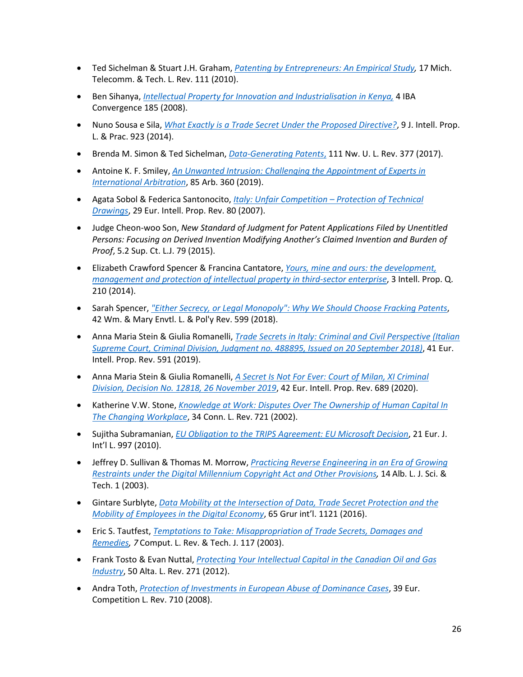- Ted Sichelman & Stuart J.H. Graham, *[Patenting by Entrepreneurs: An Empirical Study,](https://repository.law.umich.edu/cgi/viewcontent.cgi?article=1040&context=mttlr)* 17 Mich. Telecomm. & Tech. L. Rev. 111 (2010).
- Ben Sihanya, *[Intellectual Property for Innovation and Industrialisation in Kenya,](https://www.westlaw.com/Document/Iacc0ea1e080411e08b05fdf15589d8e8/View/FullText.html?transitionType=Default&contextData=(sc.Default)&VR=3.0&RS=cblt1.0)* 4 IBA Convergence 185 (2008).
- Nuno Sousa e Sila, *[What Exactly is a Trade Secret Under the Proposed Directive?](https://papers.ssrn.com/sol3/papers.cfm?abstract_id=2427002)*, 9 J. Intell. Prop. L. & Prac. 923 (2014).
- Brenda M. Simon & Ted Sichelman, *[Data-Generating Patents](https://papers.ssrn.com/sol3/papers.cfm?abstract_id=2753547)*, 111 Nw. U. L. Rev. 377 (2017).
- Antoine K. F. Smiley, *[An Unwanted Intrusion: Challenging the Appointment of Experts in](https://www.westlaw.com/Document/I0A291E80FA5211E99BEAD22EED5AF093/View/FullText.html?transitionType=Default&contextData=(sc.Default)&VR=3.0&RS=cblt1.0)  [International Arbitration](https://www.westlaw.com/Document/I0A291E80FA5211E99BEAD22EED5AF093/View/FullText.html?transitionType=Default&contextData=(sc.Default)&VR=3.0&RS=cblt1.0)*, 85 Arb. 360 (2019).
- Agata Sobol & Federica Santonocito, *[Italy: Unfair Competition –](https://www.westlaw.com/Document/I1A9EC810FA9B11DBB89DA343935378DE/View/FullText.html?transitionType=Default&contextData=(sc.Default)&VR=3.0&RS=cblt1.0) Protection of Technical [Drawings](https://www.westlaw.com/Document/I1A9EC810FA9B11DBB89DA343935378DE/View/FullText.html?transitionType=Default&contextData=(sc.Default)&VR=3.0&RS=cblt1.0)*, 29 Eur. Intell. Prop. Rev. 80 (2007).
- Judge Cheon-woo Son, *New Standard of Judgment for Patent Applications Filed by Unentitled Persons: Focusing on Derived Invention Modifying Another's Claimed Invention and Burden of Proof*, 5.2 Sup. Ct. L.J. 79 (2015).
- Elizabeth Crawford Spencer & Francina Cantatore, *[Yours, mine and ours: the development,](https://www.westlaw.com/Document/IC649850017F911E4B6B381D3503DAD16/View/FullText.html?transitionType=Default&contextData=(sc.Default)&VR=3.0&RS=cblt1.0) [management and protection of intellectual property in third-sector enterprise](https://www.westlaw.com/Document/IC649850017F911E4B6B381D3503DAD16/View/FullText.html?transitionType=Default&contextData=(sc.Default)&VR=3.0&RS=cblt1.0)*, 3 Intell. Prop. Q. 210 (2014).
- Sarah Spencer, *["Either Secrecy, or Legal Monopoly": Why We Should Choose Fracking Patents](https://scholarship.law.wm.edu/wmelpr/vol42/iss2/7/)*, 42 Wm. & Mary Envtl. L. & Pol'y Rev. 599 (2018).
- Anna Maria Stein & Giulia Romanelli, *[Trade Secrets in Italy: Criminal and Civil Perspective \(Italian](https://www.westlaw.com/Document/I2CEC6F30BF4211E98F1BEE1BE08FA046/View/FullText.html?transitionType=Default&contextData=(sc.Default)&VR=3.0&RS=cblt1.0)  [Supreme Court, Criminal Division, Judgment no. 488895, Issued on 20 September 2018\)](https://www.westlaw.com/Document/I2CEC6F30BF4211E98F1BEE1BE08FA046/View/FullText.html?transitionType=Default&contextData=(sc.Default)&VR=3.0&RS=cblt1.0)*, 41 Eur. Intell. Prop. Rev. 591 (2019).
- Anna Maria Stein & Giulia Romanelli, *[A Secret Is Not For Ever: Court of Milan, XI Criminal](https://www.westlaw.com/Document/IE0D6337014C111EBBD8BC7BD4BF606EE/View/FullText.html?transitionType=Default&contextData=(sc.Default)&VR=3.0&RS=cblt1.0)  [Division, Decision No. 12818, 26 November 2019](https://www.westlaw.com/Document/IE0D6337014C111EBBD8BC7BD4BF606EE/View/FullText.html?transitionType=Default&contextData=(sc.Default)&VR=3.0&RS=cblt1.0)*, 42 Eur. Intell. Prop. Rev. 689 (2020).
- Katherine V.W. Stone, *[Knowledge at Work: Disputes Over The Ownership of Human Capital In](https://scholarship.law.cornell.edu/cgi/viewcontent.cgi?article=2436&context=facpub)  [The Changing Workplace](https://scholarship.law.cornell.edu/cgi/viewcontent.cgi?article=2436&context=facpub)*, 34 Conn. L. Rev. 721 (2002).
- Sujitha Subramanian, *[EU Obligation to the TRIPS Agreement: EU Microsoft Decision](https://watermark.silverchair.com/chq075.pdf?token=AQECAHi208BE49Ooan9kkhW_Ercy7Dm3ZL_9Cf3qfKAc485ysgAAAr0wggK5BgkqhkiG9w0BBwagggKqMIICpgIBADCCAp8GCSqGSIb3DQEHATAeBglghkgBZQMEAS4wEQQMAihI6AkSwng6FVVxAgEQgIICcFIM7vzzp6gg3WjX3Hwo4pmqRue3e7_5nGpqM1N9OhjuGIp0baZxqssHkVkojdSXZ3wCYNexHEBwYqvNn77UVx5i4p7HYSP1Zs5KccK8AJqJEJF7v2kFrCWr6C_Q_D4aehYWpbjW6-ITyTr7Ms5M4usViw1rHEgx7nmzuKpN1Y1iAx5Ud7l48fBBcAhCsbmYPreV5n8BGiKBNsNuGCW5b4_ESAoi4-yuv2aeg-BBRTMMdArWhrnTEV5FIizbEYr0A1lSQwD-tIx47rPLCGVqPukr0bfqtMgAzOCX3Bh46Q_MtmasEXZLnHWmq4EfIjXW5u5GUzA9wXmJsFTYvaQSY2W7SNCriGFUz0wf2Hh0KvC2184593oeIqE0eZ9WnJxeTHqj2gPrv2rYHd4QfBOsFaOPKIkSuHwHj0cxuHpAXNzHm4ES179Gmu3VIVAfl2Uya6_eFh9cvk30VovX8G2rjt6w3AceZrDhWqApRKwUb68uHXi1-aqDWjqzpckeFXlRwcXKkGmJyaPEAFhv9L69LnbXOWC_iegFOXbPvK-vNonXOVYmNgYKPsnM7b2bUW89yAbGR07fZkPBQfPCXQoeOAgka-Dvha7aPy02FYqZmGEQMvIoVBUzeeDUrnvPaCVU2QM4ooKEdTqgB0qviIFF3rsJKGQZ067v-TgD8v0EKdL_dcySsumsJvcfSH0AIhj2-SJfpt9J1G5qXjDkEbYXcbQIwm50ZRNqAwlSje7tl8XVY3AzeLR7_YRF9f-qLZny7ecGhwgAMUY8TQnvGJcc8d6o1amFB3c8HYW5OFhWjM7bPNozn70EB1cUGNN9oNN2sQ)*, 21 Eur. J. Int'l L. 997 (2010).
- Jeffrey D. Sullivan & Thomas M. Morrow, *[Practicing Reverse Engineering in an Era of Growing](https://heinonline.org/HOL/P?h=hein.journals/albnyst14&i=9)  [Restraints under the Digital Millennium Copyright Act and Other Provisions,](https://heinonline.org/HOL/P?h=hein.journals/albnyst14&i=9)* 14 Alb. L. J. Sci. & Tech. 1 (2003).
- Gintare Surblyte, *[Data Mobility at the Intersection of Data, Trade Secret Protection and the](https://papers.ssrn.com/sol3/papers.cfm?abstract_id=2752989)  [Mobility of Employees in the Digital Economy](https://papers.ssrn.com/sol3/papers.cfm?abstract_id=2752989)*, 65 Grur int'l. 1121 (2016).
- Eric S. Tautfest, *[Temptations to Take: Misappropriation of Trade Secrets, Damages](https://heinonline.org/HOL/P?h=hein.journals/comlrtj7&i=125) and [Remedies,](https://heinonline.org/HOL/P?h=hein.journals/comlrtj7&i=125) 7* Comput. L. Rev. & Tech. J. 117 (2003).
- Frank Tosto & Evan Nuttal, *[Protecting Your Intellectual Capital in the Canadian Oil and Gas](https://albertalawreview.com/index.php/ALR/article/view/251/251)  [Industry](https://albertalawreview.com/index.php/ALR/article/view/251/251)*, 50 Alta. L. Rev. 271 (2012).
- Andra Toth, *[Protection of Investments in European Abuse of Dominance Cases](https://papers.ssrn.com/sol3/papers.cfm?abstract_id=2745777)*, 39 Eur. Competition L. Rev. 710 (2008).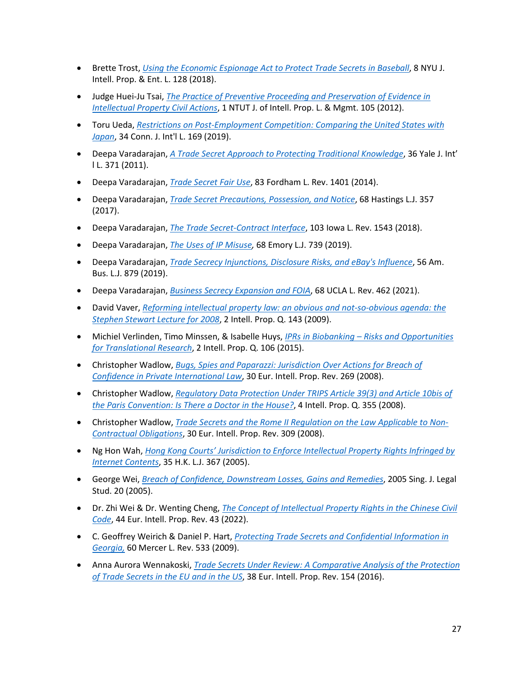- Brette Trost, *[Using the Economic Espionage Act to Protect Trade Secrets in Baseball](https://papers.ssrn.com/sol3/papers.cfm?abstract_id=3431165)*, 8 NYU J. Intell. Prop. & Ent. L. 128 (2018).
- Judge Huei-Ju Tsai, *[The Practice of Preventive Proceeding and Preservation of Evidence in](https://www.westlaw.com/Document/I433CC956DF974537BEA4122BFDB86593/View/FullText.html?transitionType=Default&contextData=(sc.Default)&VR=3.0&RS=cblt1.0)  [Intellectual Property Civil Actions](https://www.westlaw.com/Document/I433CC956DF974537BEA4122BFDB86593/View/FullText.html?transitionType=Default&contextData=(sc.Default)&VR=3.0&RS=cblt1.0)*, 1 NTUT J. of Intell. Prop. L. & Mgmt. 105 (2012).
- Toru Ueda, *[Restrictions on Post-Employment Competition: Comparing the United States with](https://plus.lexis.com/api/permalink/ec47f1db-bd4b-47bc-8d85-35ed0e90bc8d/?context=1530671)  [Japan](https://plus.lexis.com/api/permalink/ec47f1db-bd4b-47bc-8d85-35ed0e90bc8d/?context=1530671)*, 34 Conn. J. Int'l L. 169 (2019).
- Deepa Varadarajan, *[A Trade Secret Approach to Protecting Traditional Knowledge](https://scholarship.law.stjohns.edu/cgi/viewcontent.cgi?article=1043&context=faculty_publications)*, 36 Yale J. Int' l L. 371 (2011).
- Deepa Varadarajan, *[Trade Secret Fair Use](https://ir.lawnet.fordham.edu/flr/vol83/iss3/9/)*, 83 Fordham L. Rev. 1401 (2014).
- Deepa Varadarajan, *[Trade Secret Precautions, Possession, and Notice](https://repository.uchastings.edu/hastings_law_journal/vol68/iss2/4/)*, 68 Hastings L.J. 357 (2017).
- Deepa Varadarajan, *[The Trade Secret-Contract Interface](https://papers.ssrn.com/sol3/papers.cfm?abstract_id=3174865)*, 103 Iowa L. Rev. 1543 (2018).
- Deepa Varadarajan, *[The Uses of IP Misuse,](https://papers.ssrn.com/sol3/papers.cfm?abstract_id=3400994)* 68 Emory L.J. 739 (2019).
- Deepa Varadarajan, *[Trade Secrecy Injunctions, Disclosure Risks, and eBay's Influence](https://papers.ssrn.com/sol3/papers.cfm?abstract_id=3480704)*, 56 Am. Bus. L.J. 879 (2019).
- Deepa Varadarajan, *[Business Secrecy Expansion and FOIA](https://papers.ssrn.com/sol3/papers.cfm?abstract_id=3600996)*, 68 UCLA L. Rev. 462 (2021).
- David Vaver, *[Reforming intellectual property law: an obvious and not-so-obvious agenda: the](https://digitalcommons.osgoode.yorku.ca/cgi/viewcontent.cgi?article=2255&context=scholarly_works)  [Stephen Stewart Lecture for 2008](https://digitalcommons.osgoode.yorku.ca/cgi/viewcontent.cgi?article=2255&context=scholarly_works)*, 2 Intell. Prop. Q. 143 (2009).
- Michiel Verlinden, Timo Minssen, & Isabelle Huys, *IPRs in Biobanking – [Risks and Opportunities](https://papers.ssrn.com/sol3/papers.cfm?abstract_id=3409773)  [for Translational Research](https://papers.ssrn.com/sol3/papers.cfm?abstract_id=3409773)*, 2 Intell. Prop. Q. 106 (2015).
- Christopher Wadlow, *[Bugs, Spies and Paparazzi: Jurisdiction Over Actions for Breach of](https://www.westlaw.com/Document/I75EBD3D0287F11DDA41691D2A76FCCD8/View/FullText.html?transitionType=Default&contextData=(sc.Default)&VR=3.0&RS=cblt1.0)  [Confidence in Private International Law](https://www.westlaw.com/Document/I75EBD3D0287F11DDA41691D2A76FCCD8/View/FullText.html?transitionType=Default&contextData=(sc.Default)&VR=3.0&RS=cblt1.0)*, 30 Eur. Intell. Prop. Rev. 269 (2008).
- Christopher Wadlow, *[Regulatory Data Protection Under TRIPS Article 39\(3\) and Article 10bis of](https://www.westlaw.com/Document/IFC7BC210A7D311DDAAB7E75CD5930567/View/FullText.html?transitionType=Default&contextData=(sc.Default)&VR=3.0&RS=cblt1.0)  [the Paris Convention: Is There a Doctor in the House?](https://www.westlaw.com/Document/IFC7BC210A7D311DDAAB7E75CD5930567/View/FullText.html?transitionType=Default&contextData=(sc.Default)&VR=3.0&RS=cblt1.0)*, 4 Intell. Prop. Q. 355 (2008).
- Christopher Wadlow, *[Trade Secrets and the Rome II Regulation on the Law Applicable to Non-](https://www.westlaw.com/Document/I2764D490468F11DDA218AF32497F9DAB/View/FullText.html?transitionType=Default&contextData=(sc.Default)&VR=3.0&RS=cblt1.0)[Contractual Obligations](https://www.westlaw.com/Document/I2764D490468F11DDA218AF32497F9DAB/View/FullText.html?transitionType=Default&contextData=(sc.Default)&VR=3.0&RS=cblt1.0)*, 30 Eur. Intell. Prop. Rev. 309 (2008).
- Ng Hon Wah, *[Hong Kong Courts' Jurisdiction to Enforce Intellectual Property Rights Infringed by](https://hub.hku.hk/bitstream/10722/133238/2/content.pdf?accept=1)  [Internet Contents](https://hub.hku.hk/bitstream/10722/133238/2/content.pdf?accept=1)*, 35 H.K. L.J. 367 (2005).
- George Wei, *[Breach of Confidence, Downstream Losses, Gains and Remedies](https://papers.ssrn.com/sol3/papers.cfm?abstract_id=952336)*, 2005 Sing. J. Legal Stud. 20 (2005).
- Dr. Zhi Wei & Dr. Wenting Cheng, *[The Concept of Intellectual Property Rights in the Chinese](https://www.westlaw.com/Document/IC613618053F311ECB10BFB9825FA6CFA/View/FullText.html?transitionType=Default&contextData=(sc.Default)&VR=3.0&RS=cblt1.0) Civil [Code](https://www.westlaw.com/Document/IC613618053F311ECB10BFB9825FA6CFA/View/FullText.html?transitionType=Default&contextData=(sc.Default)&VR=3.0&RS=cblt1.0)*, 44 Eur. Intell. Prop. Rev. 43 (2022).
- C. Geoffrey Weirich & Daniel P. Hart, *[Protecting Trade Secrets and Confidential Information in](https://heinonline.org/HOL/P?h=hein.journals/mercer60&i=539)  [Georgia,](https://heinonline.org/HOL/P?h=hein.journals/mercer60&i=539)* 60 Mercer L. Rev. 533 (2009).
- Anna Aurora Wennakoski, *[Trade Secrets Under Review: A Comparative Analysis of the Protection](https://www.westlaw.com/Document/I18466AF0CEC711E5B40ECAE1394FC582/View/FullText.html?transitionType=Default&contextData=(sc.Default)&VR=3.0&RS=cblt1.0)  [of Trade Secrets in the EU and in the US](https://www.westlaw.com/Document/I18466AF0CEC711E5B40ECAE1394FC582/View/FullText.html?transitionType=Default&contextData=(sc.Default)&VR=3.0&RS=cblt1.0)*, 38 Eur. Intell. Prop. Rev. 154 (2016).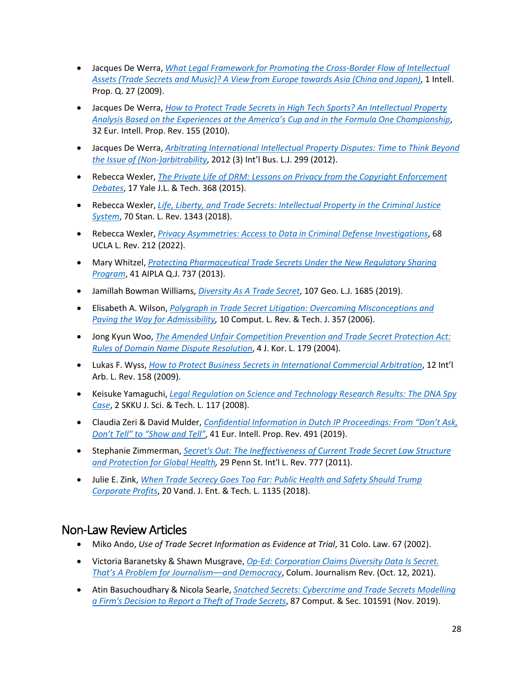- Jacques De Werra, *[What Legal Framework for Promoting the Cross-Border Flow of Intellectual](https://papers.ssrn.com/sol3/papers.cfm?abstract_id=2149758)  [Assets \(Trade Secrets and Music\)? A View from Europe towards](https://papers.ssrn.com/sol3/papers.cfm?abstract_id=2149758) Asia (China and Japan)*, 1 Intell. Prop. Q. 27 (2009).
- Jacques De Werra, *[How to Protect Trade Secrets in High Tech Sports? An Intellectual Property](https://www.westlaw.com/Document/I2B78A9F11DD211DFA14D8DDC0C67D509/View/FullText.html?transitionType=Default&contextData=(sc.Default)&VR=3.0&RS=cblt1.0)  [Analysis Based on the Experiences at the America's Cup and in the Formula One Championship](https://www.westlaw.com/Document/I2B78A9F11DD211DFA14D8DDC0C67D509/View/FullText.html?transitionType=Default&contextData=(sc.Default)&VR=3.0&RS=cblt1.0)*, 32 Eur. Intell. Prop. Rev. 155 (2010).
- Jacques De Werra, *[Arbitrating International Intellectual Property Disputes: Time to Think Beyond](https://papers.ssrn.com/sol3/papers.cfm?abstract_id=2149762)  [the Issue of \(Non-\)arbitrability](https://papers.ssrn.com/sol3/papers.cfm?abstract_id=2149762)*, 2012 (3) Int'l Bus. L.J. 299 (2012).
- Rebecca Wexler, *[The Private Life of DRM: Lessons on Privacy from the Copyright Enforcement](https://yjolt.org/sites/default/files/wexler_17yjolt368_2_0.pdf)  [Debates](https://yjolt.org/sites/default/files/wexler_17yjolt368_2_0.pdf)*, 17 Yale J.L. & Tech. 368 (2015).
- Rebecca Wexler, *[Life, Liberty, and Trade Secrets: Intellectual Property in the Criminal Justice](https://review.law.stanford.edu/wp-content/uploads/sites/3/2018/06/70-Stan.-L.-Rev.-1343.pdf)  [System](https://review.law.stanford.edu/wp-content/uploads/sites/3/2018/06/70-Stan.-L.-Rev.-1343.pdf)*, 70 Stan. L. Rev. 1343 (2018).
- Rebecca Wexler, *[Privacy Asymmetries: Access to Data in Criminal Defense Investigations](https://papers.ssrn.com/sol3/papers.cfm?abstract_id=3428607)*, 68 UCLA L. Rev. 212 (2022).
- Mary Whitzel, *[Protecting Pharmaceutical Trade Secrets Under the New Regulatory Sharing](https://heinonline.org/HOL/P?h=hein.journals/aiplaqj41&i=765)  [Program](https://heinonline.org/HOL/P?h=hein.journals/aiplaqj41&i=765)*, 41 AIPLA Q.J. 737 (2013).
- Jamillah Bowman Williams, *[Diversity As A Trade Secret](https://www.law.georgetown.edu/georgetown-law-journal/wp-content/uploads/sites/26/2019/07/Diversity-as-a-Trade-Secret.pdf)*, 107 Geo. L.J. 1685 (2019).
- Elisabeth A. Wilson, *[Polygraph in Trade Secret Litigation: Overcoming Misconceptions and](https://heinonline.org/HOL/P?h=hein.journals/comlrtj10&i=357)  [Paving the Way for Admissibility,](https://heinonline.org/HOL/P?h=hein.journals/comlrtj10&i=357)* 10 Comput. L. Rev. & Tech. J. 357 (2006).
- Jong Kyun Woo, *[The Amended Unfair Competition Prevention and Trade Secret Protection Act:](https://s-space.snu.ac.kr/bitstream/10371/85078/1/8.%20The%20Amended%20Unfair%20Competition%20Prevention%20and%20Trade%20Secret%20Protection%20Act%20-%20Rules%20of%20Domain%20Name%20Dispute%20Resolution%20-.pdf)  [Rules of Domain Name Dispute Resolution](https://s-space.snu.ac.kr/bitstream/10371/85078/1/8.%20The%20Amended%20Unfair%20Competition%20Prevention%20and%20Trade%20Secret%20Protection%20Act%20-%20Rules%20of%20Domain%20Name%20Dispute%20Resolution%20-.pdf)*, 4 J. Kor. L. 179 (2004).
- Lukas F. Wyss, *[How to Protect Business Secrets in International Commercial Arbitration](https://www.westlaw.com/Document/ICC61C030E3A911DEBBB8C3790F629BA5/View/FullText.html?transitionType=Default&contextData=(sc.Default)&VR=3.0&RS=cblt1.0)*, 12 Int'l Arb. L. Rev. 158 (2009).
- Keisuke Yamaguchi, *[Legal Regulation on Science and Technology Research Results: The DNA Spy](https://www.westlaw.com/Document/IC2972DD887364A158CBF7D2B0B6D7417/View/FullText.html?transitionType=Default&contextData=(sc.Default)&VR=3.0&RS=cblt1.0)  [Case](https://www.westlaw.com/Document/IC2972DD887364A158CBF7D2B0B6D7417/View/FullText.html?transitionType=Default&contextData=(sc.Default)&VR=3.0&RS=cblt1.0)*, 2 SKKU J. Sci. & Tech. L. 117 (2008).
- Claudia Zeri & David Mulder, *[Confidential Information in Dutch IP Proceedings: From "Don't Ask,](https://www.barentskrans.nl/en/wp-content/uploads/sites/2/2019/09/Pages-from-2019_41_EIPR_Issue_8FINALZERIANDMULDER.pdf)  [Don't Tell" to "Show and Tell"](https://www.barentskrans.nl/en/wp-content/uploads/sites/2/2019/09/Pages-from-2019_41_EIPR_Issue_8FINALZERIANDMULDER.pdf)*, 41 Eur. Intell. Prop. Rev. 491 (2019).
- Stephanie Zimmerman, *[Secret's Out: The Ineffectiveness of Current Trade Secret Law Structure](https://elibrary.law.psu.edu/cgi/viewcontent.cgi?article=1201&context=psilr)  [and Protection for Global Health,](https://elibrary.law.psu.edu/cgi/viewcontent.cgi?article=1201&context=psilr)* 29 Penn St. Int'l L. Rev. 777 (2011).
- Julie E. Zink, *[When Trade Secrecy Goes Too Far: Public Health and Safety Should Trump](https://scholarship.law.vanderbilt.edu/cgi/viewcontent.cgi?article=1105&context=jetlaw)  [Corporate Profits](https://scholarship.law.vanderbilt.edu/cgi/viewcontent.cgi?article=1105&context=jetlaw)*, 20 Vand. J. Ent. & Tech. L. 1135 (2018).

## Non-Law Review Articles

- Miko Ando, *Use of Trade Secret Information as Evidence at Trial*, 31 Colo. Law. 67 (2002).
- Victoria Baranetsky & Shawn Musgrave, *[Op-Ed: Corporation Claims Diversity Data Is Secret.](https://www.cjr.org/opinion/op-ed-corporation-claims-diversity-data-is-secret-thats-a-problem-for-journalism-and-democracy.php)  [That's A Problem for Journalism––and Democracy](https://www.cjr.org/opinion/op-ed-corporation-claims-diversity-data-is-secret-thats-a-problem-for-journalism-and-democracy.php)*, Colum. Journalism Rev. (Oct. 12, 2021).
- Atin Basuchoudhary & Nicola Searle, *[Snatched Secrets: Cybercrime and Trade Secrets Modelling](https://www.sciencedirect.com/science/article/pii/S0167404819300616)  [a Firm's Decision to Report a Theft of Trade Secrets](https://www.sciencedirect.com/science/article/pii/S0167404819300616)*, 87 Comput. & Sec. 101591 (Nov. 2019).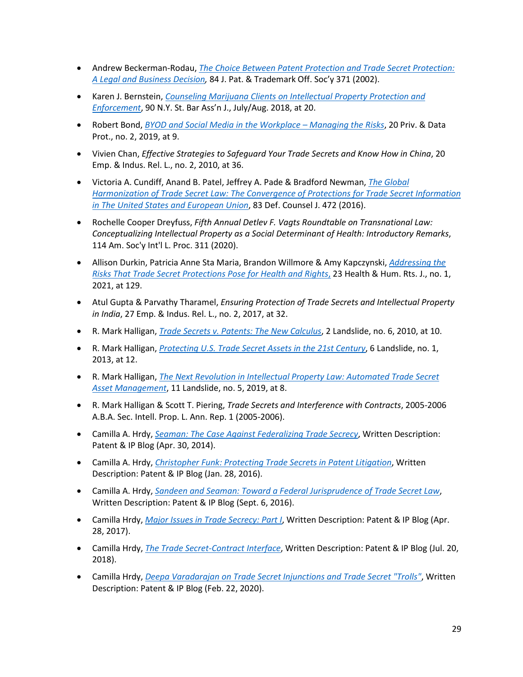- Andrew Beckerman-Rodau, *[The Choice Between Patent Protection and Trade Secret Protection:](https://papers.ssrn.com/sol3/papers.cfm?abstract_id=704644)  [A Legal and Business Decision,](https://papers.ssrn.com/sol3/papers.cfm?abstract_id=704644)* 84 J. Pat. & Trademark Off. Soc'y 371 (2002).
- Karen J. Bernstein, *[Counseling Marijuana Clients on Intellectual Property Protection and](https://heinonline.org/HOL/P?h=hein.barjournals/nysbaj0090&i=362)  [Enforcement](https://heinonline.org/HOL/P?h=hein.barjournals/nysbaj0090&i=362)*, 90 N.Y. St. Bar Ass'n J., July/Aug. 2018, at 20.
- Robert Bond, *[BYOD and Social Media in the Workplace –](https://www.bristows.com/app/uploads/2020/01/BYOD-and-social-BYOD-and-social-media-in-the-workplace-.pdf) Managing the Risks*, 20 Priv. & Data Prot., no. 2, 2019, at 9.
- Vivien Chan, *Effective Strategies to Safeguard Your Trade Secrets and Know How in China*, 20 Emp. & Indus. Rel. L., no. 2, 2010, at 36.
- Victoria A. Cundiff, Anand B. Patel, Jeffrey A. Pade & Bradford Newman, *[The Global](https://www.iadclaw.org/assets/1/19/Vol_83_No_4_The_Global_Harmonization_of_Trade_Secret_Law.pdf?198)  [Harmonization of Trade Secret Law: The Convergence of Protections for Trade Secret Information](https://www.iadclaw.org/assets/1/19/Vol_83_No_4_The_Global_Harmonization_of_Trade_Secret_Law.pdf?198)  [in The United States and European Union](https://www.iadclaw.org/assets/1/19/Vol_83_No_4_The_Global_Harmonization_of_Trade_Secret_Law.pdf?198)*, 83 Def. Counsel J. 472 (2016).
- Rochelle Cooper Dreyfuss, *Fifth Annual Detlev F. Vagts Roundtable on Transnational Law: Conceptualizing Intellectual Property as a Social Determinant of Health: Introductory Remarks*, 114 Am. Soc'y Int'l L. Proc. 311 (2020).
- Allison Durkin, Patricia Anne Sta Maria, Brandon Willmore & Amy Kapczynski, *[Addressing the](https://www.hhrjournal.org/2021/06/addressing-the-risks-that-trade-secret-protections-pose-for-health-and-rights/)  [Risks That Trade Secret Protections Pose for Health and Rights](https://www.hhrjournal.org/2021/06/addressing-the-risks-that-trade-secret-protections-pose-for-health-and-rights/)*, 23 Health & Hum. Rts. J., no. 1, 2021, at 129.
- Atul Gupta & Parvathy Tharamel, *Ensuring Protection of Trade Secrets and Intellectual Property in India*, 27 Emp. & Indus. Rel. L., no. 2, 2017, at 32.
- R. Mark Halligan, *[Trade Secrets v. Patents: The New Calculus](https://dokument.pub/trade-secrets-v-patents-the-new-calculus-flipbook-pdf.html)*, 2 Landslide, no. 6, 2010, at 10.
- R. Mark Halligan, *[Protecting U.S. Trade Secret Assets in the 21st Century](https://www.americanbar.org/groups/intellectual_property_law/publications/landslide/2013-14/september-october-2013/protecting_us_trade_secret_assets_the_21st_century/)*, 6 Landslide, no. 1, 2013, at 12.
- R. Mark Halligan, *[The Next Revolution in Intellectual Property Law: Automated Trade Secret](https://www.americanbar.org/groups/intellectual_property_law/publications/landslide/2018-19/may-june/the-next-revolution-intellectual-property-law-automated-trade-secret-asset-management/)  [Asset Management](https://www.americanbar.org/groups/intellectual_property_law/publications/landslide/2018-19/may-june/the-next-revolution-intellectual-property-law-automated-trade-secret-asset-management/)*, 11 Landslide, no. 5, 2019, at 8.
- R. Mark Halligan & Scott T. Piering, *Trade Secrets and Interference with Contracts*, 2005-2006 A.B.A. Sec. Intell. Prop. L. Ann. Rep. 1 (2005-2006).
- Camilla A. Hrdy, *[Seaman: The Case Against Federalizing Trade Secrecy](https://writtendescription.blogspot.com/2014/04/seaman-case-against-federalizing-trade.html)*, Written Description: Patent & IP Blog (Apr. 30, 2014).
- Camilla A. Hrdy, *[Christopher Funk: Protecting Trade Secrets in Patent Litigation](https://writtendescription.blogspot.com/2016/01/christopher-funk-protecting-trade.html)*, Written Description: Patent & IP Blog (Jan. 28, 2016).
- Camilla A. Hrdy, *[Sandeen and Seaman: Toward a Federal Jurisprudence of Trade Secret Law](https://writtendescription.blogspot.com/2016/09/sandeen-and-seaman-toward-federal.html)*, Written Description: Patent & IP Blog (Sept. 6, 2016).
- Camilla Hrdy, *[Major Issues in Trade Secrecy: Part I](https://writtendescription.blogspot.com/2017/04/major-issues-in-trade-secret-law-part-1.html)*, Written Description: Patent & IP Blog (Apr. 28, 2017).
- Camilla Hrdy, *[The Trade Secret-Contract Interface](https://writtendescription.blogspot.com/2018/07/the-trade-secret-contract-interface.html)*, Written Description: Patent & IP Blog (Jul. 20, 2018).
- Camilla Hrdy, *[Deepa Varadarajan on Trade Secret Injunctions and Trade Secret "Trolls"](https://writtendescription.blogspot.com/2020/02/)*, Written Description: Patent & IP Blog (Feb. 22, 2020).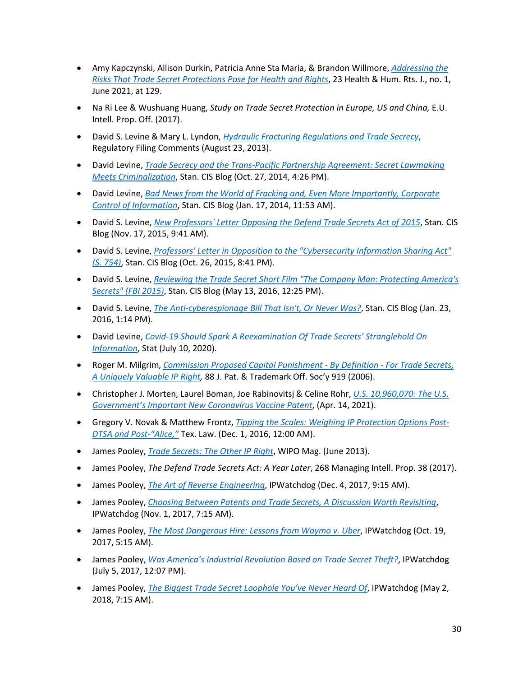- Amy Kapczynski, Allison Durkin, Patricia Anne Sta Maria, & Brandon Willmore, *[Addressing the](https://www.hhrjournal.org/2021/06/addressing-the-risks-that-trade-secret-protections-pose-for-health-and-rights/)  [Risks That Trade Secret Protections Pose for Health and Rights](https://www.hhrjournal.org/2021/06/addressing-the-risks-that-trade-secret-protections-pose-for-health-and-rights/)*, 23 Health & Hum. Rts. J., no. 1, June 2021, at 129.
- Na Ri Lee & Wushuang Huang, *Study on Trade Secret Protection in Europe, US and China,* E.U. Intell. Prop. Off. (2017).
- David S. Levine & Mary L. Lyndon, *[Hydraulic Fracturing Regulations and Trade Secrecy](http://cyberlaw.stanford.edu/files/publication/files/Lyndon%20Levine%20BLM%20Comments%20FINAL.pdf)*, Regulatory Filing Comments (August 23, 2013).
- David Levine, *[Trade Secrecy and the Trans-Pacific Partnership Agreement: Secret Lawmaking](http://cyberlaw.stanford.edu/blog/2014/10/trade-secrecy-and-trans-pacific-partnership-agreement-secret-lawmaking-meets)  [Meets Criminalization](http://cyberlaw.stanford.edu/blog/2014/10/trade-secrecy-and-trans-pacific-partnership-agreement-secret-lawmaking-meets)*, Stan. CIS Blog (Oct. 27, 2014, 4:26 PM).
- David Levine, *[Bad News from the World of Fracking and, Even More Importantly, Corporate](http://cyberlaw.stanford.edu/blog/2014/01/bad-news-world-fracking-and-even-more-importantly-corporate-control-information.)  [Control of Information](http://cyberlaw.stanford.edu/blog/2014/01/bad-news-world-fracking-and-even-more-importantly-corporate-control-information.)*, Stan. CIS Blog (Jan. 17, 2014, 11:53 AM).
- David S. Levine, *[New Professors' Letter Opposing the Defend Trade Secrets Act of 2015](http://cyberlaw.stanford.edu/blog/2015/11/new-professors-letter-opposing-defend-trade-secrets-act-2015)*, Stan. CIS Blog (Nov. 17, 2015, 9:41 AM).
- David S. Levine, *[Professors' Letter in Opposition to the "Cybersecurity Information Sharing Act"](http://cyberlaw.stanford.edu/blog/2015/10/professors-letter-opposition-cybersecurity-information-sharing-act-s-754) [\(S. 754\)](http://cyberlaw.stanford.edu/blog/2015/10/professors-letter-opposition-cybersecurity-information-sharing-act-s-754)*, Stan. CIS Blog (Oct. 26, 2015, 8:41 PM).
- David S. Levine, *[Reviewing the Trade Secret Short Film "The Company Man: Protecting America's](http://cyberlaw.stanford.edu/blog/2016/05/reviewing-trade-secret-short-film-company-man-protecting-americas-secrets-fbi-2015)  [Secrets" \(FBI 2015\)](http://cyberlaw.stanford.edu/blog/2016/05/reviewing-trade-secret-short-film-company-man-protecting-americas-secrets-fbi-2015)*, Stan. CIS Blog (May 13, 2016, 12:25 PM).
- David S. Levine, *[The Anti-cyberespionage Bill That Isn't, Or Never Was?](http://cyberlaw.stanford.edu/blog/2016/01/anti-cyberespionage-bill-isnt-or-never-was)*, Stan. CIS Blog (Jan. 23, 2016, 1:14 PM).
- David Levine, *[Covid-19 Should Spark A Reexamination Of Trade Secrets' Stranglehold On](https://www.statnews.com/2020/07/10/covid-19-reexamine-trade-secrets-information-stranglehold/)  [Information](https://www.statnews.com/2020/07/10/covid-19-reexamine-trade-secrets-information-stranglehold/)*, Stat (July 10, 2020).
- Roger M. Milgrim*, [Commission Proposed Capital Punishment -](https://heinonline.org/HOL/P?h=hein.journals/jpatos88&i=921) By Definition - For Trade Secrets, [A Uniquely Valuable IP Right,](https://heinonline.org/HOL/P?h=hein.journals/jpatos88&i=921)* 88 J. Pat. & Trademark Off. Soc'y 919 (2006).
- Christopher J. Morten, Laurel Boman, Joe Rabinovitsj & Celine Rohr, *[U.S. 10,960,070: The U.S.](https://papers.ssrn.com/sol3/papers.cfm?abstract_id=3889784)  [Government's Important New Coronavirus Vaccine Patent](https://papers.ssrn.com/sol3/papers.cfm?abstract_id=3889784)*, (Apr. 14, 2021).
- Gregory V. Novak & Matthew Frontz, *[Tipping the Scales: Weighing IP Protection Options Post-](https://perma.cc/W5EQ-94RC)[DTSA and Post-"Alice,"](https://perma.cc/W5EQ-94RC)* Tex. Law. (Dec. 1, 2016, 12:00 AM).
- James Pooley, *[Trade Secrets: The Other IP Right](http://pooley.com/wp-content/uploads/2020/12/WIPO_magazine_june_2013.pdf)*, WIPO Mag. (June 2013).
- James Pooley, *The Defend Trade Secrets Act: A Year Later*, 268 Managing Intell. Prop. 38 (2017).
- James Pooley, *[The Art of Reverse Engineering](http://www.ipwatchdog.com/2017/12/04/art-reverse-engineering/id=90439/)*, IPWatchdog (Dec. 4, 2017, 9:15 AM).
- James Pooley, *[Choosing Between Patents and Trade Secrets, A Discussion Worth Revisiting](http://www.ipwatchdog.com/2017/11/01/patents-and-trade-secrets-revisited/id=89641/)*, IPWatchdog (Nov. 1, 2017, 7:15 AM).
- James Pooley, *[The Most Dangerous Hire: Lessons from Waymo v. Uber](http://www.ipwatchdog.com/2017/10/19/most-dangerous-hire-lessons-waymo-uber/id=89346/)*, IPWatchdog (Oct. 19, 2017, 5:15 AM).
- James Pooley, *[Was America's Industrial Revolution Based on Trade Secret Theft?](http://www.ipwatchdog.com/2017/07/05/americas-industrial-revolution-based-trade-secret-theft/id=85377/)*, IPWatchdog (July 5, 2017, 12:07 PM).
- James Pooley, *[The Biggest Trade Secret Loophole You've Never Heard Of](http://www.ipwatchdog.com/2018/05/02/biggest-trade-secret-loophole/id=96720/)*, IPWatchdog (May 2, 2018, 7:15 AM).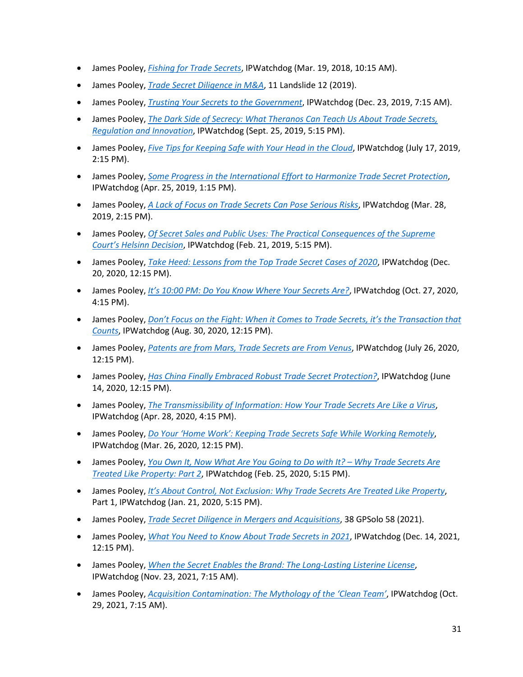- James Pooley, *Fishing for Trade Secrets*, IPWatchdog (Mar. 19, 2018, 10:15 AM).
- James Pooley, *Trade Secret Diligence in M&A*, 11 Landslide 12 (2019).
- James Pooley, *Trusting Your Secrets to the Government*, IPWatchdog (Dec. 23, 2019, 7:15 AM).
- James Pooley, *The Dark Side of Secrecy: What Theranos Can Teach Us About Trade Secrets, Regulation and Innovation*, IPWatchdog (Sept. 25, 2019, 5:15 PM).
- James Pooley, *Five Tips for Keeping Safe with Your Head in the Cloud*, IPWatchdog (July 17, 2019, 2:15 PM).
- James Pooley, *Some Progress in the International Effort to Harmonize Trade Secret Protection*, IPWatchdog (Apr. 25, 2019, 1:15 PM).
- James Pooley, *A Lack of Focus on Trade Secrets Can Pose Serious Risks*, IPWatchdog (Mar. 28, 2019, 2:15 PM).
- James Pooley, *Of Secret Sales and Public Uses: The Practical Consequences of the Supreme Court's Helsinn Decision*, IPWatchdog (Feb. 21, 2019, 5:15 PM).
- James Pooley, *Take Heed: Lessons from the Top Trade Secret Cases of 2020*, IPWatchdog (Dec. 20, 2020, 12:15 PM).
- James Pooley, *It's 10:00 PM: Do You Know Where Your Secrets Are?*, IPWatchdog (Oct. 27, 2020, 4:15 PM).
- James Pooley, *Don't Focus on the Fight: When it Comes to Trade Secrets, it's the Transaction that Counts*, IPWatchdog (Aug. 30, 2020, 12:15 PM).
- James Pooley, *Patents are from Mars, Trade Secrets are From Venus*, IPWatchdog (July 26, 2020, 12:15 PM).
- James Pooley, *Has China Finally Embraced Robust Trade Secret Protection?*, IPWatchdog (June 14, 2020, 12:15 PM).
- James Pooley, *The Transmissibility of Information: How Your Trade Secrets Are Like a Virus*, IPWatchdog (Apr. 28, 2020, 4:15 PM).
- James Pooley, *Do Your 'Home Work': Keeping Trade Secrets Safe While Working Remotely*, IPWatchdog (Mar. 26, 2020, 12:15 PM).
- James Pooley, *You Own It, Now What Are You Going to Do with It? – Why Trade Secrets Are Treated Like Property: Part 2*, IPWatchdog (Feb. 25, 2020, 5:15 PM).
- James Pooley, *It's About Control, Not Exclusion: Why Trade Secrets Are Treated Like Property*, Part 1, IPWatchdog (Jan. 21, 2020, 5:15 PM).
- James Pooley, *Trade Secret Diligence in Mergers and Acquisitions*, 38 GPSolo 58 (2021).
- James Pooley, *What You Need to Know About Trade Secrets in 2021*, IPWatchdog (Dec. 14, 2021, 12:15 PM).
- James Pooley, *When the Secret Enables the Brand: The Long-Lasting Listerine License*, IPWatchdog (Nov. 23, 2021, 7:15 AM).
- James Pooley, *Acquisition Contamination: The Mythology of the 'Clean Team'*, IPWatchdog (Oct. 29, 2021, 7:15 AM).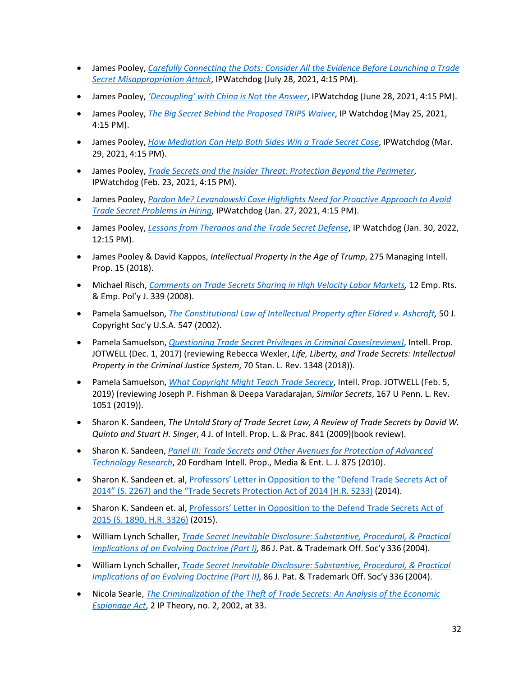- James Pooley, *Carefully Connecting the Dots: Consider All the Evidence Before Launching a Trade Secret Misappropriation Attack*, IPWatchdog (July 28, 2021, 4:15 PM).
- James Pooley, *'Decoupling' with China is Not the Answer*, IPWatchdog (June 28, 2021, 4:15 PM).
- James Pooley, *The Big Secret Behind the Proposed TRIPS Waiver*, IP Watchdog (May 25, 2021, 4:15 PM).
- James Pooley, *How Mediation Can Help Both Sides Win a Trade Secret Case*, IPWatchdog (Mar. 29, 2021, 4:15 PM).
- James Pooley, *Trade Secrets and the Insider Threat: Protection Beyond the Perimeter*, IPWatchdog (Feb. 23, 2021, 4:15 PM).
- James Pooley, *Pardon Me? Levandowski Case Highlights Need for Proactive Approach to Avoid Trade Secret Problems in Hiring*, IPWatchdog (Jan. 27, 2021, 4:15 PM).
- James Pooley, *Lessons from Theranos and the Trade Secret Defense*, IP Watchdog (Jan. 30, 2022, 12:15 PM).
- James Pooley & David Kappos, *Intellectual Property in the Age of Trump*, 275 Managing Intell. Prop. 15 (2018).
- Michael Risch, *Comments on Trade Secrets Sharing in High Velocity Labor Markets,* 12 Emp. Rts. & Emp. Pol'y J. 339 (2008).
- Pamela Samuelson, *The Constitutional Law of Intellectual Property after Eldred v. Ashcroft,* 50 J. Copyright Soc'y U.S.A. 547 (2002).
- Pamela Samuelson, *Questioning Trade Secret Privileges in Criminal Cases[reviews]*, Intell. Prop. JOTWELL (Dec. 1, 2017) (reviewing Rebecca Wexler, *Life, Liberty, and Trade Secrets: Intellectual Property in the Criminal Justice System*, 70 Stan. L. Rev. 1348 (2018)).
- Pamela Samuelson, *What Copyright Might Teach Trade Secrecy*, Intell. Prop. JOTWELL (Feb. 5, 2019) (reviewing Joseph P. Fishman & Deepa Varadarajan, *Similar Secrets*, 167 U Penn. L. Rev. 1051 (2019)).
- Sharon K. Sandeen, *The Untold Story of Trade Secret Law, A Review of Trade Secrets by David W. Quinto and Stuart H. Singer*, 4 J. of Intell. Prop. L. & Prac. 841 (2009)(book review).
- Sharon K. Sandeen, *Panel III: Trade Secrets and Other Avenues for Protection of Advanced Technology Research*, 20 Fordham Intell. Prop., Media & Ent. L. J. 875 (2010).
- Sharon K. Sandeen et. al, Professors' Letter in Opposition to the "Defend Trade Secrets Act of 2014" (S. 2267) and the "Trade Secrets Protection Act of 2014 (H.R. 5233) (2014).
- Sharon K. Sandeen et. al, Professors' Letter in Opposition to the Defend Trade Secrets Act of 2015 (S. 1890, H.R. 3326) (2015).
- William Lynch Schaller, *Trade Secret Inevitable Disclosure: Substantive, Procedural, & Practical Implications of an Evolving Doctrine (Part I),* 86 J. Pat. & Trademark Off. Soc'y 336 (2004).
- William Lynch Schaller, *Trade Secret Inevitable Disclosure: Substantive, Procedural, & Practical Implications of an Evolving Doctrine (Part II),* 86 J. Pat. & Trademark Off. Soc'y 336 (2004).
- Nicola Searle, *The Criminalization of the Theft of Trade Secrets: An Analysis of the Economic Espionage Act*, 2 IP Theory, no. 2, 2002, at 33.